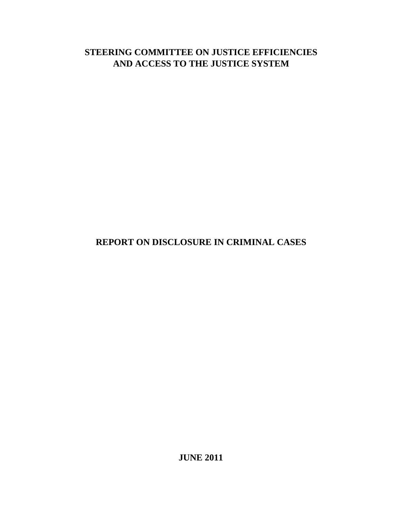# **STEERING COMMITTEE ON JUSTICE EFFICIENCIES AND ACCESS TO THE JUSTICE SYSTEM**

# **REPORT ON DISCLOSURE IN CRIMINAL CASES**

**JUNE 2011**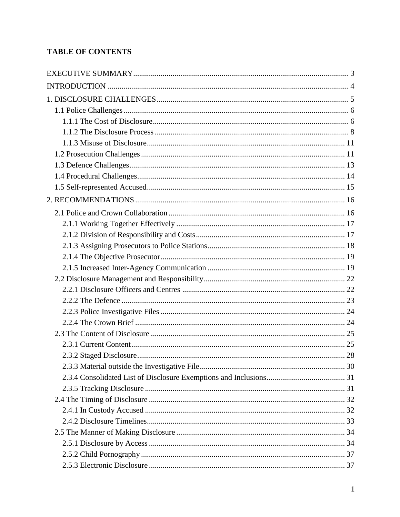# **TABLE OF CONTENTS**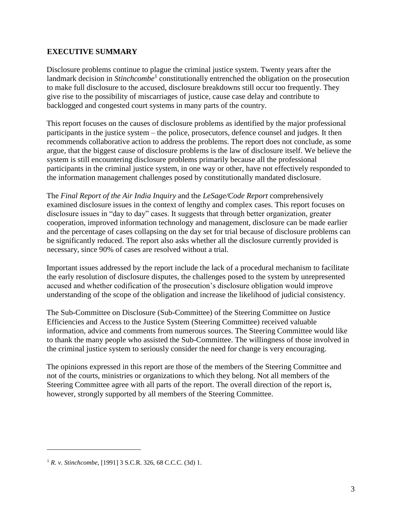#### <span id="page-3-0"></span>**EXECUTIVE SUMMARY**

Disclosure problems continue to plague the criminal justice system. Twenty years after the landmark decision in *Stinchcombe*<sup>1</sup> constitutionally entrenched the obligation on the prosecution to make full disclosure to the accused, disclosure breakdowns still occur too frequently. They give rise to the possibility of miscarriages of justice, cause case delay and contribute to backlogged and congested court systems in many parts of the country.

This report focuses on the causes of disclosure problems as identified by the major professional participants in the justice system – the police, prosecutors, defence counsel and judges. It then recommends collaborative action to address the problems. The report does not conclude, as some argue, that the biggest cause of disclosure problems is the law of disclosure itself. We believe the system is still encountering disclosure problems primarily because all the professional participants in the criminal justice system, in one way or other, have not effectively responded to the information management challenges posed by constitutionally mandated disclosure.

The *Final Report of the Air India Inquiry* and the *LeSage/Code Report* comprehensively examined disclosure issues in the context of lengthy and complex cases. This report focuses on disclosure issues in "day to day" cases. It suggests that through better organization, greater cooperation, improved information technology and management, disclosure can be made earlier and the percentage of cases collapsing on the day set for trial because of disclosure problems can be significantly reduced. The report also asks whether all the disclosure currently provided is necessary, since 90% of cases are resolved without a trial.

Important issues addressed by the report include the lack of a procedural mechanism to facilitate the early resolution of disclosure disputes, the challenges posed to the system by unrepresented accused and whether codification of the prosecution's disclosure obligation would improve understanding of the scope of the obligation and increase the likelihood of judicial consistency.

The Sub-Committee on Disclosure (Sub-Committee) of the Steering Committee on Justice Efficiencies and Access to the Justice System (Steering Committee) received valuable information, advice and comments from numerous sources. The Steering Committee would like to thank the many people who assisted the Sub-Committee. The willingness of those involved in the criminal justice system to seriously consider the need for change is very encouraging.

<span id="page-3-1"></span>The opinions expressed in this report are those of the members of the Steering Committee and not of the courts, ministries or organizations to which they belong. Not all members of the Steering Committee agree with all parts of the report. The overall direction of the report is, however, strongly supported by all members of the Steering Committee.

<sup>1</sup> *R. v. Stinchcombe*, [1991] 3 S.C.R. 326, 68 C.C.C. (3d) 1.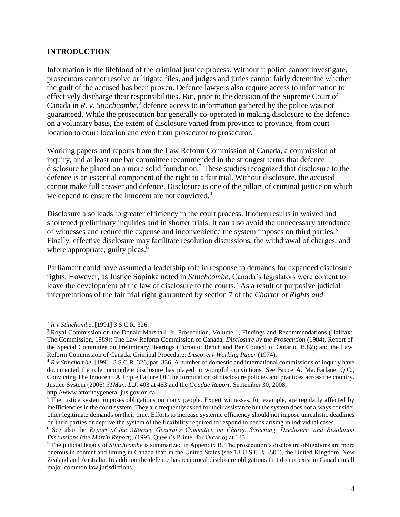#### **INTRODUCTION**

Information is the lifeblood of the criminal justice process. Without it police cannot investigate, prosecutors cannot resolve or litigate files, and judges and juries cannot fairly determine whether the guilt of the accused has been proven. Defence lawyers also require access to information to effectively discharge their responsibilities. But, prior to the decision of the Supreme Court of Canada in *R. v. Stinchcombe*, 2 defence access to information gathered by the police was not guaranteed. While the prosecution bar generally co-operated in making disclosure to the defence on a voluntary basis, the extent of disclosure varied from province to province, from court location to court location and even from prosecutor to prosecutor.

Working papers and reports from the Law Reform Commission of Canada, a commission of inquiry, and at least one bar committee recommended in the strongest terms that defence disclosure be placed on a more solid foundation.<sup>3</sup> These studies recognized that disclosure to the defence is an essential component of the right to a fair trial. Without disclosure, the accused cannot make full answer and defence. Disclosure is one of the pillars of criminal justice on which we depend to ensure the innocent are not convicted.<sup>4</sup>

Disclosure also leads to greater efficiency in the court process. It often results in waived and shortened preliminary inquiries and in shorter trials. It can also avoid the unnecessary attendance of witnesses and reduce the expense and inconvenience the system imposes on third parties.<sup>5</sup> Finally, effective disclosure may facilitate resolution discussions, the withdrawal of charges, and where appropriate, guilty pleas.<sup>6</sup>

Parliament could have assumed a leadership role in response to demands for expanded disclosure rights. However, as Justice Sopinka noted in *Stinchcombe*, Canada's legislators were content to leave the development of the law of disclosure to the courts.<sup>7</sup> As a result of purposive judicial interpretations of the fair trial right guaranteed by section 7 of the *Charter of Rights and* 

 $\overline{a}$ 

http://www.attorneygeneral.jus.gov.on.ca.

<sup>2</sup> *R v Stinchombe*, [1991] 3 S.C.R. 326.

<sup>3</sup> Royal Commission on the Donald Marshall, Jr. Prosecution, Volume 1, Findings and Recommendations (Halifax: The Commission, 1989); The Law Reform Commission of Canada, *Disclosure by the Prosecution* (1984), Report of the Special Committee on Preliminary Hearings (Toronto: Bench and Bar Council of Ontario, 1982); and the Law Reform Commission of Canada, Criminal Procedure: *Discovery Working Paper* (1974).

<sup>4</sup> *R v Stinchombe*, [1991] 3 S.C.R. 326, par. 336. A number of domestic and international commissions of inquiry have documented the role incomplete disclosure has played in wrongful convictions. See Bruce A. MacFarlane, Q.C., Convicting The Innocent: A Triple Failure Of The formulation of disclosure policies and practices across the country. Justice System (2006) *31Man. L.J*. 403 at 453 and the *Goudge Report*, September 30, 2008,

<sup>&</sup>lt;sup>5</sup> The justice system imposes obligations on many people. Expert witnesses, for example, are regularly affected by inefficiencies in the court system. They are frequently asked for their assistance but the system does not always consider other legitimate demands on their time. Efforts to increase systemic efficiency should not impose unrealistic deadlines on third parties or deprive the system of the flexibility required to respond to needs arising in individual cases.

<sup>6</sup> See also the *Report of the Attorney General's Committee on Charge Screening, Disclosure, and Resolution Discussions* (the *Martin Report*), (1993, Queen's Printer for Ontario) at 143.

<sup>7</sup> The judicial legacy of *Stinchcombe* is summarized in Appendix B. The prosecution's disclosure obligations are more onerous in content and timing in Canada than in the United States (see 18 U.S.C. § 3500), the United Kingdom, New Zealand and Australia. In addition the defence has reciprocal disclosure obligations that do not exist in Canada in all major common law jurisdictions.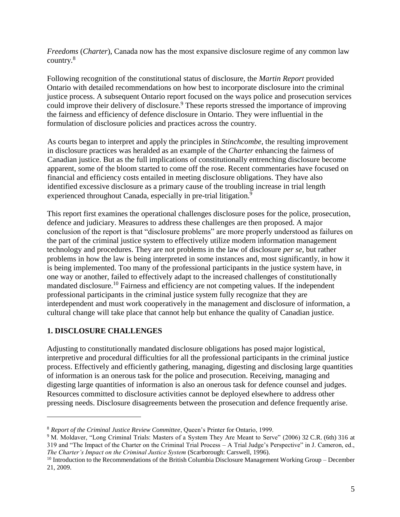*Freedoms* (*Charter*), Canada now has the most expansive disclosure regime of any common law country.<sup>8</sup>

Following recognition of the constitutional status of disclosure, the *Martin Report* provided Ontario with detailed recommendations on how best to incorporate disclosure into the criminal justice process. A subsequent Ontario report focused on the ways police and prosecution services could improve their delivery of disclosure.<sup>9</sup> These reports stressed the importance of improving the fairness and efficiency of defence disclosure in Ontario. They were influential in the formulation of disclosure policies and practices across the country.

As courts began to interpret and apply the principles in *Stinchcombe*, the resulting improvement in disclosure practices was heralded as an example of the *Charter* enhancing the fairness of Canadian justice. But as the full implications of constitutionally entrenching disclosure become apparent, some of the bloom started to come off the rose. Recent commentaries have focused on financial and efficiency costs entailed in meeting disclosure obligations. They have also identified excessive disclosure as a primary cause of the troubling increase in trial length experienced throughout Canada, especially in pre-trial litigation.<sup>9</sup>

This report first examines the operational challenges disclosure poses for the police, prosecution, defence and judiciary. Measures to address these challenges are then proposed. A major conclusion of the report is that "disclosure problems" are more properly understood as failures on the part of the criminal justice system to effectively utilize modern information management technology and procedures. They are not problems in the law of disclosure *per se*, but rather problems in how the law is being interpreted in some instances and, most significantly, in how it is being implemented. Too many of the professional participants in the justice system have, in one way or another, failed to effectively adapt to the increased challenges of constitutionally mandated disclosure.<sup>10</sup> Fairness and efficiency are not competing values. If the independent professional participants in the criminal justice system fully recognize that they are interdependent and must work cooperatively in the management and disclosure of information, a cultural change will take place that cannot help but enhance the quality of Canadian justice.

### <span id="page-5-0"></span>**1. DISCLOSURE CHALLENGES**

 $\overline{a}$ 

Adjusting to constitutionally mandated disclosure obligations has posed major logistical, interpretive and procedural difficulties for all the professional participants in the criminal justice process. Effectively and efficiently gathering, managing, digesting and disclosing large quantities of information is an onerous task for the police and prosecution. Receiving, managing and digesting large quantities of information is also an onerous task for defence counsel and judges. Resources committed to disclosure activities cannot be deployed elsewhere to address other pressing needs. Disclosure disagreements between the prosecution and defence frequently arise.

<sup>8</sup> *Report of the Criminal Justice Review Committee*, Queen's Printer for Ontario, 1999.

<sup>9</sup> M. Moldaver, "Long Criminal Trials: Masters of a System They Are Meant to Serve" (2006) 32 C.R. (6th) 316 at 319 and "The Impact of the Charter on the Criminal Trial Process – A Trial Judge's Perspective" in J. Cameron, ed., *The Charter's Impact on the Criminal Justice System* (Scarborough: Carswell, 1996).

<sup>&</sup>lt;sup>10</sup> Introduction to the Recommendations of the British Columbia Disclosure Management Working Group – December 21, 2009.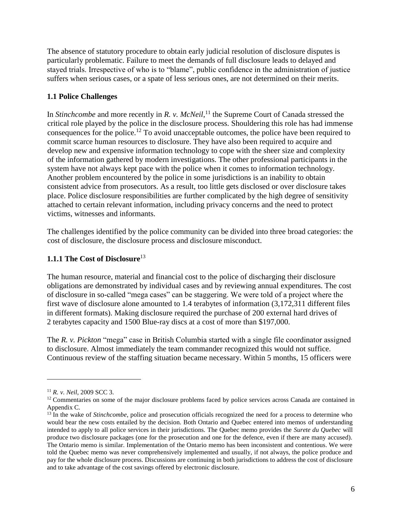The absence of statutory procedure to obtain early judicial resolution of disclosure disputes is particularly problematic. Failure to meet the demands of full disclosure leads to delayed and stayed trials. Irrespective of who is to "blame", public confidence in the administration of justice suffers when serious cases, or a spate of less serious ones, are not determined on their merits.

## <span id="page-6-0"></span>**1.1 Police Challenges**

In *Stinchcombe* and more recently in *R. v. McNeil*, <sup>11</sup> the Supreme Court of Canada stressed the critical role played by the police in the disclosure process. Shouldering this role has had immense consequences for the police.<sup>12</sup> To avoid unacceptable outcomes, the police have been required to commit scarce human resources to disclosure. They have also been required to acquire and develop new and expensive information technology to cope with the sheer size and complexity of the information gathered by modern investigations. The other professional participants in the system have not always kept pace with the police when it comes to information technology. Another problem encountered by the police in some jurisdictions is an inability to obtain consistent advice from prosecutors. As a result, too little gets disclosed or over disclosure takes place. Police disclosure responsibilities are further complicated by the high degree of sensitivity attached to certain relevant information, including privacy concerns and the need to protect victims, witnesses and informants.

The challenges identified by the police community can be divided into three broad categories: the cost of disclosure, the disclosure process and disclosure misconduct.

### <span id="page-6-1"></span>**1.1.1 The Cost of Disclosure**<sup>13</sup>

The human resource, material and financial cost to the police of discharging their disclosure obligations are demonstrated by individual cases and by reviewing annual expenditures. The cost of disclosure in so-called "mega cases" can be staggering. We were told of a project where the first wave of disclosure alone amounted to 1.4 terabytes of information (3,172,311 different files in different formats). Making disclosure required the purchase of 200 external hard drives of 2 terabytes capacity and 1500 Blue-ray discs at a cost of more than \$197,000.

The *R. v. Pickton* "mega" case in British Columbia started with a single file coordinator assigned to disclosure. Almost immediately the team commander recognized this would not suffice. Continuous review of the staffing situation became necessary. Within 5 months, 15 officers were

<sup>11</sup> *R. v. Neil,* 2009 SCC 3.

<sup>&</sup>lt;sup>12</sup> Commentaries on some of the major disclosure problems faced by police services across Canada are contained in Appendix C.

<sup>&</sup>lt;sup>13</sup> In the wake of *Stinchcombe*, police and prosecution officials recognized the need for a process to determine who would bear the new costs entailed by the decision. Both Ontario and Quebec entered into memos of understanding intended to apply to all police services in their jurisdictions. The Quebec memo provides the *Surete du Quebec* will produce two disclosure packages (one for the prosecution and one for the defence, even if there are many accused). The Ontario memo is similar. Implementation of the Ontario memo has been inconsistent and contentious. We were told the Quebec memo was never comprehensively implemented and usually, if not always, the police produce and pay for the whole disclosure process. Discussions are continuing in both jurisdictions to address the cost of disclosure and to take advantage of the cost savings offered by electronic disclosure.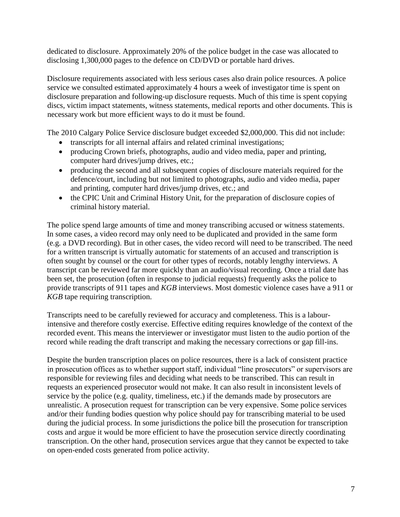dedicated to disclosure. Approximately 20% of the police budget in the case was allocated to disclosing 1,300,000 pages to the defence on CD/DVD or portable hard drives.

Disclosure requirements associated with less serious cases also drain police resources. A police service we consulted estimated approximately 4 hours a week of investigator time is spent on disclosure preparation and following-up disclosure requests. Much of this time is spent copying discs, victim impact statements, witness statements, medical reports and other documents. This is necessary work but more efficient ways to do it must be found.

The 2010 Calgary Police Service disclosure budget exceeded \$2,000,000. This did not include:

- transcripts for all internal affairs and related criminal investigations;
- producing Crown briefs, photographs, audio and video media, paper and printing, computer hard drives/jump drives, etc.;
- producing the second and all subsequent copies of disclosure materials required for the defence/court, including but not limited to photographs, audio and video media, paper and printing, computer hard drives/jump drives, etc.; and
- the CPIC Unit and Criminal History Unit, for the preparation of disclosure copies of criminal history material.

The police spend large amounts of time and money transcribing accused or witness statements. In some cases, a video record may only need to be duplicated and provided in the same form (e.g. a DVD recording). But in other cases, the video record will need to be transcribed. The need for a written transcript is virtually automatic for statements of an accused and transcription is often sought by counsel or the court for other types of records, notably lengthy interviews. A transcript can be reviewed far more quickly than an audio/visual recording. Once a trial date has been set, the prosecution (often in response to judicial requests) frequently asks the police to provide transcripts of 911 tapes and *KGB* interviews. Most domestic violence cases have a 911 or *KGB* tape requiring transcription.

Transcripts need to be carefully reviewed for accuracy and completeness. This is a labourintensive and therefore costly exercise. Effective editing requires knowledge of the context of the recorded event. This means the interviewer or investigator must listen to the audio portion of the record while reading the draft transcript and making the necessary corrections or gap fill-ins.

Despite the burden transcription places on police resources, there is a lack of consistent practice in prosecution offices as to whether support staff, individual "line prosecutors" or supervisors are responsible for reviewing files and deciding what needs to be transcribed. This can result in requests an experienced prosecutor would not make. It can also result in inconsistent levels of service by the police (e.g. quality, timeliness, etc.) if the demands made by prosecutors are unrealistic. A prosecution request for transcription can be very expensive. Some police services and/or their funding bodies question why police should pay for transcribing material to be used during the judicial process. In some jurisdictions the police bill the prosecution for transcription costs and argue it would be more efficient to have the prosecution service directly coordinating transcription. On the other hand, prosecution services argue that they cannot be expected to take on open-ended costs generated from police activity.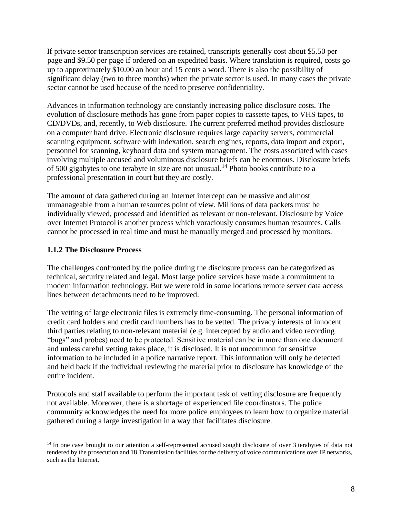If private sector transcription services are retained, transcripts generally cost about \$5.50 per page and \$9.50 per page if ordered on an expedited basis. Where translation is required, costs go up to approximately \$10.00 an hour and 15 cents a word. There is also the possibility of significant delay (two to three months) when the private sector is used. In many cases the private sector cannot be used because of the need to preserve confidentiality.

Advances in information technology are constantly increasing police disclosure costs. The evolution of disclosure methods has gone from paper copies to cassette tapes, to VHS tapes, to CD/DVDs, and, recently, to Web disclosure. The current preferred method provides disclosure on a computer hard drive. Electronic disclosure requires large capacity servers, commercial scanning equipment, software with indexation, search engines, reports, data import and export, personnel for scanning, keyboard data and system management. The costs associated with cases involving multiple accused and voluminous disclosure briefs can be enormous. Disclosure briefs of 500 gigabytes to one terabyte in size are not unusual.<sup>14</sup> Photo books contribute to a professional presentation in court but they are costly.

The amount of data gathered during an Internet intercept can be massive and almost unmanageable from a human resources point of view. Millions of data packets must be individually viewed, processed and identified as relevant or non-relevant. Disclosure by Voice over Internet Protocol is another process which voraciously consumes human resources. Calls cannot be processed in real time and must be manually merged and processed by monitors.

#### <span id="page-8-0"></span>**1.1.2 The Disclosure Process**

 $\overline{a}$ 

The challenges confronted by the police during the disclosure process can be categorized as technical, security related and legal. Most large police services have made a commitment to modern information technology. But we were told in some locations remote server data access lines between detachments need to be improved.

The vetting of large electronic files is extremely time-consuming. The personal information of credit card holders and credit card numbers has to be vetted. The privacy interests of innocent third parties relating to non-relevant material (e.g. intercepted by audio and video recording "bugs" and probes) need to be protected. Sensitive material can be in more than one document and unless careful vetting takes place, it is disclosed. It is not uncommon for sensitive information to be included in a police narrative report. This information will only be detected and held back if the individual reviewing the material prior to disclosure has knowledge of the entire incident.

Protocols and staff available to perform the important task of vetting disclosure are frequently not available. Moreover, there is a shortage of experienced file coordinators. The police community acknowledges the need for more police employees to learn how to organize material gathered during a large investigation in a way that facilitates disclosure.

<sup>&</sup>lt;sup>14</sup> In one case brought to our attention a self-represented accused sought disclosure of over 3 terabytes of data not tendered by the prosecution and 18 Transmission facilities for the delivery of voice communications over IP networks, such as the Internet.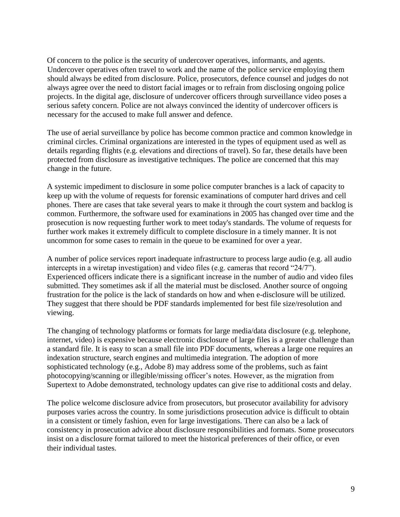Of concern to the police is the security of undercover operatives, informants, and agents. Undercover operatives often travel to work and the name of the police service employing them should always be edited from disclosure. Police, prosecutors, defence counsel and judges do not always agree over the need to distort facial images or to refrain from disclosing ongoing police projects. In the digital age, disclosure of undercover officers through surveillance video poses a serious safety concern. Police are not always convinced the identity of undercover officers is necessary for the accused to make full answer and defence.

The use of aerial surveillance by police has become common practice and common knowledge in criminal circles. Criminal organizations are interested in the types of equipment used as well as details regarding flights (e.g. elevations and directions of travel). So far, these details have been protected from disclosure as investigative techniques. The police are concerned that this may change in the future.

A systemic impediment to disclosure in some police computer branches is a lack of capacity to keep up with the volume of requests for forensic examinations of computer hard drives and cell phones. There are cases that take several years to make it through the court system and backlog is common. Furthermore, the software used for examinations in 2005 has changed over time and the prosecution is now requesting further work to meet today's standards. The volume of requests for further work makes it extremely difficult to complete disclosure in a timely manner. It is not uncommon for some cases to remain in the queue to be examined for over a year.

A number of police services report inadequate infrastructure to process large audio (e.g. all audio intercepts in a wiretap investigation) and video files (e.g. cameras that record "24/7"). Experienced officers indicate there is a significant increase in the number of audio and video files submitted. They sometimes ask if all the material must be disclosed. Another source of ongoing frustration for the police is the lack of standards on how and when e-disclosure will be utilized. They suggest that there should be PDF standards implemented for best file size/resolution and viewing.

The changing of technology platforms or formats for large media/data disclosure (e.g. telephone, internet, video) is expensive because electronic disclosure of large files is a greater challenge than a standard file. It is easy to scan a small file into PDF documents, whereas a large one requires an indexation structure, search engines and multimedia integration. The adoption of more sophisticated technology (e.g., Adobe 8) may address some of the problems, such as faint photocopying/scanning or illegible/missing officer's notes. However, as the migration from Supertext to Adobe demonstrated, technology updates can give rise to additional costs and delay.

The police welcome disclosure advice from prosecutors, but prosecutor availability for advisory purposes varies across the country. In some jurisdictions prosecution advice is difficult to obtain in a consistent or timely fashion, even for large investigations. There can also be a lack of consistency in prosecution advice about disclosure responsibilities and formats. Some prosecutors insist on a disclosure format tailored to meet the historical preferences of their office, or even their individual tastes.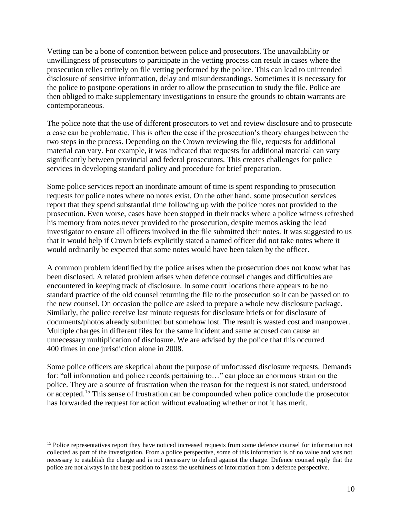Vetting can be a bone of contention between police and prosecutors. The unavailability or unwillingness of prosecutors to participate in the vetting process can result in cases where the prosecution relies entirely on file vetting performed by the police. This can lead to unintended disclosure of sensitive information, delay and misunderstandings. Sometimes it is necessary for the police to postpone operations in order to allow the prosecution to study the file. Police are then obliged to make supplementary investigations to ensure the grounds to obtain warrants are contemporaneous.

The police note that the use of different prosecutors to vet and review disclosure and to prosecute a case can be problematic. This is often the case if the prosecution's theory changes between the two steps in the process. Depending on the Crown reviewing the file, requests for additional material can vary. For example, it was indicated that requests for additional material can vary significantly between provincial and federal prosecutors. This creates challenges for police services in developing standard policy and procedure for brief preparation.

Some police services report an inordinate amount of time is spent responding to prosecution requests for police notes where no notes exist. On the other hand, some prosecution services report that they spend substantial time following up with the police notes not provided to the prosecution. Even worse, cases have been stopped in their tracks where a police witness refreshed his memory from notes never provided to the prosecution, despite memos asking the lead investigator to ensure all officers involved in the file submitted their notes. It was suggested to us that it would help if Crown briefs explicitly stated a named officer did not take notes where it would ordinarily be expected that some notes would have been taken by the officer.

A common problem identified by the police arises when the prosecution does not know what has been disclosed. A related problem arises when defence counsel changes and difficulties are encountered in keeping track of disclosure. In some court locations there appears to be no standard practice of the old counsel returning the file to the prosecution so it can be passed on to the new counsel. On occasion the police are asked to prepare a whole new disclosure package. Similarly, the police receive last minute requests for disclosure briefs or for disclosure of documents/photos already submitted but somehow lost. The result is wasted cost and manpower. Multiple charges in different files for the same incident and same accused can cause an unnecessary multiplication of disclosure. We are advised by the police that this occurred 400 times in one jurisdiction alone in 2008.

Some police officers are skeptical about the purpose of unfocussed disclosure requests. Demands for: "all information and police records pertaining to…" can place an enormous strain on the police. They are a source of frustration when the reason for the request is not stated, understood or accepted.<sup>15</sup> This sense of frustration can be compounded when police conclude the prosecutor has forwarded the request for action without evaluating whether or not it has merit.

<sup>&</sup>lt;sup>15</sup> Police representatives report they have noticed increased requests from some defence counsel for information not collected as part of the investigation. From a police perspective, some of this information is of no value and was not necessary to establish the charge and is not necessary to defend against the charge. Defence counsel reply that the police are not always in the best position to assess the usefulness of information from a defence perspective.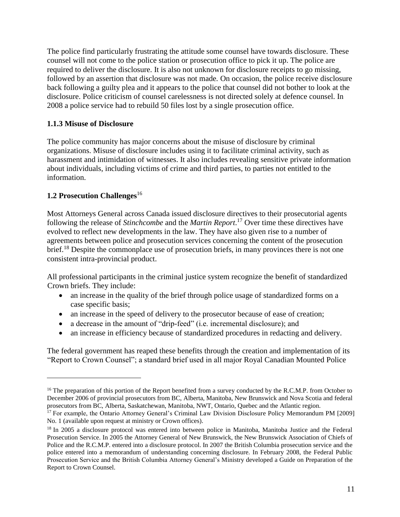The police find particularly frustrating the attitude some counsel have towards disclosure. These counsel will not come to the police station or prosecution office to pick it up. The police are required to deliver the disclosure. It is also not unknown for disclosure receipts to go missing, followed by an assertion that disclosure was not made*.* On occasion, the police receive disclosure back following a guilty plea and it appears to the police that counsel did not bother to look at the disclosure. Police criticism of counsel carelessness is not directed solely at defence counsel. In 2008 a police service had to rebuild 50 files lost by a single prosecution office.

### <span id="page-11-0"></span>**1.1.3 Misuse of Disclosure**

The police community has major concerns about the misuse of disclosure by criminal organizations. Misuse of disclosure includes using it to facilitate criminal activity, such as harassment and intimidation of witnesses. It also includes revealing sensitive private information about individuals, including victims of crime and third parties, to parties not entitled to the information.

#### <span id="page-11-1"></span>**1.2 Prosecution Challenges**<sup>16</sup>

 $\overline{a}$ 

Most Attorneys General across Canada issued disclosure directives to their prosecutorial agents following the release of *Stinchcombe* and the *Martin Report*. <sup>17</sup> Over time these directives have evolved to reflect new developments in the law. They have also given rise to a number of agreements between police and prosecution services concerning the content of the prosecution brief.<sup>18</sup> Despite the commonplace use of prosecution briefs, in many provinces there is not one consistent intra-provincial product.

All professional participants in the criminal justice system recognize the benefit of standardized Crown briefs. They include:

- an increase in the quality of the brief through police usage of standardized forms on a case specific basis;
- an increase in the speed of delivery to the prosecutor because of ease of creation;
- a decrease in the amount of "drip-feed" (i.e. incremental disclosure); and
- an increase in efficiency because of standardized procedures in redacting and delivery.

The federal government has reaped these benefits through the creation and implementation of its "Report to Crown Counsel"; a standard brief used in all major Royal Canadian Mounted Police

<sup>&</sup>lt;sup>16</sup> The preparation of this portion of the Report benefited from a survey conducted by the R.C.M.P. from October to December 2006 of provincial prosecutors from BC, Alberta, Manitoba, New Brunswick and Nova Scotia and federal prosecutors from BC, Alberta, Saskatchewan, Manitoba, NWT, Ontario, Quebec and the Atlantic region.

<sup>&</sup>lt;sup>17</sup> For example, the Ontario Attorney General's Criminal Law Division Disclosure Policy Memorandum PM [2009] No. 1 (available upon request at ministry or Crown offices).

<sup>&</sup>lt;sup>18</sup> In 2005 a disclosure protocol was entered into between police in Manitoba, Manitoba Justice and the Federal Prosecution Service. In 2005 the Attorney General of New Brunswick, the New Brunswick Association of Chiefs of Police and the R.C.M.P. entered into a disclosure protocol. In 2007 the British Columbia prosecution service and the police entered into a memorandum of understanding concerning disclosure. In February 2008, the Federal Public Prosecution Service and the British Columbia Attorney General's Ministry developed a Guide on Preparation of the Report to Crown Counsel.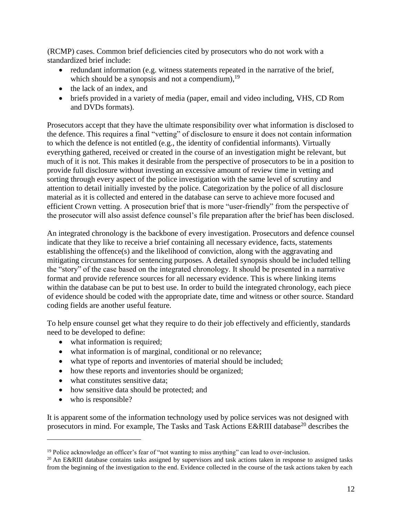(RCMP) cases. Common brief deficiencies cited by prosecutors who do not work with a standardized brief include:

- $\bullet$  redundant information (e.g. witness statements repeated in the narrative of the brief, which should be a synopsis and not a compendium),  $19$
- the lack of an index, and
- briefs provided in a variety of media (paper, email and video including, VHS, CD Rom and DVDs formats).

Prosecutors accept that they have the ultimate responsibility over what information is disclosed to the defence. This requires a final "vetting" of disclosure to ensure it does not contain information to which the defence is not entitled (e.g., the identity of confidential informants). Virtually everything gathered, received or created in the course of an investigation might be relevant, but much of it is not. This makes it desirable from the perspective of prosecutors to be in a position to provide full disclosure without investing an excessive amount of review time in vetting and sorting through every aspect of the police investigation with the same level of scrutiny and attention to detail initially invested by the police. Categorization by the police of all disclosure material as it is collected and entered in the database can serve to achieve more focused and efficient Crown vetting. A prosecution brief that is more "user-friendly" from the perspective of the prosecutor will also assist defence counsel's file preparation after the brief has been disclosed.

An integrated chronology is the backbone of every investigation. Prosecutors and defence counsel indicate that they like to receive a brief containing all necessary evidence, facts, statements establishing the offence(s) and the likelihood of conviction, along with the aggravating and mitigating circumstances for sentencing purposes. A detailed synopsis should be included telling the "story" of the case based on the integrated chronology. It should be presented in a narrative format and provide reference sources for all necessary evidence. This is where linking items within the database can be put to best use. In order to build the integrated chronology, each piece of evidence should be coded with the appropriate date, time and witness or other source. Standard coding fields are another useful feature.

To help ensure counsel get what they require to do their job effectively and efficiently, standards need to be developed to define:

- what information is required;
- what information is of marginal, conditional or no relevance;
- what type of reports and inventories of material should be included;
- how these reports and inventories should be organized;
- what constitutes sensitive data;
- how sensitive data should be protected; and
- who is responsible?

 $\overline{a}$ 

It is apparent some of the information technology used by police services was not designed with prosecutors in mind. For example, The Tasks and Task Actions E&RIII database<sup>20</sup> describes the

<sup>&</sup>lt;sup>19</sup> Police acknowledge an officer's fear of "not wanting to miss anything" can lead to over-inclusion.

<sup>&</sup>lt;sup>20</sup> An E&RIII database contains tasks assigned by supervisors and task actions taken in response to assigned tasks from the beginning of the investigation to the end. Evidence collected in the course of the task actions taken by each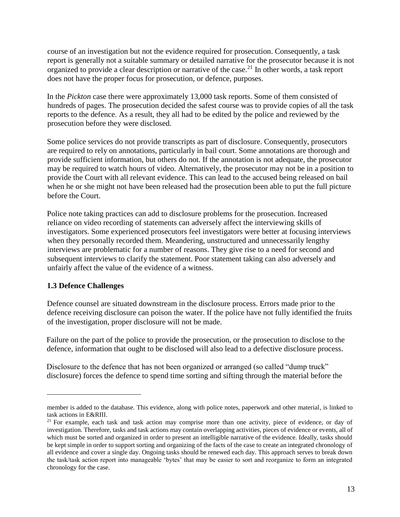course of an investigation but not the evidence required for prosecution. Consequently, a task report is generally not a suitable summary or detailed narrative for the prosecutor because it is not organized to provide a clear description or narrative of the case.<sup>21</sup> In other words, a task report does not have the proper focus for prosecution, or defence, purposes.

In the *Pickton* case there were approximately 13,000 task reports. Some of them consisted of hundreds of pages. The prosecution decided the safest course was to provide copies of all the task reports to the defence. As a result, they all had to be edited by the police and reviewed by the prosecution before they were disclosed.

Some police services do not provide transcripts as part of disclosure. Consequently, prosecutors are required to rely on annotations, particularly in bail court. Some annotations are thorough and provide sufficient information, but others do not. If the annotation is not adequate, the prosecutor may be required to watch hours of video. Alternatively, the prosecutor may not be in a position to provide the Court with all relevant evidence. This can lead to the accused being released on bail when he or she might not have been released had the prosecution been able to put the full picture before the Court.

Police note taking practices can add to disclosure problems for the prosecution. Increased reliance on video recording of statements can adversely affect the interviewing skills of investigators. Some experienced prosecutors feel investigators were better at focusing interviews when they personally recorded them. Meandering, unstructured and unnecessarily lengthy interviews are problematic for a number of reasons. They give rise to a need for second and subsequent interviews to clarify the statement. Poor statement taking can also adversely and unfairly affect the value of the evidence of a witness.

#### <span id="page-13-0"></span>**1.3 Defence Challenges**

 $\overline{a}$ 

Defence counsel are situated downstream in the disclosure process. Errors made prior to the defence receiving disclosure can poison the water. If the police have not fully identified the fruits of the investigation, proper disclosure will not be made.

Failure on the part of the police to provide the prosecution, or the prosecution to disclose to the defence, information that ought to be disclosed will also lead to a defective disclosure process.

Disclosure to the defence that has not been organized or arranged (so called "dump truck" disclosure) forces the defence to spend time sorting and sifting through the material before the

member is added to the database. This evidence, along with police notes, paperwork and other material, is linked to task actions in E&RIII.

<sup>&</sup>lt;sup>21</sup> For example, each task and task action may comprise more than one activity, piece of evidence, or day of investigation. Therefore, tasks and task actions may contain overlapping activities, pieces of evidence or events, all of which must be sorted and organized in order to present an intelligible narrative of the evidence. Ideally, tasks should be kept simple in order to support sorting and organizing of the facts of the case to create an integrated chronology of all evidence and cover a single day. Ongoing tasks should be renewed each day. This approach serves to break down the task/task action report into manageable 'bytes' that may be easier to sort and reorganize to form an integrated chronology for the case.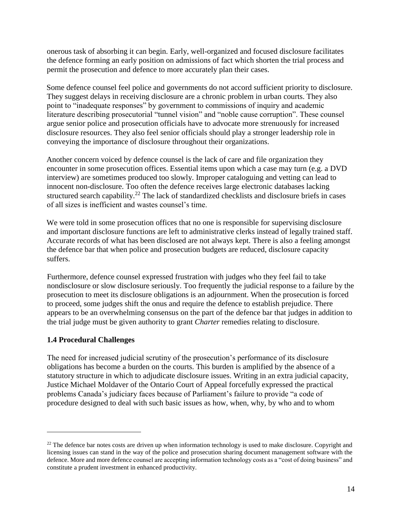onerous task of absorbing it can begin. Early, well-organized and focused disclosure facilitates the defence forming an early position on admissions of fact which shorten the trial process and permit the prosecution and defence to more accurately plan their cases.

Some defence counsel feel police and governments do not accord sufficient priority to disclosure. They suggest delays in receiving disclosure are a chronic problem in urban courts. They also point to "inadequate responses" by government to commissions of inquiry and academic literature describing prosecutorial "tunnel vision" and "noble cause corruption". These counsel argue senior police and prosecution officials have to advocate more strenuously for increased disclosure resources. They also feel senior officials should play a stronger leadership role in conveying the importance of disclosure throughout their organizations.

Another concern voiced by defence counsel is the lack of care and file organization they encounter in some prosecution offices. Essential items upon which a case may turn (e.g. a DVD interview) are sometimes produced too slowly. Improper cataloguing and vetting can lead to innocent non-disclosure. Too often the defence receives large electronic databases lacking structured search capability.<sup>22</sup> The lack of standardized checklists and disclosure briefs in cases of all sizes is inefficient and wastes counsel's time.

We were told in some prosecution offices that no one is responsible for supervising disclosure and important disclosure functions are left to administrative clerks instead of legally trained staff. Accurate records of what has been disclosed are not always kept. There is also a feeling amongst the defence bar that when police and prosecution budgets are reduced, disclosure capacity suffers.

Furthermore, defence counsel expressed frustration with judges who they feel fail to take nondisclosure or slow disclosure seriously. Too frequently the judicial response to a failure by the prosecution to meet its disclosure obligations is an adjournment. When the prosecution is forced to proceed, some judges shift the onus and require the defence to establish prejudice. There appears to be an overwhelming consensus on the part of the defence bar that judges in addition to the trial judge must be given authority to grant *Charter* remedies relating to disclosure.

#### <span id="page-14-0"></span>**1.4 Procedural Challenges**

 $\overline{a}$ 

The need for increased judicial scrutiny of the prosecution's performance of its disclosure obligations has become a burden on the courts. This burden is amplified by the absence of a statutory structure in which to adjudicate disclosure issues. Writing in an extra judicial capacity, Justice Michael Moldaver of the Ontario Court of Appeal forcefully expressed the practical problems Canada's judiciary faces because of Parliament's failure to provide "a code of procedure designed to deal with such basic issues as how, when, why, by who and to whom

 $^{22}$  The defence bar notes costs are driven up when information technology is used to make disclosure. Copyright and licensing issues can stand in the way of the police and prosecution sharing document management software with the defence. More and more defence counsel are accepting information technology costs as a "cost of doing business" and constitute a prudent investment in enhanced productivity.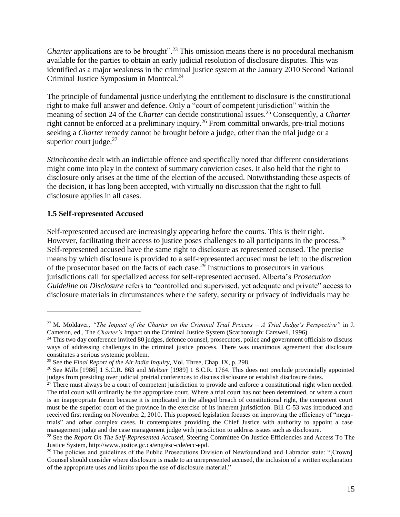*Charter* applications are to be brought".<sup>23</sup> This omission means there is no procedural mechanism available for the parties to obtain an early judicial resolution of disclosure disputes. This was identified as a major weakness in the criminal justice system at the January 2010 Second National Criminal Justice Symposium in Montreal.<sup>24</sup>

The principle of fundamental justice underlying the entitlement to disclosure is the constitutional right to make full answer and defence. Only a "court of competent jurisdiction" within the meaning of section 24 of the *Charter* can decide constitutional issues.<sup>25</sup> Consequently, a *Charter* right cannot be enforced at a preliminary inquiry.<sup>26</sup> From committal onwards, pre-trial motions seeking a *Charter* remedy cannot be brought before a judge, other than the trial judge or a superior court judge. $27$ 

*Stinchcombe* dealt with an indictable offence and specifically noted that different considerations might come into play in the context of summary conviction cases. It also held that the right to disclosure only arises at the time of the election of the accused. Notwithstanding these aspects of the decision, it has long been accepted, with virtually no discussion that the right to full disclosure applies in all cases.

#### <span id="page-15-0"></span>**1.5 Self-represented Accused**

 $\overline{a}$ 

Self-represented accused are increasingly appearing before the courts. This is their right. However, facilitating their access to justice poses challenges to all participants in the process.<sup>28</sup> Self-represented accused have the same right to disclosure as represented accused. The precise means by which disclosure is provided to a self-represented accused must be left to the discretion of the prosecutor based on the facts of each case.<sup>29</sup> Instructions to prosecutors in various jurisdictions call for specialized access for self-represented accused. Alberta's *Prosecution Guideline on Disclosure* refers to "controlled and supervised, yet adequate and private" access to disclosure materials in circumstances where the safety, security or privacy of individuals may be

<sup>23</sup> M. Moldaver, *"The Impact of the Charter on the Criminal Trial Process – A Trial Judge's Perspective"* in J. Cameron, ed., The *Charter's* Impact on the Criminal Justice System (Scarborough: Carswell, 1996).

<sup>&</sup>lt;sup>24</sup> This two day conference invited 80 judges, defence counsel, prosecutors, police and government officials to discuss ways of addressing challenges in the criminal justice process. There was unanimous agreement that disclosure constitutes a serious systemic problem.

<sup>&</sup>lt;sup>25</sup> See the *Final Report of the Air India Inquiry*, Vol. Three, Chap. IX, p. 298.

<sup>26</sup> See *Mills* [1986] 1 S.C.R. 863 and *Meltzer* [1989] 1 S.C.R. 1764. This does not preclude provincially appointed judges from presiding over judicial pretrial conferences to discuss disclosure or establish disclosure dates.

 $27$  There must always be a court of competent jurisdiction to provide and enforce a constitutional right when needed. The trial court will ordinarily be the appropriate court. Where a trial court has not been determined, or where a court is an inappropriate forum because it is implicated in the alleged breach of constitutional right, the competent court must be the superior court of the province in the exercise of its inherent jurisdiction. Bill C-53 was introduced and received first reading on November 2, 2010. This proposed legislation focuses on improving the efficiency of "megatrials" and other complex cases. It contemplates providing the Chief Justice with authority to appoint a case management judge and the case management judge with jurisdiction to address issues such as disclosure.

<sup>&</sup>lt;sup>28</sup> See the *Report On The Self-Represented Accused*, Steering Committee On Justice Efficiencies and Access To The Justice System, http://www.justice.gc.ca/eng/esc-cde/ecc-epd.

<sup>&</sup>lt;sup>29</sup> The policies and guidelines of the Public Prosecutions Division of Newfoundland and Labrador state: "[Crown] Counsel should consider where disclosure is made to an unrepresented accused, the inclusion of a written explanation of the appropriate uses and limits upon the use of disclosure material."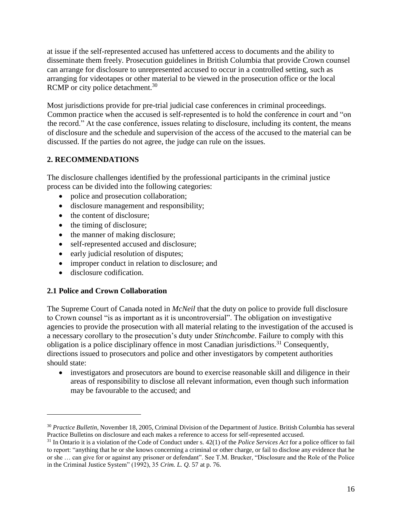at issue if the self-represented accused has unfettered access to documents and the ability to disseminate them freely. Prosecution guidelines in British Columbia that provide Crown counsel can arrange for disclosure to unrepresented accused to occur in a controlled setting, such as arranging for videotapes or other material to be viewed in the prosecution office or the local RCMP or city police detachment.<sup>30</sup>

Most jurisdictions provide for pre-trial judicial case conferences in criminal proceedings. Common practice when the accused is self-represented is to hold the conference in court and "on the record." At the case conference, issues relating to disclosure, including its content, the means of disclosure and the schedule and supervision of the access of the accused to the material can be discussed. If the parties do not agree, the judge can rule on the issues.

### <span id="page-16-0"></span>**2. RECOMMENDATIONS**

The disclosure challenges identified by the professional participants in the criminal justice process can be divided into the following categories:

- police and prosecution collaboration;
- disclosure management and responsibility;
- the content of disclosure;
- the timing of disclosure;
- the manner of making disclosure;
- self-represented accused and disclosure;
- early judicial resolution of disputes;
- improper conduct in relation to disclosure; and
- disclosure codification.

 $\overline{a}$ 

### <span id="page-16-1"></span>**2.1 Police and Crown Collaboration**

The Supreme Court of Canada noted in *McNeil* that the duty on police to provide full disclosure to Crown counsel "is as important as it is uncontroversial". The obligation on investigative agencies to provide the prosecution with all material relating to the investigation of the accused is a necessary corollary to the prosecution's duty under *Stinchcombe*. Failure to comply with this obligation is a police disciplinary offence in most Canadian jurisdictions.<sup>31</sup> Consequently, directions issued to prosecutors and police and other investigators by competent authorities should state:

 investigators and prosecutors are bound to exercise reasonable skill and diligence in their areas of responsibility to disclose all relevant information, even though such information may be favourable to the accused; and

<sup>30</sup> *Practice Bulletin*, November 18, 2005, Criminal Division of the Department of Justice. British Columbia has several Practice Bulletins on disclosure and each makes a reference to access for self-represented accused.

<sup>31</sup> In Ontario it is a violation of the Code of Conduct under s. 42(1) of the *Police Services Act* for a police officer to fail to report: "anything that he or she knows concerning a criminal or other charge, or fail to disclose any evidence that he or she … can give for or against any prisoner or defendant". See T.M. Brucker, "Disclosure and the Role of the Police in the Criminal Justice System" (1992), 35 *Crim. L. Q.* 57 at p. 76.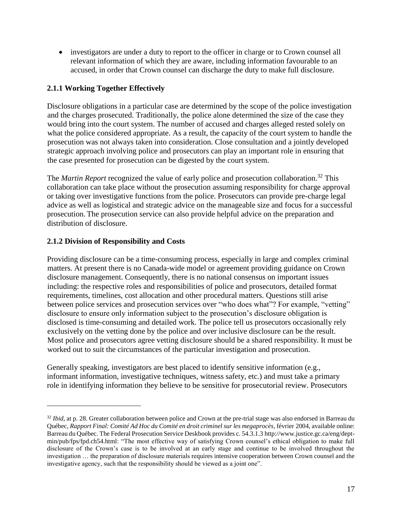investigators are under a duty to report to the officer in charge or to Crown counsel all relevant information of which they are aware, including information favourable to an accused, in order that Crown counsel can discharge the duty to make full disclosure.

### <span id="page-17-0"></span>**2.1.1 Working Together Effectively**

Disclosure obligations in a particular case are determined by the scope of the police investigation and the charges prosecuted. Traditionally, the police alone determined the size of the case they would bring into the court system. The number of accused and charges alleged rested solely on what the police considered appropriate. As a result, the capacity of the court system to handle the prosecution was not always taken into consideration. Close consultation and a jointly developed strategic approach involving police and prosecutors can play an important role in ensuring that the case presented for prosecution can be digested by the court system.

The *Martin Report* recognized the value of early police and prosecution collaboration.<sup>32</sup> This collaboration can take place without the prosecution assuming responsibility for charge approval or taking over investigative functions from the police. Prosecutors can provide pre-charge legal advice as well as logistical and strategic advice on the manageable size and focus for a successful prosecution. The prosecution service can also provide helpful advice on the preparation and distribution of disclosure.

### <span id="page-17-1"></span>**2.1.2 Division of Responsibility and Costs**

 $\overline{a}$ 

Providing disclosure can be a time-consuming process, especially in large and complex criminal matters. At present there is no Canada-wide model or agreement providing guidance on Crown disclosure management. Consequently, there is no national consensus on important issues including: the respective roles and responsibilities of police and prosecutors, detailed format requirements, timelines, cost allocation and other procedural matters. Questions still arise between police services and prosecution services over "who does what"? For example, "vetting" disclosure to ensure only information subject to the prosecution's disclosure obligation is disclosed is time-consuming and detailed work. The police tell us prosecutors occasionally rely exclusively on the vetting done by the police and over inclusive disclosure can be the result. Most police and prosecutors agree vetting disclosure should be a shared responsibility. It must be worked out to suit the circumstances of the particular investigation and prosecution.

Generally speaking, investigators are best placed to identify sensitive information (e.g., informant information, investigative techniques, witness safety, etc.) and must take a primary role in identifying information they believe to be sensitive for prosecutorial review. Prosecutors

<sup>&</sup>lt;sup>32</sup> *Ibid*, at p. 28. Greater collaboration between police and Crown at the pre-trial stage was also endorsed in Barreau du Québec, *Rapport Final: Comité Ad Hoc du Comité en droit criminel sur les megaprocès*, février 2004, available online: Barreau du Québec. The Federal Prosecution Service Deskbook provides c. 54.3.1.3 [http://www.justice.gc.ca/eng/dept](http://www.justice.gc.ca/eng/dept-min/pub/fps/fpd.ch54.html)[min/pub/fps/fpd.ch54.html:](http://www.justice.gc.ca/eng/dept-min/pub/fps/fpd.ch54.html) "The most effective way of satisfying Crown counsel's ethical obligation to make full disclosure of the Crown's case is to be involved at an early stage and continue to be involved throughout the investigation … the preparation of disclosure materials requires intensive cooperation between Crown counsel and the investigative agency, such that the responsibility should be viewed as a joint one".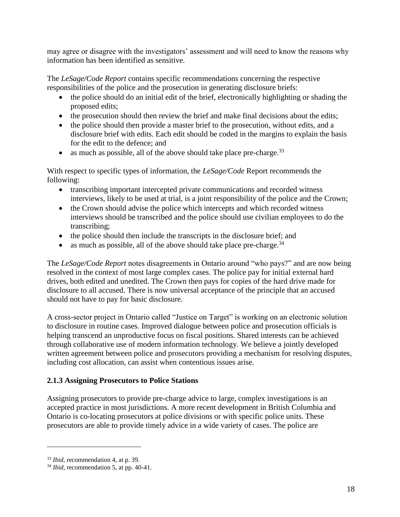may agree or disagree with the investigators' assessment and will need to know the reasons why information has been identified as sensitive.

The *LeSage/Code Report* contains specific recommendations concerning the respective responsibilities of the police and the prosecution in generating disclosure briefs:

- the police should do an initial edit of the brief, electronically highlighting or shading the proposed edits;
- the prosecution should then review the brief and make final decisions about the edits;
- the police should then provide a master brief to the prosecution, without edits, and a disclosure brief with edits. Each edit should be coded in the margins to explain the basis for the edit to the defence; and
- as much as possible, all of the above should take place pre-charge.  $33$

With respect to specific types of information, the *LeSage/Code* Report recommends the following:

- transcribing important intercepted private communications and recorded witness interviews, likely to be used at trial, is a joint responsibility of the police and the Crown;
- the Crown should advise the police which intercepts and which recorded witness interviews should be transcribed and the police should use civilian employees to do the transcribing;
- the police should then include the transcripts in the disclosure brief; and
- as much as possible, all of the above should take place pre-charge.  $34$

The *LeSage/Code Report* notes disagreements in Ontario around "who pays?" and are now being resolved in the context of most large complex cases. The police pay for initial external hard drives, both edited and unedited. The Crown then pays for copies of the hard drive made for disclosure to all accused. There is now universal acceptance of the principle that an accused should not have to pay for basic disclosure.

A cross-sector project in Ontario called "Justice on Target" is working on an electronic solution to disclosure in routine cases. Improved dialogue between police and prosecution officials is helping transcend an unproductive focus on fiscal positions. Shared interests can be achieved through collaborative use of modern information technology. We believe a jointly developed written agreement between police and prosecutors providing a mechanism for resolving disputes, including cost allocation, can assist when contentious issues arise.

## <span id="page-18-0"></span>**2.1.3 Assigning Prosecutors to Police Stations**

Assigning prosecutors to provide pre-charge advice to large, complex investigations is an accepted practice in most jurisdictions. A more recent development in British Columbia and Ontario is co-locating prosecutors at police divisions or with specific police units. These prosecutors are able to provide timely advice in a wide variety of cases. The police are

<sup>33</sup> *Ibid*, recommendation 4, at p. 39.

<sup>&</sup>lt;sup>34</sup> *Ibid*, recommendation 5, at pp. 40-41.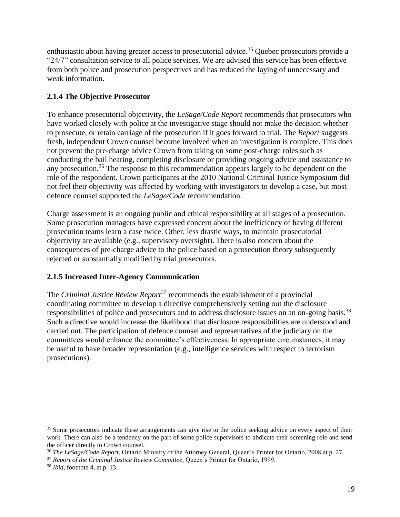enthusiastic about having greater access to prosecutorial advice.<sup>35</sup> Ouebec prosecutors provide a "24/7" consultation service to all police services. We are advised this service has been effective from both police and prosecution perspectives and has reduced the laying of unnecessary and weak information.

### <span id="page-19-0"></span>**2.1.4 The Objective Prosecutor**

To enhance prosecutorial objectivity, the *LeSage/Code Report* recommends that prosecutors who have worked closely with police at the investigative stage should not make the decision whether to prosecute, or retain carriage of the prosecution if it goes forward to trial. The *Report* suggests fresh, independent Crown counsel become involved when an investigation is complete. This does not prevent the pre-charge advice Crown from taking on some post-charge roles such as conducting the bail hearing, completing disclosure or providing ongoing advice and assistance to any prosecution.<sup>36</sup> The response to this recommendation appears largely to be dependent on the role of the respondent. Crown participants at the 2010 National Criminal Justice Symposium did not feel their objectivity was affected by working with investigators to develop a case, but most defence counsel supported the *LeSage/Code* recommendation.

Charge assessment is an ongoing public and ethical responsibility at all stages of a prosecution. Some prosecution managers have expressed concern about the inefficiency of having different prosecution teams learn a case twice. Other, less drastic ways, to maintain prosecutorial objectivity are available (e.g., supervisory oversight). There is also concern about the consequences of pre-charge advice to the police based on a prosecution theory subsequently rejected or substantially modified by trial prosecutors.

#### <span id="page-19-1"></span>**2.1.5 Increased Inter-Agency Communication**

The *Criminal Justice Review Report*<sup>37</sup> recommends the establishment of a provincial coordinating committee to develop a directive comprehensively setting out the disclosure responsibilities of police and prosecutors and to address disclosure issues on an on-going basis.<sup>38</sup> Such a directive would increase the likelihood that disclosure responsibilities are understood and carried out. The participation of defence counsel and representatives of the judiciary on the committees would enhance the committee's effectiveness. In appropriate circumstances, it may be useful to have broader representation (e.g., intelligence services with respect to terrorism prosecutions).

<sup>&</sup>lt;sup>35</sup> Some prosecutors indicate these arrangements can give rise to the police seeking advice on every aspect of their work. There can also be a tendency on the part of some police supervisors to abdicate their screening role and send the officer directly to Crown counsel.

<sup>36</sup> *The LeSage/Code Report*, Ontario Ministry of the Attorney General, Queen's Printer for Ontario, 2008 at p. 27.

<sup>37</sup> *Report of the Criminal Justice Review Committee*, Queen's Printer for Ontario, 1999.

<sup>38</sup> *Ibid*, footnote 4, at p. 13.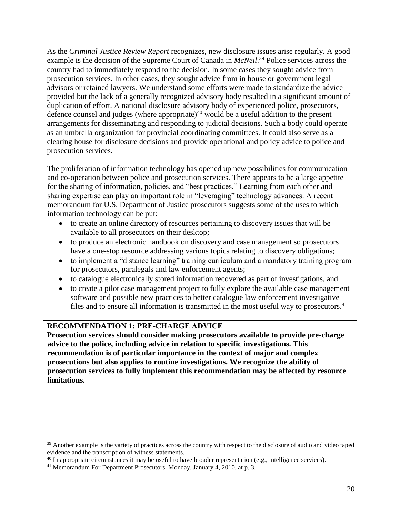As the *Criminal Justice Review Report* recognizes, new disclosure issues arise regularly. A good example is the decision of the Supreme Court of Canada in *McNeil*.<sup>39</sup> Police services across the country had to immediately respond to the decision. In some cases they sought advice from prosecution services. In other cases, they sought advice from in house or government legal advisors or retained lawyers. We understand some efforts were made to standardize the advice provided but the lack of a generally recognized advisory body resulted in a significant amount of duplication of effort. A national disclosure advisory body of experienced police, prosecutors, defence counsel and judges (where appropriate)<sup>40</sup> would be a useful addition to the present arrangements for disseminating and responding to judicial decisions. Such a body could operate as an umbrella organization for provincial coordinating committees. It could also serve as a clearing house for disclosure decisions and provide operational and policy advice to police and prosecution services.

The proliferation of information technology has opened up new possibilities for communication and co-operation between police and prosecution services. There appears to be a large appetite for the sharing of information, policies, and "best practices." Learning from each other and sharing expertise can play an important role in "leveraging" technology advances. A recent memorandum for U.S. Department of Justice prosecutors suggests some of the uses to which information technology can be put:

- to create an online directory of resources pertaining to discovery issues that will be available to all prosecutors on their desktop;
- to produce an electronic handbook on discovery and case management so prosecutors have a one-stop resource addressing various topics relating to discovery obligations;
- to implement a "distance learning" training curriculum and a mandatory training program for prosecutors, paralegals and law enforcement agents;
- to catalogue electronically stored information recovered as part of investigations, and
- to create a pilot case management project to fully explore the available case management software and possible new practices to better catalogue law enforcement investigative files and to ensure all information is transmitted in the most useful way to prosecutors.<sup>41</sup>

#### **RECOMMENDATION 1: PRE-CHARGE ADVICE**

 $\overline{a}$ 

**Prosecution services should consider making prosecutors available to provide pre-charge advice to the police, including advice in relation to specific investigations. This recommendation is of particular importance in the context of major and complex prosecutions but also applies to routine investigations. We recognize the ability of prosecution services to fully implement this recommendation may be affected by resource limitations.** 

<sup>&</sup>lt;sup>39</sup> Another example is the variety of practices across the country with respect to the disclosure of audio and video taped evidence and the transcription of witness statements.

<sup>&</sup>lt;sup>40</sup> In appropriate circumstances it may be useful to have broader representation (e.g., intelligence services).

<sup>&</sup>lt;sup>41</sup> Memorandum For Department Prosecutors, Monday, January 4, 2010, at p. 3.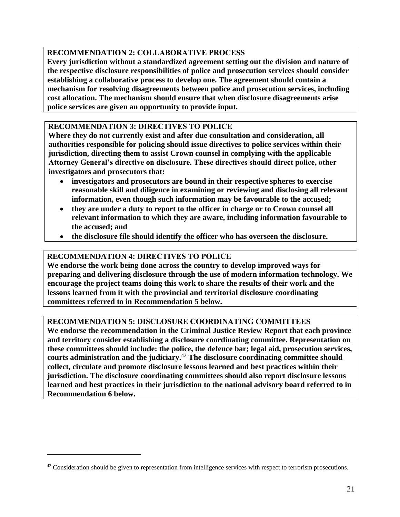### **RECOMMENDATION 2: COLLABORATIVE PROCESS**

**Every jurisdiction without a standardized agreement setting out the division and nature of the respective disclosure responsibilities of police and prosecution services should consider establishing a collaborative process to develop one. The agreement should contain a mechanism for resolving disagreements between police and prosecution services, including cost allocation. The mechanism should ensure that when disclosure disagreements arise police services are given an opportunity to provide input.** 

### **RECOMMENDATION 3: DIRECTIVES TO POLICE**

**Where they do not currently exist and after due consultation and consideration, all authorities responsible for policing should issue directives to police services within their jurisdiction, directing them to assist Crown counsel in complying with the applicable Attorney General's directive on disclosure. These directives should direct police, other investigators and prosecutors that:** 

- **investigators and prosecutors are bound in their respective spheres to exercise reasonable skill and diligence in examining or reviewing and disclosing all relevant information, even though such information may be favourable to the accused;**
- **they are under a duty to report to the officer in charge or to Crown counsel all relevant information to which they are aware, including information favourable to the accused; and**
- **the disclosure file should identify the officer who has overseen the disclosure.**

#### **RECOMMENDATION 4: DIRECTIVES TO POLICE**

 $\overline{a}$ 

**We endorse the work being done across the country to develop improved ways for preparing and delivering disclosure through the use of modern information technology. We encourage the project teams doing this work to share the results of their work and the lessons learned from it with the provincial and territorial disclosure coordinating committees referred to in Recommendation 5 below.** 

### **RECOMMENDATION 5: DISCLOSURE COORDINATING COMMITTEES**

**We endorse the recommendation in the Criminal Justice Review Report that each province and territory consider establishing a disclosure coordinating committee. Representation on these committees should include: the police, the defence bar; legal aid, prosecution services, courts administration and the judiciary.**<sup>42</sup> **The disclosure coordinating committee should collect, circulate and promote disclosure lessons learned and best practices within their jurisdiction. The disclosure coordinating committees should also report disclosure lessons learned and best practices in their jurisdiction to the national advisory board referred to in Recommendation 6 below.**

 $42$  Consideration should be given to representation from intelligence services with respect to terrorism prosecutions.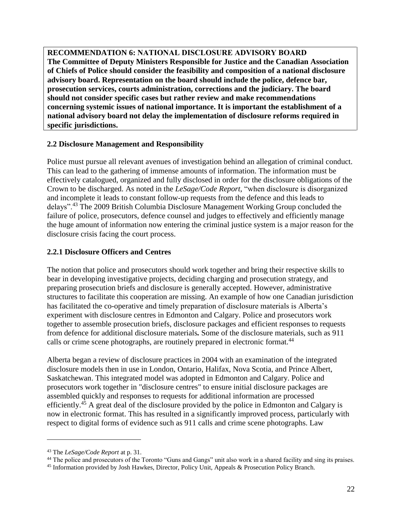**RECOMMENDATION 6: NATIONAL DISCLOSURE ADVISORY BOARD The Committee of Deputy Ministers Responsible for Justice and the Canadian Association of Chiefs of Police should consider the feasibility and composition of a national disclosure advisory board. Representation on the board should include the police, defence bar, prosecution services, courts administration, corrections and the judiciary. The board should not consider specific cases but rather review and make recommendations concerning systemic issues of national importance. It is important the establishment of a national advisory board not delay the implementation of disclosure reforms required in specific jurisdictions.**

#### <span id="page-22-0"></span>**2.2 Disclosure Management and Responsibility**

Police must pursue all relevant avenues of investigation behind an allegation of criminal conduct. This can lead to the gathering of immense amounts of information. The information must be effectively catalogued, organized and fully disclosed in order for the disclosure obligations of the Crown to be discharged. As noted in the *LeSage/Code Report*, "when disclosure is disorganized and incomplete it leads to constant follow-up requests from the defence and this leads to delays".<sup>43</sup> The 2009 British Columbia Disclosure Management Working Group concluded the failure of police, prosecutors, defence counsel and judges to effectively and efficiently manage the huge amount of information now entering the criminal justice system is a major reason for the disclosure crisis facing the court process.

#### <span id="page-22-1"></span>**2.2.1 Disclosure Officers and Centres**

The notion that police and prosecutors should work together and bring their respective skills to bear in developing investigative projects, deciding charging and prosecution strategy, and preparing prosecution briefs and disclosure is generally accepted. However, administrative structures to facilitate this cooperation are missing. An example of how one Canadian jurisdiction has facilitated the co-operative and timely preparation of disclosure materials is Alberta's experiment with disclosure centres in Edmonton and Calgary. Police and prosecutors work together to assemble prosecution briefs, disclosure packages and efficient responses to requests from defence for additional disclosure materials*.* Some of the disclosure materials, such as 911 calls or crime scene photographs, are routinely prepared in electronic format.<sup>44</sup>

Alberta began a review of disclosure practices in 2004 with an examination of the integrated disclosure models then in use in London, Ontario, Halifax, Nova Scotia, and Prince Albert, Saskatchewan. This integrated model was adopted in Edmonton and Calgary. Police and prosecutors work together in "disclosure centres" to ensure initial disclosure packages are assembled quickly and responses to requests for additional information are processed efficiently.<sup>45</sup> A great deal of the disclosure provided by the police in Edmonton and Calgary is now in electronic format. This has resulted in a significantly improved process, particularly with respect to digital forms of evidence such as 911 calls and crime scene photographs. Law

<sup>43</sup> The *LeSage/Code Report* at p. 31.

<sup>&</sup>lt;sup>44</sup> The police and prosecutors of the Toronto "Guns and Gangs" unit also work in a shared facility and sing its praises.

<sup>45</sup> Information provided by Josh Hawkes, Director, Policy Unit, Appeals & Prosecution Policy Branch.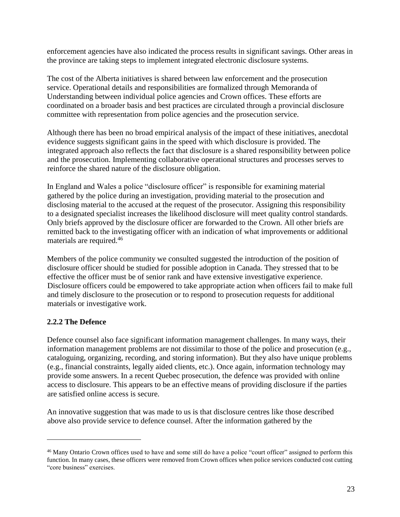enforcement agencies have also indicated the process results in significant savings. Other areas in the province are taking steps to implement integrated electronic disclosure systems.

The cost of the Alberta initiatives is shared between law enforcement and the prosecution service. Operational details and responsibilities are formalized through Memoranda of Understanding between individual police agencies and Crown offices. These efforts are coordinated on a broader basis and best practices are circulated through a provincial disclosure committee with representation from police agencies and the prosecution service.

Although there has been no broad empirical analysis of the impact of these initiatives, anecdotal evidence suggests significant gains in the speed with which disclosure is provided. The integrated approach also reflects the fact that disclosure is a shared responsibility between police and the prosecution. Implementing collaborative operational structures and processes serves to reinforce the shared nature of the disclosure obligation.

In England and Wales a police "disclosure officer" is responsible for examining material gathered by the police during an investigation, providing material to the prosecution and disclosing material to the accused at the request of the prosecutor. Assigning this responsibility to a designated specialist increases the likelihood disclosure will meet quality control standards. Only briefs approved by the disclosure officer are forwarded to the Crown. All other briefs are remitted back to the investigating officer with an indication of what improvements or additional materials are required.<sup>46</sup>

Members of the police community we consulted suggested the introduction of the position of disclosure officer should be studied for possible adoption in Canada*.* They stressed that to be effective the officer must be of senior rank and have extensive investigative experience. Disclosure officers could be empowered to take appropriate action when officers fail to make full and timely disclosure to the prosecution or to respond to prosecution requests for additional materials or investigative work.

#### <span id="page-23-0"></span>**2.2.2 The Defence**

 $\overline{a}$ 

Defence counsel also face significant information management challenges. In many ways, their information management problems are not dissimilar to those of the police and prosecution (e.g., cataloguing, organizing, recording, and storing information). But they also have unique problems (e.g., financial constraints, legally aided clients, etc.). Once again, information technology may provide some answers. In a recent Quebec prosecution, the defence was provided with online access to disclosure. This appears to be an effective means of providing disclosure if the parties are satisfied online access is secure.

An innovative suggestion that was made to us is that disclosure centres like those described above also provide service to defence counsel. After the information gathered by the

<sup>&</sup>lt;sup>46</sup> Many Ontario Crown offices used to have and some still do have a police "court officer" assigned to perform this function. In many cases, these officers were removed from Crown offices when police services conducted cost cutting "core business" exercises.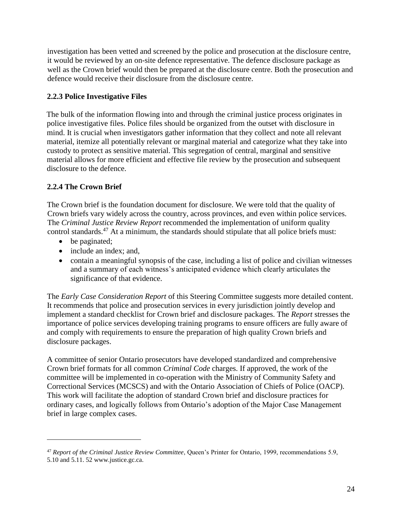investigation has been vetted and screened by the police and prosecution at the disclosure centre, it would be reviewed by an on-site defence representative. The defence disclosure package as well as the Crown brief would then be prepared at the disclosure centre. Both the prosecution and defence would receive their disclosure from the disclosure centre.

### <span id="page-24-0"></span>**2.2.3 Police Investigative Files**

The bulk of the information flowing into and through the criminal justice process originates in police investigative files. Police files should be organized from the outset with disclosure in mind. It is crucial when investigators gather information that they collect and note all relevant material, itemize all potentially relevant or marginal material and categorize what they take into custody to protect as sensitive material. This segregation of central, marginal and sensitive material allows for more efficient and effective file review by the prosecution and subsequent disclosure to the defence.

### <span id="page-24-1"></span>**2.2.4 The Crown Brief**

The Crown brief is the foundation document for disclosure. We were told that the quality of Crown briefs vary widely across the country, across provinces, and even within police services. The *Criminal Justice Review Report* recommended the implementation of uniform quality control standards.<sup>47</sup> At a minimum, the standards should stipulate that all police briefs must:

- be paginated:
- include an index; and,
- contain a meaningful synopsis of the case, including a list of police and civilian witnesses and a summary of each witness's anticipated evidence which clearly articulates the significance of that evidence.

The *Early Case Consideration Report* of this Steering Committee suggests more detailed content. It recommends that police and prosecution services in every jurisdiction jointly develop and implement a standard checklist for Crown brief and disclosure packages. The *Report* stresses the importance of police services developing training programs to ensure officers are fully aware of and comply with requirements to ensure the preparation of high quality Crown briefs and disclosure packages.

A committee of senior Ontario prosecutors have developed standardized and comprehensive Crown brief formats for all common *Criminal Code* charges. If approved, the work of the committee will be implemented in co-operation with the Ministry of Community Safety and Correctional Services (MCSCS) and with the Ontario Association of Chiefs of Police (OACP). This work will facilitate the adoption of standard Crown brief and disclosure practices for ordinary cases, and logically follows from Ontario's adoption of the Major Case Management brief in large complex cases.

<sup>47</sup> *Report of the Criminal Justice Review Committee*, Queen's Printer for Ontario, 1999, recommendations 5.9,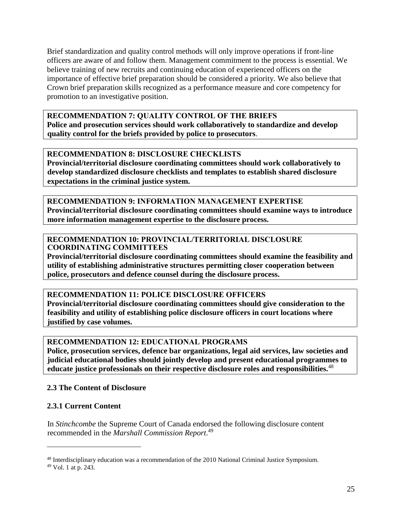Brief standardization and quality control methods will only improve operations if front-line officers are aware of and follow them. Management commitment to the process is essential. We believe training of new recruits and continuing education of experienced officers on the importance of effective brief preparation should be considered a priority. We also believe that Crown brief preparation skills recognized as a performance measure and core competency for promotion to an investigative position.

**RECOMMENDATION 7: QUALITY CONTROL OF THE BRIEFS Police and prosecution services should work collaboratively to standardize and develop quality control for the briefs provided by police to prosecutors**.

**RECOMMENDATION 8: DISCLOSURE CHECKLISTS Provincial/territorial disclosure coordinating committees should work collaboratively to develop standardized disclosure checklists and templates to establish shared disclosure expectations in the criminal justice system.** 

**RECOMMENDATION 9: INFORMATION MANAGEMENT EXPERTISE Provincial/territorial disclosure coordinating committees should examine ways to introduce more information management expertise to the disclosure process.** 

#### **RECOMMENDATION 10: PROVINCIAL/TERRITORIAL DISCLOSURE COORDINATING COMMITTEES**

**Provincial/territorial disclosure coordinating committees should examine the feasibility and utility of establishing administrative structures permitting closer cooperation between police, prosecutors and defence counsel during the disclosure process.**

**RECOMMENDATION 11: POLICE DISCLOSURE OFFICERS**

**Provincial/territorial disclosure coordinating committees should give consideration to the feasibility and utility of establishing police disclosure officers in court locations where justified by case volumes.** 

### **RECOMMENDATION 12: EDUCATIONAL PROGRAMS**

**Police, prosecution services, defence bar organizations, legal aid services, law societies and judicial educational bodies should jointly develop and present educational programmes to educate justice professionals on their respective disclosure roles and responsibilities.**<sup>48</sup>

#### <span id="page-25-0"></span>**2.3 The Content of Disclosure**

### <span id="page-25-1"></span>**2.3.1 Current Content**

In *Stinchcombe* the Supreme Court of Canada endorsed the following disclosure content recommended in the *Marshall Commission Report*. 49

<sup>&</sup>lt;sup>48</sup> Interdisciplinary education was a recommendation of the 2010 National Criminal Justice Symposium.

<sup>49</sup> Vol. 1 at p. 243.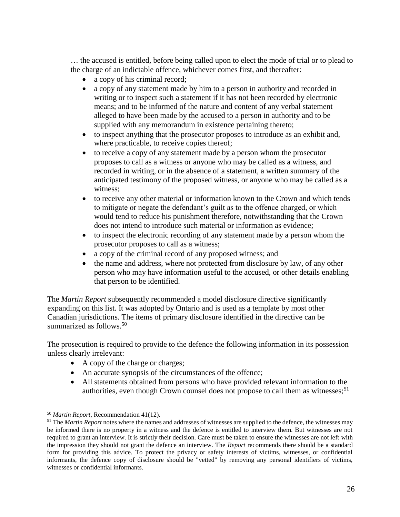… the accused is entitled, before being called upon to elect the mode of trial or to plead to the charge of an indictable offence, whichever comes first, and thereafter:

- a copy of his criminal record;
- a copy of any statement made by him to a person in authority and recorded in writing or to inspect such a statement if it has not been recorded by electronic means; and to be informed of the nature and content of any verbal statement alleged to have been made by the accused to a person in authority and to be supplied with any memorandum in existence pertaining thereto;
- to inspect anything that the prosecutor proposes to introduce as an exhibit and, where practicable, to receive copies thereof;
- to receive a copy of any statement made by a person whom the prosecutor proposes to call as a witness or anyone who may be called as a witness, and recorded in writing, or in the absence of a statement, a written summary of the anticipated testimony of the proposed witness, or anyone who may be called as a witness;
- to receive any other material or information known to the Crown and which tends to mitigate or negate the defendant's guilt as to the offence charged, or which would tend to reduce his punishment therefore, notwithstanding that the Crown does not intend to introduce such material or information as evidence;
- to inspect the electronic recording of any statement made by a person whom the prosecutor proposes to call as a witness;
- a copy of the criminal record of any proposed witness; and
- the name and address, where not protected from disclosure by law, of any other person who may have information useful to the accused, or other details enabling that person to be identified.

The *Martin Report* subsequently recommended a model disclosure directive significantly expanding on this list. It was adopted by Ontario and is used as a template by most other Canadian jurisdictions. The items of primary disclosure identified in the directive can be summarized as follows.<sup>50</sup>

The prosecution is required to provide to the defence the following information in its possession unless clearly irrelevant:

- A copy of the charge or charges;
- An accurate synopsis of the circumstances of the offence;
- All statements obtained from persons who have provided relevant information to the authorities, even though Crown counsel does not propose to call them as witnesses;<sup>51</sup>

<sup>50</sup> *Martin Report*, Recommendation 41(12).

<sup>&</sup>lt;sup>51</sup> The *Martin Report* notes where the names and addresses of witnesses are supplied to the defence, the witnesses may be informed there is no property in a witness and the defence is entitled to interview them. But witnesses are not required to grant an interview. It is strictly their decision. Care must be taken to ensure the witnesses are not left with the impression they should not grant the defence an interview. The *Report* recommends there should be a standard form for providing this advice. To protect the privacy or safety interests of victims, witnesses, or confidential informants, the defence copy of disclosure should be "vetted" by removing any personal identifiers of victims, witnesses or confidential informants.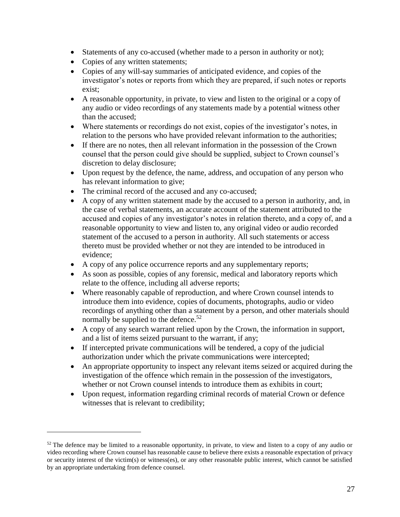- Statements of any co-accused (whether made to a person in authority or not);
- Copies of any written statements;

- Copies of any will-say summaries of anticipated evidence, and copies of the investigator's notes or reports from which they are prepared, if such notes or reports exist;
- A reasonable opportunity, in private, to view and listen to the original or a copy of any audio or video recordings of any statements made by a potential witness other than the accused;
- Where statements or recordings do not exist, copies of the investigator's notes, in relation to the persons who have provided relevant information to the authorities;
- If there are no notes, then all relevant information in the possession of the Crown counsel that the person could give should be supplied, subject to Crown counsel's discretion to delay disclosure;
- Upon request by the defence, the name, address, and occupation of any person who has relevant information to give;
- The criminal record of the accused and any co-accused;
- A copy of any written statement made by the accused to a person in authority, and, in the case of verbal statements, an accurate account of the statement attributed to the accused and copies of any investigator's notes in relation thereto, and a copy of, and a reasonable opportunity to view and listen to, any original video or audio recorded statement of the accused to a person in authority. All such statements or access thereto must be provided whether or not they are intended to be introduced in evidence;
- A copy of any police occurrence reports and any supplementary reports;
- As soon as possible, copies of any forensic, medical and laboratory reports which relate to the offence, including all adverse reports;
- Where reasonably capable of reproduction, and where Crown counsel intends to introduce them into evidence, copies of documents, photographs, audio or video recordings of anything other than a statement by a person, and other materials should normally be supplied to the defence.<sup>52</sup>
- A copy of any search warrant relied upon by the Crown, the information in support, and a list of items seized pursuant to the warrant, if any;
- If intercepted private communications will be tendered, a copy of the judicial authorization under which the private communications were intercepted;
- An appropriate opportunity to inspect any relevant items seized or acquired during the investigation of the offence which remain in the possession of the investigators, whether or not Crown counsel intends to introduce them as exhibits in court:
- Upon request, information regarding criminal records of material Crown or defence witnesses that is relevant to credibility;

 $52$  The defence may be limited to a reasonable opportunity, in private, to view and listen to a copy of any audio or video recording where Crown counsel has reasonable cause to believe there exists a reasonable expectation of privacy or security interest of the victim(s) or witness(es), or any other reasonable public interest, which cannot be satisfied by an appropriate undertaking from defence counsel.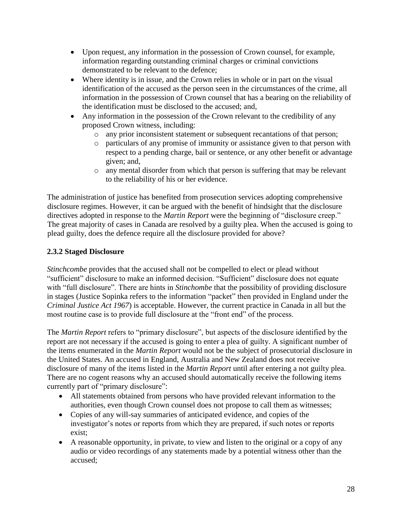- Upon request, any information in the possession of Crown counsel, for example, information regarding outstanding criminal charges or criminal convictions demonstrated to be relevant to the defence;
- Where identity is in issue, and the Crown relies in whole or in part on the visual identification of the accused as the person seen in the circumstances of the crime, all information in the possession of Crown counsel that has a bearing on the reliability of the identification must be disclosed to the accused; and,
- Any information in the possession of the Crown relevant to the credibility of any proposed Crown witness, including:
	- o any prior inconsistent statement or subsequent recantations of that person;
	- o particulars of any promise of immunity or assistance given to that person with respect to a pending charge, bail or sentence, or any other benefit or advantage given; and,
	- o any mental disorder from which that person is suffering that may be relevant to the reliability of his or her evidence.

The administration of justice has benefited from prosecution services adopting comprehensive disclosure regimes. However, it can be argued with the benefit of hindsight that the disclosure directives adopted in response to the *Martin Report* were the beginning of "disclosure creep." The great majority of cases in Canada are resolved by a guilty plea. When the accused is going to plead guilty, does the defence require all the disclosure provided for above?

### <span id="page-28-0"></span>**2.3.2 Staged Disclosure**

*Stinchcombe* provides that the accused shall not be compelled to elect or plead without "sufficient" disclosure to make an informed decision. "Sufficient" disclosure does not equate with "full disclosure". There are hints in *Stinchombe* that the possibility of providing disclosure in stages (Justice Sopinka refers to the information "packet" then provided in England under the *Criminal Justice Act 1967*) is acceptable. However, the current practice in Canada in all but the most routine case is to provide full disclosure at the "front end" of the process.

The *Martin Report* refers to "primary disclosure", but aspects of the disclosure identified by the report are not necessary if the accused is going to enter a plea of guilty. A significant number of the items enumerated in the *Martin Report* would not be the subject of prosecutorial disclosure in the United States. An accused in England, Australia and New Zealand does not receive disclosure of many of the items listed in the *Martin Report* until after entering a not guilty plea. There are no cogent reasons why an accused should automatically receive the following items currently part of "primary disclosure":

- All statements obtained from persons who have provided relevant information to the authorities, even though Crown counsel does not propose to call them as witnesses;
- Copies of any will-say summaries of anticipated evidence, and copies of the investigator's notes or reports from which they are prepared, if such notes or reports exist;
- A reasonable opportunity, in private, to view and listen to the original or a copy of any audio or video recordings of any statements made by a potential witness other than the accused;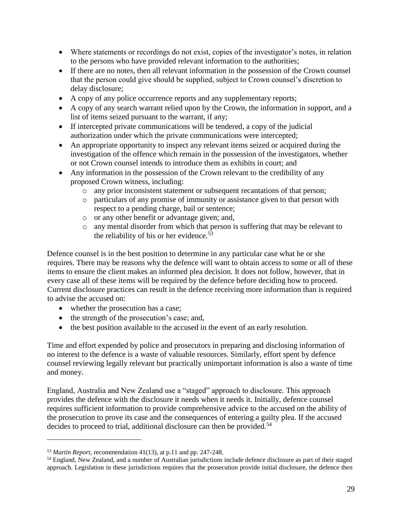- Where statements or recordings do not exist, copies of the investigator's notes, in relation to the persons who have provided relevant information to the authorities;
- If there are no notes, then all relevant information in the possession of the Crown counsel that the person could give should be supplied, subject to Crown counsel's discretion to delay disclosure;
- A copy of any police occurrence reports and any supplementary reports;
- A copy of any search warrant relied upon by the Crown, the information in support, and a list of items seized pursuant to the warrant, if any;
- If intercepted private communications will be tendered, a copy of the judicial authorization under which the private communications were intercepted;
- An appropriate opportunity to inspect any relevant items seized or acquired during the investigation of the offence which remain in the possession of the investigators, whether or not Crown counsel intends to introduce them as exhibits in court; and
- Any information in the possession of the Crown relevant to the credibility of any proposed Crown witness, including:
	- o any prior inconsistent statement or subsequent recantations of that person;
	- o particulars of any promise of immunity or assistance given to that person with respect to a pending charge, bail or sentence;
	- o or any other benefit or advantage given; and,
	- o any mental disorder from which that person is suffering that may be relevant to the reliability of his or her evidence.<sup>53</sup>

Defence counsel is in the best position to determine in any particular case what he or she requires. There may be reasons why the defence will want to obtain access to some or all of these items to ensure the client makes an informed plea decision. It does not follow, however, that in every case all of these items will be required by the defence before deciding how to proceed. Current disclosure practices can result in the defence receiving more information than is required to advise the accused on:

- whether the prosecution has a case;
- the strength of the prosecution's case; and,
- the best position available to the accused in the event of an early resolution.

Time and effort expended by police and prosecutors in preparing and disclosing information of no interest to the defence is a waste of valuable resources. Similarly, effort spent by defence counsel reviewing legally relevant but practically unimportant information is also a waste of time and money.

England, Australia and New Zealand use a "staged" approach to disclosure. This approach provides the defence with the disclosure it needs when it needs it. Initially, defence counsel requires sufficient information to provide comprehensive advice to the accused on the ability of the prosecution to prove its case and the consequences of entering a guilty plea. If the accused decides to proceed to trial, additional disclosure can then be provided.<sup>54</sup>

<sup>53</sup> *Martin Report,* recommendation 41(13), at p.11 and pp. 247-248.

<sup>&</sup>lt;sup>54</sup> England, New Zealand, and a number of Australian jurisdictions include defence disclosure as part of their staged approach. Legislation in these jurisdictions requires that the prosecution provide initial disclosure, the defence then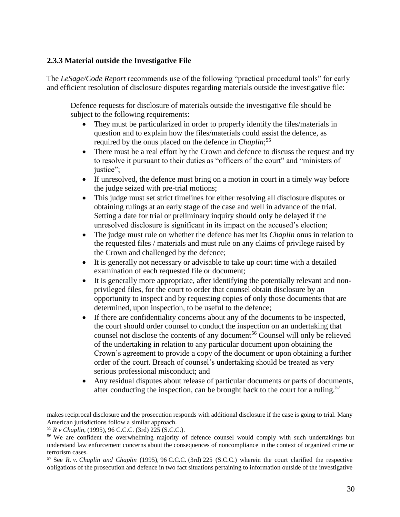#### <span id="page-30-0"></span>**2.3.3 Material outside the Investigative File**

The *LeSage/Code Report* recommends use of the following "practical procedural tools" for early and efficient resolution of disclosure disputes regarding materials outside the investigative file:

Defence requests for disclosure of materials outside the investigative file should be subject to the following requirements:

- They must be particularized in order to properly identify the files/materials in question and to explain how the files/materials could assist the defence, as required by the onus placed on the defence in *Chaplin*; 55
- There must be a real effort by the Crown and defence to discuss the request and try to resolve it pursuant to their duties as "officers of the court" and "ministers of justice";
- If unresolved, the defence must bring on a motion in court in a timely way before the judge seized with pre-trial motions;
- This judge must set strict timelines for either resolving all disclosure disputes or obtaining rulings at an early stage of the case and well in advance of the trial. Setting a date for trial or preliminary inquiry should only be delayed if the unresolved disclosure is significant in its impact on the accused's election;
- The judge must rule on whether the defence has met its *Chaplin* onus in relation to the requested files / materials and must rule on any claims of privilege raised by the Crown and challenged by the defence;
- It is generally not necessary or advisable to take up court time with a detailed examination of each requested file or document;
- It is generally more appropriate, after identifying the potentially relevant and nonprivileged files, for the court to order that counsel obtain disclosure by an opportunity to inspect and by requesting copies of only those documents that are determined, upon inspection, to be useful to the defence;
- If there are confidentiality concerns about any of the documents to be inspected, the court should order counsel to conduct the inspection on an undertaking that counsel not disclose the contents of any document<sup>56</sup> Counsel will only be relieved of the undertaking in relation to any particular document upon obtaining the Crown's agreement to provide a copy of the document or upon obtaining a further order of the court. Breach of counsel's undertaking should be treated as very serious professional misconduct; and
- Any residual disputes about release of particular documents or parts of documents, after conducting the inspection, can be brought back to the court for a ruling.<sup>57</sup>

makes reciprocal disclosure and the prosecution responds with additional disclosure if the case is going to trial. Many American jurisdictions follow a similar approach.

<sup>55</sup> *R v Chaplin*, (1995), 96 C.C.C. (3rd) 225 (S.C.C.).

<sup>56</sup> We are confident the overwhelming majority of defence counsel would comply with such undertakings but understand law enforcement concerns about the consequences of noncompliance in the context of organized crime or terrorism cases.

<sup>57</sup> See *R. v. Chaplin and Chaplin* (1995), 96 C.C.C. (3rd) 225 (S.C.C.) wherein the court clarified the respective obligations of the prosecution and defence in two fact situations pertaining to information outside of the investigative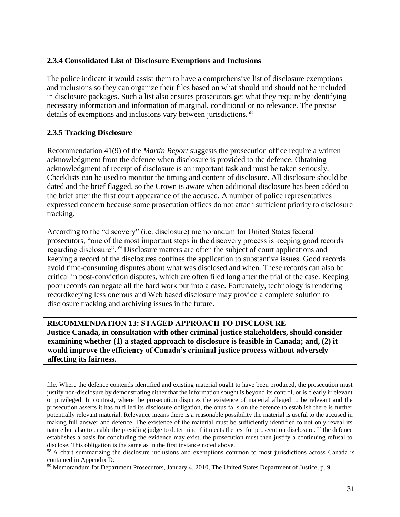#### <span id="page-31-0"></span>**2.3.4 Consolidated List of Disclosure Exemptions and Inclusions**

The police indicate it would assist them to have a comprehensive list of disclosure exemptions and inclusions so they can organize their files based on what should and should not be included in disclosure packages. Such a list also ensures prosecutors get what they require by identifying necessary information and information of marginal, conditional or no relevance. The precise details of exemptions and inclusions vary between jurisdictions. 58

#### <span id="page-31-1"></span>**2.3.5 Tracking Disclosure**

 $\overline{a}$ 

Recommendation 41(9) of the *Martin Report* suggests the prosecution office require a written acknowledgment from the defence when disclosure is provided to the defence. Obtaining acknowledgment of receipt of disclosure is an important task and must be taken seriously. Checklists can be used to monitor the timing and content of disclosure. All disclosure should be dated and the brief flagged, so the Crown is aware when additional disclosure has been added to the brief after the first court appearance of the accused. A number of police representatives expressed concern because some prosecution offices do not attach sufficient priority to disclosure tracking.

According to the "discovery" (i.e. disclosure) memorandum for United States federal prosecutors, "one of the most important steps in the discovery process is keeping good records regarding disclosure".<sup>59</sup> Disclosure matters are often the subject of court applications and keeping a record of the disclosures confines the application to substantive issues. Good records avoid time-consuming disputes about what was disclosed and when. These records can also be critical in post-conviction disputes, which are often filed long after the trial of the case. Keeping poor records can negate all the hard work put into a case. Fortunately, technology is rendering recordkeeping less onerous and Web based disclosure may provide a complete solution to disclosure tracking and archiving issues in the future.

**RECOMMENDATION 13: STAGED APPROACH TO DISCLOSURE Justice Canada, in consultation with other criminal justice stakeholders, should consider examining whether (1) a staged approach to disclosure is feasible in Canada; and, (2) it would improve the efficiency of Canada's criminal justice process without adversely affecting its fairness.** 

file. Where the defence contends identified and existing material ought to have been produced, the prosecution must justify non-disclosure by demonstrating either that the information sought is beyond its control, or is clearly irrelevant or privileged. In contrast, where the prosecution disputes the existence of material alleged to be relevant and the prosecution asserts it has fulfilled its disclosure obligation, the onus falls on the defence to establish there is further potentially relevant material. Relevance means there is a reasonable possibility the material is useful to the accused in making full answer and defence. The existence of the material must be sufficiently identified to not only reveal its nature but also to enable the presiding judge to determine if it meets the test for prosecution disclosure. If the defence establishes a basis for concluding the evidence may exist, the prosecution must then justify a continuing refusal to disclose. This obligation is the same as in the first instance noted above.

<sup>&</sup>lt;sup>58</sup> A chart summarizing the disclosure inclusions and exemptions common to most jurisdictions across Canada is contained in Appendix D.

<sup>59</sup> Memorandum for Department Prosecutors, January 4, 2010, The United States Department of Justice, p. 9.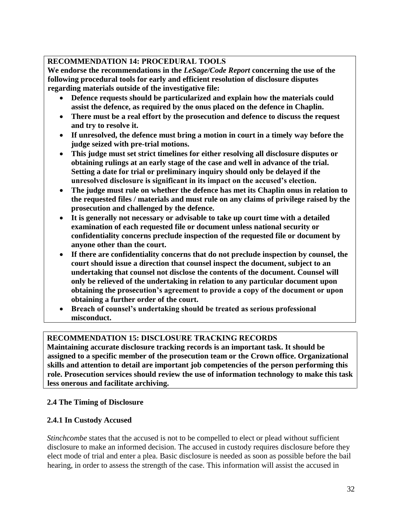### **RECOMMENDATION 14: PROCEDURAL TOOLS**

**We endorse the recommendations in the** *LeSage/Code Report* **concerning the use of the following procedural tools for early and efficient resolution of disclosure disputes regarding materials outside of the investigative file:**

- **Defence requests should be particularized and explain how the materials could assist the defence, as required by the onus placed on the defence in Chaplin.**
- **There must be a real effort by the prosecution and defence to discuss the request and try to resolve it.**
- **If unresolved, the defence must bring a motion in court in a timely way before the judge seized with pre-trial motions.**
- **This judge must set strict timelines for either resolving all disclosure disputes or obtaining rulings at an early stage of the case and well in advance of the trial. Setting a date for trial or preliminary inquiry should only be delayed if the unresolved disclosure is significant in its impact on the accused's election.**
- **The judge must rule on whether the defence has met its Chaplin onus in relation to the requested files / materials and must rule on any claims of privilege raised by the prosecution and challenged by the defence.**
- **It is generally not necessary or advisable to take up court time with a detailed examination of each requested file or document unless national security or confidentiality concerns preclude inspection of the requested file or document by anyone other than the court.**
- **If there are confidentiality concerns that do not preclude inspection by counsel, the court should issue a direction that counsel inspect the document, subject to an undertaking that counsel not disclose the contents of the document. Counsel will only be relieved of the undertaking in relation to any particular document upon obtaining the prosecution's agreement to provide a copy of the document or upon obtaining a further order of the court.**
- **Breach of counsel's undertaking should be treated as serious professional misconduct.**

### **RECOMMENDATION 15: DISCLOSURE TRACKING RECORDS**

**Maintaining accurate disclosure tracking records is an important task. It should be assigned to a specific member of the prosecution team or the Crown office. Organizational skills and attention to detail are important job competencies of the person performing this role. Prosecution services should review the use of information technology to make this task less onerous and facilitate archiving.**

### <span id="page-32-0"></span>**2.4 The Timing of Disclosure**

### <span id="page-32-1"></span>**2.4.1 In Custody Accused**

*Stinchcombe* states that the accused is not to be compelled to elect or plead without sufficient disclosure to make an informed decision. The accused in custody requires disclosure before they elect mode of trial and enter a plea. Basic disclosure is needed as soon as possible before the bail hearing, in order to assess the strength of the case. This information will assist the accused in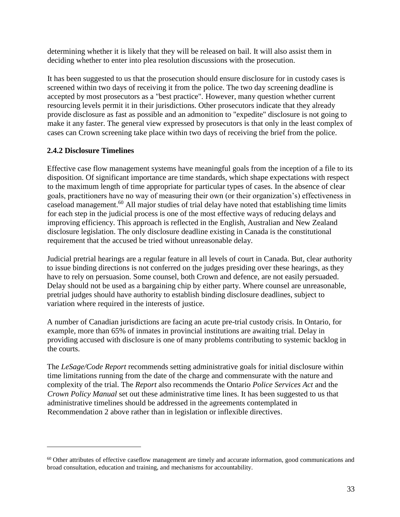determining whether it is likely that they will be released on bail. It will also assist them in deciding whether to enter into plea resolution discussions with the prosecution.

It has been suggested to us that the prosecution should ensure disclosure for in custody cases is screened within two days of receiving it from the police. The two day screening deadline is accepted by most prosecutors as a "best practice". However, many question whether current resourcing levels permit it in their jurisdictions. Other prosecutors indicate that they already provide disclosure as fast as possible and an admonition to "expedite" disclosure is not going to make it any faster. The general view expressed by prosecutors is that only in the least complex of cases can Crown screening take place within two days of receiving the brief from the police.

### <span id="page-33-0"></span>**2.4.2 Disclosure Timelines**

 $\overline{a}$ 

Effective case flow management systems have meaningful goals from the inception of a file to its disposition. Of significant importance are time standards, which shape expectations with respect to the maximum length of time appropriate for particular types of cases. In the absence of clear goals, practitioners have no way of measuring their own (or their organization's) effectiveness in caseload management.<sup>60</sup> All major studies of trial delay have noted that establishing time limits for each step in the judicial process is one of the most effective ways of reducing delays and improving efficiency. This approach is reflected in the English, Australian and New Zealand disclosure legislation. The only disclosure deadline existing in Canada is the constitutional requirement that the accused be tried without unreasonable delay.

Judicial pretrial hearings are a regular feature in all levels of court in Canada. But, clear authority to issue binding directions is not conferred on the judges presiding over these hearings, as they have to rely on persuasion. Some counsel, both Crown and defence, are not easily persuaded. Delay should not be used as a bargaining chip by either party. Where counsel are unreasonable, pretrial judges should have authority to establish binding disclosure deadlines, subject to variation where required in the interests of justice.

A number of Canadian jurisdictions are facing an acute pre-trial custody crisis. In Ontario, for example, more than 65% of inmates in provincial institutions are awaiting trial. Delay in providing accused with disclosure is one of many problems contributing to systemic backlog in the courts.

The *LeSage/Code Report* recommends setting administrative goals for initial disclosure within time limitations running from the date of the charge and commensurate with the nature and complexity of the trial. The *Report* also recommends the Ontario *Police Services Act* and the *Crown Policy Manual* set out these administrative time lines. It has been suggested to us that administrative timelines should be addressed in the agreements contemplated in Recommendation 2 above rather than in legislation or inflexible directives.

<sup>&</sup>lt;sup>60</sup> Other attributes of effective caseflow management are timely and accurate information, good communications and broad consultation, education and training, and mechanisms for accountability.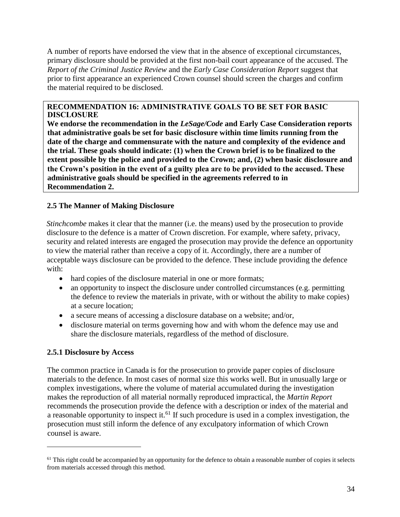A number of reports have endorsed the view that in the absence of exceptional circumstances, primary disclosure should be provided at the first non-bail court appearance of the accused. The *Report of the Criminal Justice Review* and the *Early Case Consideration Report* suggest that prior to first appearance an experienced Crown counsel should screen the charges and confirm the material required to be disclosed.

#### **RECOMMENDATION 16: ADMINISTRATIVE GOALS TO BE SET FOR BASIC DISCLOSURE**

**We endorse the recommendation in the** *LeSage/Code* **and Early Case Consideration reports that administrative goals be set for basic disclosure within time limits running from the date of the charge and commensurate with the nature and complexity of the evidence and the trial. These goals should indicate: (1) when the Crown brief is to be finalized to the extent possible by the police and provided to the Crown; and, (2) when basic disclosure and the Crown's position in the event of a guilty plea are to be provided to the accused. These administrative goals should be specified in the agreements referred to in Recommendation 2.** 

#### <span id="page-34-0"></span>**2.5 The Manner of Making Disclosure**

*Stinchcombe* makes it clear that the manner (i.e. the means) used by the prosecution to provide disclosure to the defence is a matter of Crown discretion. For example, where safety, privacy, security and related interests are engaged the prosecution may provide the defence an opportunity to view the material rather than receive a copy of it. Accordingly, there are a number of acceptable ways disclosure can be provided to the defence. These include providing the defence with:

- hard copies of the disclosure material in one or more formats;
- an opportunity to inspect the disclosure under controlled circumstances (e.g. permitting the defence to review the materials in private, with or without the ability to make copies) at a secure location;
- a secure means of accessing a disclosure database on a website; and/or,
- disclosure material on terms governing how and with whom the defence may use and share the disclosure materials, regardless of the method of disclosure.

#### <span id="page-34-1"></span>**2.5.1 Disclosure by Access**

 $\overline{a}$ 

The common practice in Canada is for the prosecution to provide paper copies of disclosure materials to the defence. In most cases of normal size this works well. But in unusually large or complex investigations, where the volume of material accumulated during the investigation makes the reproduction of all material normally reproduced impractical, the *Martin Report* recommends the prosecution provide the defence with a description or index of the material and a reasonable opportunity to inspect it.<sup>61</sup> If such procedure is used in a complex investigation, the prosecution must still inform the defence of any exculpatory information of which Crown counsel is aware.

 $61$  This right could be accompanied by an opportunity for the defence to obtain a reasonable number of copies it selects from materials accessed through this method.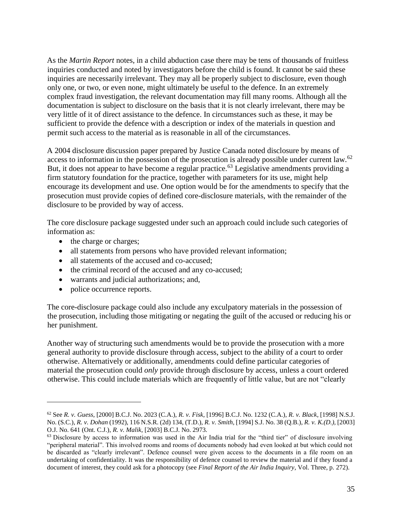As the *Martin Report* notes, in a child abduction case there may be tens of thousands of fruitless inquiries conducted and noted by investigators before the child is found. It cannot be said these inquiries are necessarily irrelevant. They may all be properly subject to disclosure, even though only one, or two, or even none, might ultimately be useful to the defence. In an extremely complex fraud investigation, the relevant documentation may fill many rooms. Although all the documentation is subject to disclosure on the basis that it is not clearly irrelevant, there may be very little of it of direct assistance to the defence. In circumstances such as these, it may be sufficient to provide the defence with a description or index of the materials in question and permit such access to the material as is reasonable in all of the circumstances.

A 2004 disclosure discussion paper prepared by Justice Canada noted disclosure by means of access to information in the possession of the prosecution is already possible under current law.<sup>62</sup> But, it does not appear to have become a regular practice.<sup>63</sup> Legislative amendments providing a firm statutory foundation for the practice, together with parameters for its use, might help encourage its development and use. One option would be for the amendments to specify that the prosecution must provide copies of defined core-disclosure materials, with the remainder of the disclosure to be provided by way of access.

The core disclosure package suggested under such an approach could include such categories of information as:

- the charge or charges;
- all statements from persons who have provided relevant information;
- all statements of the accused and co-accused;
- the criminal record of the accused and any co-accused;
- warrants and judicial authorizations; and,
- police occurrence reports.

 $\overline{a}$ 

The core-disclosure package could also include any exculpatory materials in the possession of the prosecution, including those mitigating or negating the guilt of the accused or reducing his or her punishment.

Another way of structuring such amendments would be to provide the prosecution with a more general authority to provide disclosure through access, subject to the ability of a court to order otherwise. Alternatively or additionally, amendments could define particular categories of material the prosecution could *only* provide through disclosure by access, unless a court ordered otherwise. This could include materials which are frequently of little value, but are not "clearly

<sup>62</sup> See *R. v. Guess*, [2000] B.C.J. No. 2023 (C.A.), *R. v. Fisk*, [1996] B.C.J. No. 1232 (C.A.), *R. v. Black*, [1998] N.S.J. No. (S.C.), *R. v. Dohan* (1992), 116 N.S.R. (2d) 134, (T.D.), *R. v. Smith,* [1994] S.J. No. 38 (Q.B.), *R. v. K.(D.),* [2003] O.J. No. 641 (Ont. C.J.), *R. v. Malik,* [2003] B.C.J. No. 2973.

<sup>&</sup>lt;sup>63</sup> Disclosure by access to information was used in the Air India trial for the "third tier" of disclosure involving "peripheral material". This involved rooms and rooms of documents nobody had even looked at but which could not be discarded as "clearly irrelevant". Defence counsel were given access to the documents in a file room on an undertaking of confidentiality. It was the responsibility of defence counsel to review the material and if they found a document of interest, they could ask for a photocopy (see *Final Report of the Air India Inquiry*, Vol. Three, p. 272).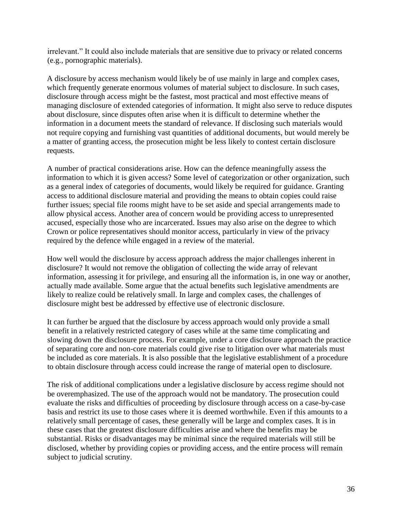irrelevant." It could also include materials that are sensitive due to privacy or related concerns (e.g., pornographic materials).

A disclosure by access mechanism would likely be of use mainly in large and complex cases, which frequently generate enormous volumes of material subject to disclosure. In such cases, disclosure through access might be the fastest, most practical and most effective means of managing disclosure of extended categories of information. It might also serve to reduce disputes about disclosure, since disputes often arise when it is difficult to determine whether the information in a document meets the standard of relevance. If disclosing such materials would not require copying and furnishing vast quantities of additional documents, but would merely be a matter of granting access, the prosecution might be less likely to contest certain disclosure requests.

A number of practical considerations arise. How can the defence meaningfully assess the information to which it is given access? Some level of categorization or other organization, such as a general index of categories of documents, would likely be required for guidance. Granting access to additional disclosure material and providing the means to obtain copies could raise further issues; special file rooms might have to be set aside and special arrangements made to allow physical access. Another area of concern would be providing access to unrepresented accused, especially those who are incarcerated. Issues may also arise on the degree to which Crown or police representatives should monitor access, particularly in view of the privacy required by the defence while engaged in a review of the material.

How well would the disclosure by access approach address the major challenges inherent in disclosure? It would not remove the obligation of collecting the wide array of relevant information, assessing it for privilege, and ensuring all the information is, in one way or another, actually made available. Some argue that the actual benefits such legislative amendments are likely to realize could be relatively small. In large and complex cases, the challenges of disclosure might best be addressed by effective use of electronic disclosure.

It can further be argued that the disclosure by access approach would only provide a small benefit in a relatively restricted category of cases while at the same time complicating and slowing down the disclosure process. For example, under a core disclosure approach the practice of separating core and non-core materials could give rise to litigation over what materials must be included as core materials. It is also possible that the legislative establishment of a procedure to obtain disclosure through access could increase the range of material open to disclosure.

The risk of additional complications under a legislative disclosure by access regime should not be overemphasized. The use of the approach would not be mandatory. The prosecution could evaluate the risks and difficulties of proceeding by disclosure through access on a case-by-case basis and restrict its use to those cases where it is deemed worthwhile. Even if this amounts to a relatively small percentage of cases, these generally will be large and complex cases. It is in these cases that the greatest disclosure difficulties arise and where the benefits may be substantial. Risks or disadvantages may be minimal since the required materials will still be disclosed, whether by providing copies or providing access, and the entire process will remain subject to judicial scrutiny.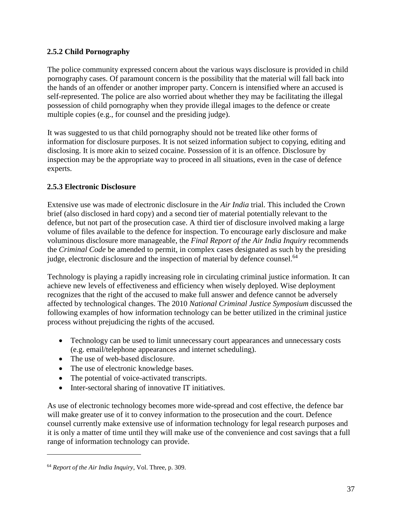# **2.5.2 Child Pornography**

The police community expressed concern about the various ways disclosure is provided in child pornography cases. Of paramount concern is the possibility that the material will fall back into the hands of an offender or another improper party. Concern is intensified where an accused is self-represented. The police are also worried about whether they may be facilitating the illegal possession of child pornography when they provide illegal images to the defence or create multiple copies (e.g., for counsel and the presiding judge).

It was suggested to us that child pornography should not be treated like other forms of information for disclosure purposes. It is not seized information subject to copying, editing and disclosing. It is more akin to seized cocaine. Possession of it is an offence. Disclosure by inspection may be the appropriate way to proceed in all situations, even in the case of defence experts.

# **2.5.3 Electronic Disclosure**

Extensive use was made of electronic disclosure in the *Air India* trial. This included the Crown brief (also disclosed in hard copy) and a second tier of material potentially relevant to the defence, but not part of the prosecution case. A third tier of disclosure involved making a large volume of files available to the defence for inspection. To encourage early disclosure and make voluminous disclosure more manageable, the *Final Report of the Air India Inquiry* recommends the *Criminal Code* be amended to permit, in complex cases designated as such by the presiding judge, electronic disclosure and the inspection of material by defence counsel.<sup>64</sup>

Technology is playing a rapidly increasing role in circulating criminal justice information. It can achieve new levels of effectiveness and efficiency when wisely deployed. Wise deployment recognizes that the right of the accused to make full answer and defence cannot be adversely affected by technological changes. The 2010 *National Criminal Justice Symposium* discussed the following examples of how information technology can be better utilized in the criminal justice process without prejudicing the rights of the accused.

- Technology can be used to limit unnecessary court appearances and unnecessary costs (e.g. email/telephone appearances and internet scheduling).
- The use of web-based disclosure.
- The use of electronic knowledge bases.
- The potential of voice-activated transcripts.
- Inter-sectoral sharing of innovative IT initiatives.

As use of electronic technology becomes more wide-spread and cost effective, the defence bar will make greater use of it to convey information to the prosecution and the court. Defence counsel currently make extensive use of information technology for legal research purposes and it is only a matter of time until they will make use of the convenience and cost savings that a full range of information technology can provide.

<sup>64</sup> *Report of the Air India Inquiry*, Vol. Three, p. 309.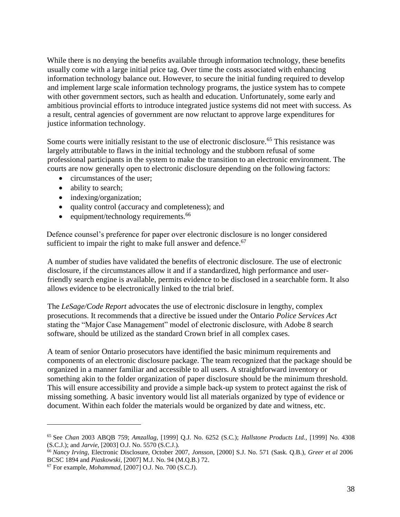While there is no denying the benefits available through information technology, these benefits usually come with a large initial price tag. Over time the costs associated with enhancing information technology balance out. However, to secure the initial funding required to develop and implement large scale information technology programs, the justice system has to compete with other government sectors, such as health and education. Unfortunately, some early and ambitious provincial efforts to introduce integrated justice systems did not meet with success. As a result, central agencies of government are now reluctant to approve large expenditures for justice information technology.

Some courts were initially resistant to the use of electronic disclosure.<sup>65</sup> This resistance was largely attributable to flaws in the initial technology and the stubborn refusal of some professional participants in the system to make the transition to an electronic environment. The courts are now generally open to electronic disclosure depending on the following factors:

- circumstances of the user;
- ability to search;
- indexing/organization;
- quality control (accuracy and completeness); and
- $\bullet$  equipment/technology requirements.<sup>66</sup>

Defence counsel's preference for paper over electronic disclosure is no longer considered sufficient to impair the right to make full answer and defence.<sup>67</sup>

A number of studies have validated the benefits of electronic disclosure. The use of electronic disclosure, if the circumstances allow it and if a standardized, high performance and userfriendly search engine is available, permits evidence to be disclosed in a searchable form. It also allows evidence to be electronically linked to the trial brief.

The *LeSage/Code Report* advocates the use of electronic disclosure in lengthy, complex prosecutions. It recommends that a directive be issued under the Ontario *Police Services Act* stating the "Major Case Management" model of electronic disclosure, with Adobe 8 search software, should be utilized as the standard Crown brief in all complex cases.

A team of senior Ontario prosecutors have identified the basic minimum requirements and components of an electronic disclosure package. The team recognized that the package should be organized in a manner familiar and accessible to all users. A straightforward inventory or something akin to the folder organization of paper disclosure should be the minimum threshold. This will ensure accessibility and provide a simple back-up system to protect against the risk of missing something. A basic inventory would list all materials organized by type of evidence or document. Within each folder the materials would be organized by date and witness, etc.

<sup>65</sup> See *Chan* 2003 ABQB 759; *Amzallag,* [1999] Q.J. No. 6252 (S.C.); *Hallstone Products Ltd.,* [1999] No. 4308 (S.C.J.); and *Jarvie*, [2003] O.J. No. 5570 (S.C.J.).

<sup>66</sup> *Nancy Irving,* Electronic Disclosure, October 2007, *Jonsson*, [2000] S.J. No. 571 (Sask. Q.B.), *Greer et al* 2006 BCSC 1894 and *Piaskowski*, [2007] M.J. No. 94 (M.Q.B.) 72.

<sup>67</sup> For example, *Mohammad*, [2007] O.J. No. 700 (S.C.J).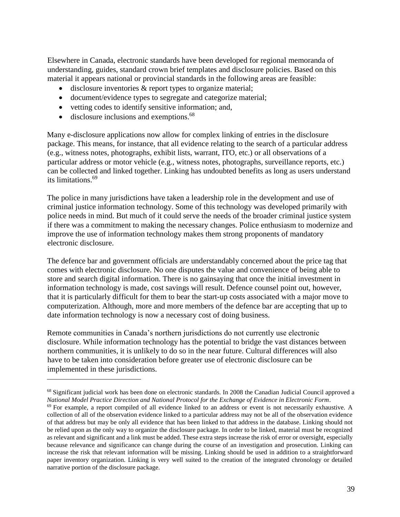Elsewhere in Canada, electronic standards have been developed for regional memoranda of understanding, guides, standard crown brief templates and disclosure policies. Based on this material it appears national or provincial standards in the following areas are feasible:

- disclosure inventories & report types to organize material;
- document/evidence types to segregate and categorize material;
- vetting codes to identify sensitive information; and,
- disclosure inclusions and exemptions.<sup>68</sup>

 $\overline{a}$ 

Many e-disclosure applications now allow for complex linking of entries in the disclosure package. This means, for instance, that all evidence relating to the search of a particular address (e.g., witness notes, photographs, exhibit lists, warrant, ITO, etc.) or all observations of a particular address or motor vehicle (e.g., witness notes, photographs, surveillance reports, etc.) can be collected and linked together. Linking has undoubted benefits as long as users understand its limitations.<sup>69</sup>

The police in many jurisdictions have taken a leadership role in the development and use of criminal justice information technology. Some of this technology was developed primarily with police needs in mind. But much of it could serve the needs of the broader criminal justice system if there was a commitment to making the necessary changes. Police enthusiasm to modernize and improve the use of information technology makes them strong proponents of mandatory electronic disclosure.

The defence bar and government officials are understandably concerned about the price tag that comes with electronic disclosure. No one disputes the value and convenience of being able to store and search digital information. There is no gainsaying that once the initial investment in information technology is made, cost savings will result. Defence counsel point out, however, that it is particularly difficult for them to bear the start-up costs associated with a major move to computerization. Although, more and more members of the defence bar are accepting that up to date information technology is now a necessary cost of doing business.

Remote communities in Canada's northern jurisdictions do not currently use electronic disclosure. While information technology has the potential to bridge the vast distances between northern communities, it is unlikely to do so in the near future. Cultural differences will also have to be taken into consideration before greater use of electronic disclosure can be implemented in these jurisdictions.

<sup>&</sup>lt;sup>68</sup> Significant judicial work has been done on electronic standards. In 2008 the Canadian Judicial Council approved a *National Model Practice Direction and National Protocol for the Exchange of Evidence in Electronic Form*.

 $69$  For example, a report compiled of all evidence linked to an address or event is not necessarily exhaustive. A collection of all of the observation evidence linked to a particular address may not be all of the observation evidence of that address but may be only all evidence that has been linked to that address in the database. Linking should not be relied upon as the only way to organize the disclosure package. In order to be linked, material must be recognized as relevant and significant and a link must be added. These extra steps increase the risk of error or oversight, especially because relevance and significance can change during the course of an investigation and prosecution. Linking can increase the risk that relevant information will be missing. Linking should be used in addition to a straightforward paper inventory organization. Linking is very well suited to the creation of the integrated chronology or detailed narrative portion of the disclosure package.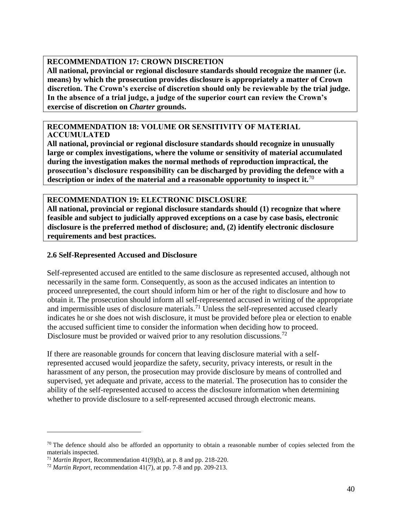#### **RECOMMENDATION 17: CROWN DISCRETION**

**All national, provincial or regional disclosure standards should recognize the manner (i.e. means) by which the prosecution provides disclosure is appropriately a matter of Crown discretion. The Crown's exercise of discretion should only be reviewable by the trial judge. In the absence of a trial judge, a judge of the superior court can review the Crown's exercise of discretion on** *Charter* **grounds.** 

#### **RECOMMENDATION 18: VOLUME OR SENSITIVITY OF MATERIAL ACCUMULATED**

**All national, provincial or regional disclosure standards should recognize in unusually large or complex investigations, where the volume or sensitivity of material accumulated during the investigation makes the normal methods of reproduction impractical, the prosecution's disclosure responsibility can be discharged by providing the defence with a description or index of the material and a reasonable opportunity to inspect it.**<sup>70</sup>

#### **RECOMMENDATION 19: ELECTRONIC DISCLOSURE**

**All national, provincial or regional disclosure standards should (1) recognize that where feasible and subject to judicially approved exceptions on a case by case basis, electronic disclosure is the preferred method of disclosure; and, (2) identify electronic disclosure requirements and best practices.** 

## **2.6 Self-Represented Accused and Disclosure**

Self-represented accused are entitled to the same disclosure as represented accused, although not necessarily in the same form. Consequently, as soon as the accused indicates an intention to proceed unrepresented, the court should inform him or her of the right to disclosure and how to obtain it. The prosecution should inform all self-represented accused in writing of the appropriate and impermissible uses of disclosure materials.<sup>71</sup> Unless the self-represented accused clearly indicates he or she does not wish disclosure, it must be provided before plea or election to enable the accused sufficient time to consider the information when deciding how to proceed. Disclosure must be provided or waived prior to any resolution discussions.<sup>72</sup>

If there are reasonable grounds for concern that leaving disclosure material with a selfrepresented accused would jeopardize the safety, security, privacy interests, or result in the harassment of any person, the prosecution may provide disclosure by means of controlled and supervised, yet adequate and private, access to the material. The prosecution has to consider the ability of the self-represented accused to access the disclosure information when determining whether to provide disclosure to a self-represented accused through electronic means.

 $70$  The defence should also be afforded an opportunity to obtain a reasonable number of copies selected from the materials inspected.

<sup>71</sup> *Martin Report*, Recommendation 41(9)(b), at p. 8 and pp. 218-220.

<sup>72</sup> *Martin Report*, recommendation 41(7), at pp. 7-8 and pp. 209-213.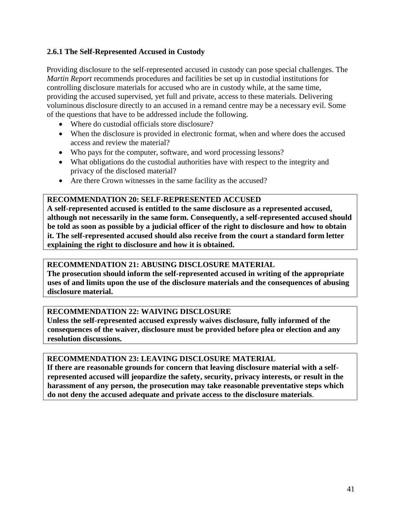# **2.6.1 The Self-Represented Accused in Custody**

Providing disclosure to the self-represented accused in custody can pose special challenges. The *Martin Report* recommends procedures and facilities be set up in custodial institutions for controlling disclosure materials for accused who are in custody while, at the same time, providing the accused supervised, yet full and private, access to these materials. Delivering voluminous disclosure directly to an accused in a remand centre may be a necessary evil. Some of the questions that have to be addressed include the following.

- Where do custodial officials store disclosure?
- When the disclosure is provided in electronic format, when and where does the accused access and review the material?
- Who pays for the computer, software, and word processing lessons?
- What obligations do the custodial authorities have with respect to the integrity and privacy of the disclosed material?
- Are there Crown witnesses in the same facility as the accused?

#### **RECOMMENDATION 20: SELF-REPRESENTED ACCUSED**

**A self-represented accused is entitled to the same disclosure as a represented accused, although not necessarily in the same form. Consequently, a self-represented accused should be told as soon as possible by a judicial officer of the right to disclosure and how to obtain it. The self-represented accused should also receive from the court a standard form letter explaining the right to disclosure and how it is obtained.** 

## **RECOMMENDATION 21: ABUSING DISCLOSURE MATERIAL**

**The prosecution should inform the self-represented accused in writing of the appropriate uses of and limits upon the use of the disclosure materials and the consequences of abusing disclosure material.** 

## **RECOMMENDATION 22: WAIVING DISCLOSURE**

**Unless the self-represented accused expressly waives disclosure, fully informed of the consequences of the waiver, disclosure must be provided before plea or election and any resolution discussions.** 

#### **RECOMMENDATION 23: LEAVING DISCLOSURE MATERIAL**

**If there are reasonable grounds for concern that leaving disclosure material with a selfrepresented accused will jeopardize the safety, security, privacy interests, or result in the harassment of any person, the prosecution may take reasonable preventative steps which do not deny the accused adequate and private access to the disclosure materials**.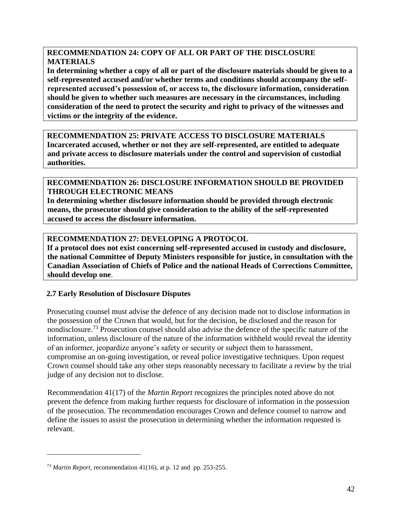# **RECOMMENDATION 24: COPY OF ALL OR PART OF THE DISCLOSURE MATERIALS**

**In determining whether a copy of all or part of the disclosure materials should be given to a self-represented accused and/or whether terms and conditions should accompany the selfrepresented accused's possession of, or access to, the disclosure information, consideration should be given to whether such measures are necessary in the circumstances, including consideration of the need to protect the security and right to privacy of the witnesses and victims or the integrity of the evidence.** 

**RECOMMENDATION 25: PRIVATE ACCESS TO DISCLOSURE MATERIALS Incarcerated accused, whether or not they are self-represented, are entitled to adequate and private access to disclosure materials under the control and supervision of custodial authorities.** 

# **RECOMMENDATION 26: DISCLOSURE INFORMATION SHOULD BE PROVIDED THROUGH ELECTRONIC MEANS**

**In determining whether disclosure information should be provided through electronic means, the prosecutor should give consideration to the ability of the self-represented accused to access the disclosure information.** 

# **RECOMMENDATION 27: DEVELOPING A PROTOCOL**

**If a protocol does not exist concerning self-represented accused in custody and disclosure, the national Committee of Deputy Ministers responsible for justice, in consultation with the Canadian Association of Chiefs of Police and the national Heads of Corrections Committee, should develop one**.

## **2.7 Early Resolution of Disclosure Disputes**

Prosecuting counsel must advise the defence of any decision made not to disclose information in the possession of the Crown that would, but for the decision, be disclosed and the reason for nondisclosure.<sup>73</sup> Prosecution counsel should also advise the defence of the specific nature of the information, unless disclosure of the nature of the information withheld would reveal the identity of an informer, jeopardize anyone's safety or security or subject them to harassment, compromise an on-going investigation, or reveal police investigative techniques. Upon request Crown counsel should take any other steps reasonably necessary to facilitate a review by the trial judge of any decision not to disclose.

Recommendation 41(17) of the *Martin Report* recognizes the principles noted above do not prevent the defence from making further requests for disclosure of information in the possession of the prosecution. The recommendation encourages Crown and defence counsel to narrow and define the issues to assist the prosecution in determining whether the information requested is relevant.

<sup>73</sup> *Martin Report*, recommendation 41(16), at p. 12 and pp. 253-255.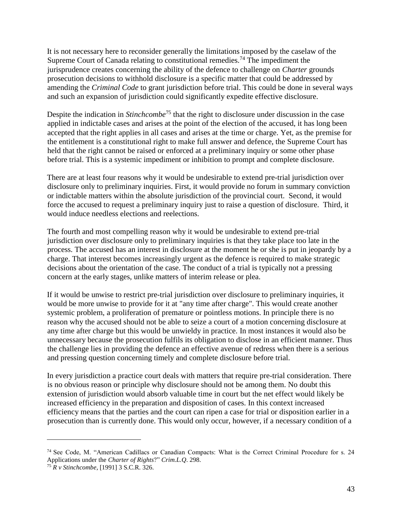It is not necessary here to reconsider generally the limitations imposed by the caselaw of the Supreme Court of Canada relating to constitutional remedies.<sup>74</sup> The impediment the jurisprudence creates concerning the ability of the defence to challenge on *Charter* grounds prosecution decisions to withhold disclosure is a specific matter that could be addressed by amending the *Criminal Code* to grant jurisdiction before trial. This could be done in several ways and such an expansion of jurisdiction could significantly expedite effective disclosure.

Despite the indication in *Stinchcombe*<sup>75</sup> that the right to disclosure under discussion in the case applied in indictable cases and arises at the point of the election of the accused, it has long been accepted that the right applies in all cases and arises at the time or charge. Yet, as the premise for the entitlement is a constitutional right to make full answer and defence, the Supreme Court has held that the right cannot be raised or enforced at a preliminary inquiry or some other phase before trial. This is a systemic impediment or inhibition to prompt and complete disclosure.

There are at least four reasons why it would be undesirable to extend pre-trial jurisdiction over disclosure only to preliminary inquiries. First, it would provide no forum in summary conviction or indictable matters within the absolute jurisdiction of the provincial court. Second, it would force the accused to request a preliminary inquiry just to raise a question of disclosure. Third, it would induce needless elections and reelections.

The fourth and most compelling reason why it would be undesirable to extend pre-trial jurisdiction over disclosure only to preliminary inquiries is that they take place too late in the process. The accused has an interest in disclosure at the moment he or she is put in jeopardy by a charge. That interest becomes increasingly urgent as the defence is required to make strategic decisions about the orientation of the case. The conduct of a trial is typically not a pressing concern at the early stages, unlike matters of interim release or plea.

If it would be unwise to restrict pre-trial jurisdiction over disclosure to preliminary inquiries, it would be more unwise to provide for it at "any time after charge". This would create another systemic problem, a proliferation of premature or pointless motions. In principle there is no reason why the accused should not be able to seize a court of a motion concerning disclosure at any time after charge but this would be unwieldy in practice. In most instances it would also be unnecessary because the prosecution fulfils its obligation to disclose in an efficient manner. Thus the challenge lies in providing the defence an effective avenue of redress when there is a serious and pressing question concerning timely and complete disclosure before trial.

In every jurisdiction a practice court deals with matters that require pre-trial consideration. There is no obvious reason or principle why disclosure should not be among them. No doubt this extension of jurisdiction would absorb valuable time in court but the net effect would likely be increased efficiency in the preparation and disposition of cases. In this context increased efficiency means that the parties and the court can ripen a case for trial or disposition earlier in a prosecution than is currently done. This would only occur, however, if a necessary condition of a

<sup>74</sup> See Code, M. "American Cadillacs or Canadian Compacts: What is the Correct Criminal Procedure for s. 24 Applications under the *Charter of Rights*?" *Crim.L.Q*. 298.

<sup>75</sup> *R v Stinchcombe*, [1991] 3 S.C.R. 326.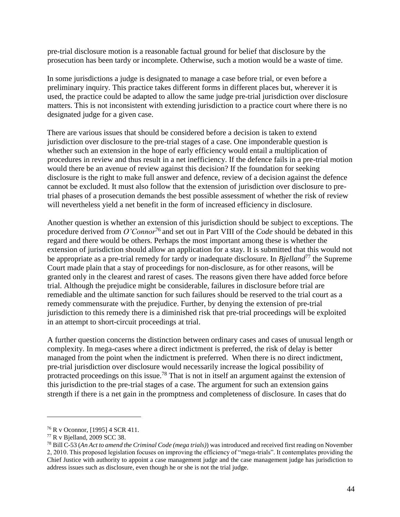pre-trial disclosure motion is a reasonable factual ground for belief that disclosure by the prosecution has been tardy or incomplete. Otherwise, such a motion would be a waste of time.

In some jurisdictions a judge is designated to manage a case before trial, or even before a preliminary inquiry. This practice takes different forms in different places but, wherever it is used, the practice could be adapted to allow the same judge pre-trial jurisdiction over disclosure matters. This is not inconsistent with extending jurisdiction to a practice court where there is no designated judge for a given case.

There are various issues that should be considered before a decision is taken to extend jurisdiction over disclosure to the pre-trial stages of a case. One imponderable question is whether such an extension in the hope of early efficiency would entail a multiplication of procedures in review and thus result in a net inefficiency. If the defence fails in a pre-trial motion would there be an avenue of review against this decision? If the foundation for seeking disclosure is the right to make full answer and defence, review of a decision against the defence cannot be excluded. It must also follow that the extension of jurisdiction over disclosure to pretrial phases of a prosecution demands the best possible assessment of whether the risk of review will nevertheless yield a net benefit in the form of increased efficiency in disclosure.

Another question is whether an extension of this jurisdiction should be subject to exceptions. The procedure derived from *O'Connor*<sup>76</sup> and set out in Part VIII of the *Code* should be debated in this regard and there would be others. Perhaps the most important among these is whether the extension of jurisdiction should allow an application for a stay. It is submitted that this would not be appropriate as a pre-trial remedy for tardy or inadequate disclosure. In *Bjelland*<sup>77</sup> the Supreme Court made plain that a stay of proceedings for non-disclosure, as for other reasons, will be granted only in the clearest and rarest of cases. The reasons given there have added force before trial. Although the prejudice might be considerable, failures in disclosure before trial are remediable and the ultimate sanction for such failures should be reserved to the trial court as a remedy commensurate with the prejudice. Further, by denying the extension of pre-trial jurisdiction to this remedy there is a diminished risk that pre-trial proceedings will be exploited in an attempt to short-circuit proceedings at trial.

A further question concerns the distinction between ordinary cases and cases of unusual length or complexity. In mega-cases where a direct indictment is preferred, the risk of delay is better managed from the point when the indictment is preferred. When there is no direct indictment, pre-trial jurisdiction over disclosure would necessarily increase the logical possibility of protracted proceedings on this issue.<sup>78</sup> That is not in itself an argument against the extension of this jurisdiction to the pre-trial stages of a case. The argument for such an extension gains strength if there is a net gain in the promptness and completeness of disclosure. In cases that do

<sup>76</sup> R v Oconnor, [1995] 4 SCR 411.

<sup>77</sup> R v Bjelland, 2009 SCC 38.

<sup>78</sup> Bill C-53 (*An Act to amend the Criminal Code (mega trials)*) was introduced and received first reading on November 2, 2010. This proposed legislation focuses on improving the efficiency of "mega-trials". It contemplates providing the Chief Justice with authority to appoint a case management judge and the case management judge has jurisdiction to address issues such as disclosure, even though he or she is not the trial judge.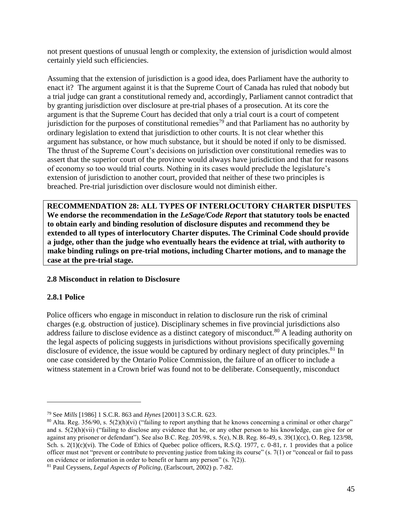not present questions of unusual length or complexity, the extension of jurisdiction would almost certainly yield such efficiencies.

Assuming that the extension of jurisdiction is a good idea, does Parliament have the authority to enact it? The argument against it is that the Supreme Court of Canada has ruled that nobody but a trial judge can grant a constitutional remedy and, accordingly, Parliament cannot contradict that by granting jurisdiction over disclosure at pre-trial phases of a prosecution. At its core the argument is that the Supreme Court has decided that only a trial court is a court of competent jurisdiction for the purposes of constitutional remedies<sup>79</sup> and that Parliament has no authority by ordinary legislation to extend that jurisdiction to other courts. It is not clear whether this argument has substance, or how much substance, but it should be noted if only to be dismissed. The thrust of the Supreme Court's decisions on jurisdiction over constitutional remedies was to assert that the superior court of the province would always have jurisdiction and that for reasons of economy so too would trial courts. Nothing in its cases would preclude the legislature's extension of jurisdiction to another court, provided that neither of these two principles is breached. Pre-trial jurisdiction over disclosure would not diminish either.

**RECOMMENDATION 28: ALL TYPES OF INTERLOCUTORY CHARTER DISPUTES We endorse the recommendation in the** *LeSage/Code Report* **that statutory tools be enacted to obtain early and binding resolution of disclosure disputes and recommend they be extended to all types of interlocutory Charter disputes. The Criminal Code should provide a judge, other than the judge who eventually hears the evidence at trial, with authority to make binding rulings on pre-trial motions, including Charter motions, and to manage the case at the pre-trial stage.** 

## **2.8 Misconduct in relation to Disclosure**

## **2.8.1 Police**

 $\overline{a}$ 

Police officers who engage in misconduct in relation to disclosure run the risk of criminal charges (e.g. obstruction of justice). Disciplinary schemes in five provincial jurisdictions also address failure to disclose evidence as a distinct category of misconduct.<sup>80</sup> A leading authority on the legal aspects of policing suggests in jurisdictions without provisions specifically governing disclosure of evidence, the issue would be captured by ordinary neglect of duty principles.<sup>81</sup> In one case considered by the Ontario Police Commission, the failure of an officer to include a witness statement in a Crown brief was found not to be deliberate. Consequently, misconduct

<sup>79</sup> See *Mills* [1986] 1 S.C.R. 863 and *Hynes* [2001] 3 S.C.R. 623.

 $80$  Alta. Reg. 356/90, s. 5(2)(h)(vi) ("failing to report anything that he knows concerning a criminal or other charge" and s.  $5(2)(h)(vi)$  ("failing to disclose any evidence that he, or any other person to his knowledge, can give for or against any prisoner or defendant"). See also B.C. Reg. 205/98, s. 5(e), N.B. Reg. 86-49, s. 39(1)(cc), O. Reg. 123/98, Sch. s. 2(1)(c)(vi). The Code of Ethics of Quebec police officers, R.S.Q. 1977, c. 0-81, r. 1 provides that a police officer must not "prevent or contribute to preventing justice from taking its course" (s. 7(1) or "conceal or fail to pass on evidence or information in order to benefit or harm any person"  $(s, 7(2))$ .

<sup>81</sup> Paul Ceyssens, *Legal Aspects of Policing*, (Earlscourt, 2002) p. 7-82.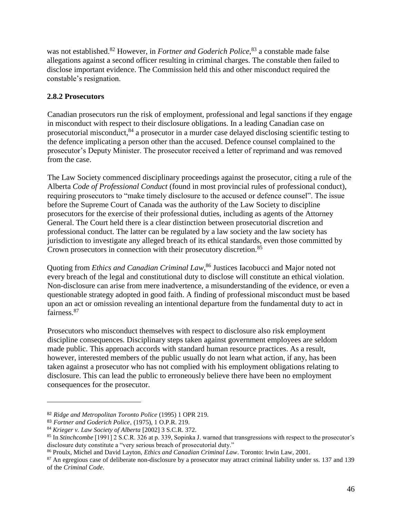was not established.<sup>82</sup> However, in *Fortner and Goderich Police*,<sup>83</sup> a constable made false allegations against a second officer resulting in criminal charges. The constable then failed to disclose important evidence. The Commission held this and other misconduct required the constable's resignation.

# **2.8.2 Prosecutors**

Canadian prosecutors run the risk of employment, professional and legal sanctions if they engage in misconduct with respect to their disclosure obligations. In a leading Canadian case on prosecutorial misconduct,<sup>84</sup> a prosecutor in a murder case delayed disclosing scientific testing to the defence implicating a person other than the accused. Defence counsel complained to the prosecutor's Deputy Minister. The prosecutor received a letter of reprimand and was removed from the case.

The Law Society commenced disciplinary proceedings against the prosecutor, citing a rule of the Alberta *Code of Professional Conduct* (found in most provincial rules of professional conduct), requiring prosecutors to "make timely disclosure to the accused or defence counsel". The issue before the Supreme Court of Canada was the authority of the Law Society to discipline prosecutors for the exercise of their professional duties, including as agents of the Attorney General. The Court held there is a clear distinction between prosecutorial discretion and professional conduct. The latter can be regulated by a law society and the law society has jurisdiction to investigate any alleged breach of its ethical standards, even those committed by Crown prosecutors in connection with their prosecutory discretion.<sup>85</sup>

Quoting from *Ethics and Canadian Criminal Law*, <sup>86</sup> Justices Iacobucci and Major noted not every breach of the legal and constitutional duty to disclose will constitute an ethical violation. Non-disclosure can arise from mere inadvertence, a misunderstanding of the evidence, or even a questionable strategy adopted in good faith. A finding of professional misconduct must be based upon an act or omission revealing an intentional departure from the fundamental duty to act in fairness.<sup>87</sup>

Prosecutors who misconduct themselves with respect to disclosure also risk employment discipline consequences. Disciplinary steps taken against government employees are seldom made public. This approach accords with standard human resource practices. As a result, however, interested members of the public usually do not learn what action, if any, has been taken against a prosecutor who has not complied with his employment obligations relating to disclosure. This can lead the public to erroneously believe there have been no employment consequences for the prosecutor.

<sup>82</sup> *Ridge and Metropolitan Toronto Police* (1995) 1 OPR 219.

<sup>83</sup> *Fortner and Goderich Police*, (1975), 1 O.P.R. 219.

<sup>84</sup> *Krieger v. Law Society of Alberta* [2002] 3 S.C.R. 372.

<sup>85</sup> In *Stinchcombe* [1991] 2 S.C.R. 326 at p. 339, Sopinka J. warned that transgressions with respect to the prosecutor's disclosure duty constitute a "very serious breach of prosecutorial duty."

<sup>86</sup> Proulx, Michel and David Layton, *Ethics and Canadian Criminal Law*. Toronto: Irwin Law, 2001.

<sup>&</sup>lt;sup>87</sup> An egregious case of deliberate non-disclosure by a prosecutor may attract criminal liability under ss. 137 and 139 of the *Criminal Code*.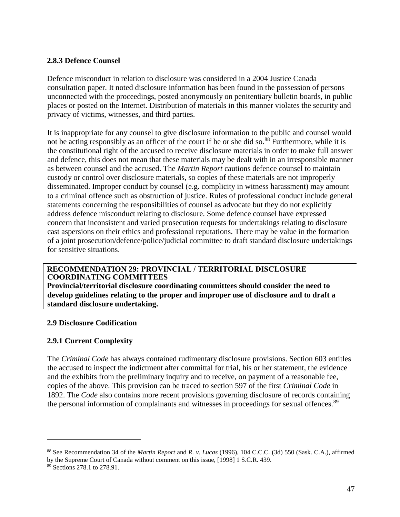## **2.8.3 Defence Counsel**

Defence misconduct in relation to disclosure was considered in a 2004 Justice Canada consultation paper. It noted disclosure information has been found in the possession of persons unconnected with the proceedings, posted anonymously on penitentiary bulletin boards, in public places or posted on the Internet. Distribution of materials in this manner violates the security and privacy of victims, witnesses, and third parties.

It is inappropriate for any counsel to give disclosure information to the public and counsel would not be acting responsibly as an officer of the court if he or she did so.<sup>88</sup> Furthermore, while it is the constitutional right of the accused to receive disclosure materials in order to make full answer and defence, this does not mean that these materials may be dealt with in an irresponsible manner as between counsel and the accused. The *Martin Report* cautions defence counsel to maintain custody or control over disclosure materials, so copies of these materials are not improperly disseminated. Improper conduct by counsel (e.g. complicity in witness harassment) may amount to a criminal offence such as obstruction of justice. Rules of professional conduct include general statements concerning the responsibilities of counsel as advocate but they do not explicitly address defence misconduct relating to disclosure. Some defence counsel have expressed concern that inconsistent and varied prosecution requests for undertakings relating to disclosure cast aspersions on their ethics and professional reputations. There may be value in the formation of a joint prosecution/defence/police/judicial committee to draft standard disclosure undertakings for sensitive situations.

## **RECOMMENDATION 29: PROVINCIAL / TERRITORIAL DISCLOSURE COORDINATING COMMITTEES**

**Provincial/territorial disclosure coordinating committees should consider the need to develop guidelines relating to the proper and improper use of disclosure and to draft a standard disclosure undertaking.** 

## **2.9 Disclosure Codification**

## **2.9.1 Current Complexity**

The *Criminal Code* has always contained rudimentary disclosure provisions. Section 603 entitles the accused to inspect the indictment after committal for trial, his or her statement, the evidence and the exhibits from the preliminary inquiry and to receive, on payment of a reasonable fee, copies of the above. This provision can be traced to section 597 of the first *Criminal Code* in 1892. The *Code* also contains more recent provisions governing disclosure of records containing the personal information of complainants and witnesses in proceedings for sexual offences.<sup>89</sup>

<sup>88</sup> See Recommendation 34 of the *Martin Report* and *R. v. Lucas* (1996), 104 C.C.C. (3d) 550 (Sask. C.A.), affirmed by the Supreme Court of Canada without comment on this issue, [1998] 1 S.C.R. 439.

<sup>&</sup>lt;sup>89</sup> Sections 278.1 to 278.91.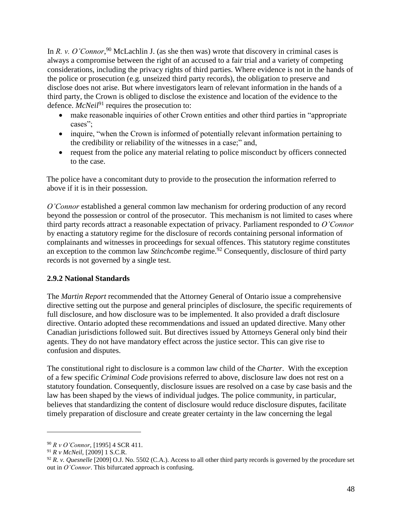In *R. v. O'Connor*,<sup>90</sup> McLachlin J. (as she then was) wrote that discovery in criminal cases is always a compromise between the right of an accused to a fair trial and a variety of competing considerations, including the privacy rights of third parties. Where evidence is not in the hands of the police or prosecution (e.g. unseized third party records), the obligation to preserve and disclose does not arise. But where investigators learn of relevant information in the hands of a third party, the Crown is obliged to disclose the existence and location of the evidence to the defence. *McNeil*<sup>91</sup> requires the prosecution to:

- make reasonable inquiries of other Crown entities and other third parties in "appropriate cases";
- inquire, "when the Crown is informed of potentially relevant information pertaining to the credibility or reliability of the witnesses in a case;" and,
- request from the police any material relating to police misconduct by officers connected to the case.

The police have a concomitant duty to provide to the prosecution the information referred to above if it is in their possession.

*O'Connor* established a general common law mechanism for ordering production of any record beyond the possession or control of the prosecutor. This mechanism is not limited to cases where third party records attract a reasonable expectation of privacy. Parliament responded to *O'Connor* by enacting a statutory regime for the disclosure of records containing personal information of complainants and witnesses in proceedings for sexual offences. This statutory regime constitutes an exception to the common law *Stinchcombe* regime.<sup>92</sup> Consequently, disclosure of third party records is not governed by a single test.

## **2.9.2 National Standards**

The *Martin Report* recommended that the Attorney General of Ontario issue a comprehensive directive setting out the purpose and general principles of disclosure, the specific requirements of full disclosure, and how disclosure was to be implemented. It also provided a draft disclosure directive. Ontario adopted these recommendations and issued an updated directive. Many other Canadian jurisdictions followed suit. But directives issued by Attorneys General only bind their agents. They do not have mandatory effect across the justice sector. This can give rise to confusion and disputes.

The constitutional right to disclosure is a common law child of the *Charter*. With the exception of a few specific *Criminal Code* provisions referred to above, disclosure law does not rest on a statutory foundation. Consequently, disclosure issues are resolved on a case by case basis and the law has been shaped by the views of individual judges. The police community, in particular, believes that standardizing the content of disclosure would reduce disclosure disputes, facilitate timely preparation of disclosure and create greater certainty in the law concerning the legal

<sup>90</sup> *R v O'Connor*, [1995] 4 SCR 411.

<sup>91</sup> *R v McNeil*, [2009] 1 S.C.R.

<sup>&</sup>lt;sup>92</sup> *R. v. Quesnelle* [2009] O.J. No. 5502 (C.A.). Access to all other third party records is governed by the procedure set out in *O'Connor*. This bifurcated approach is confusing.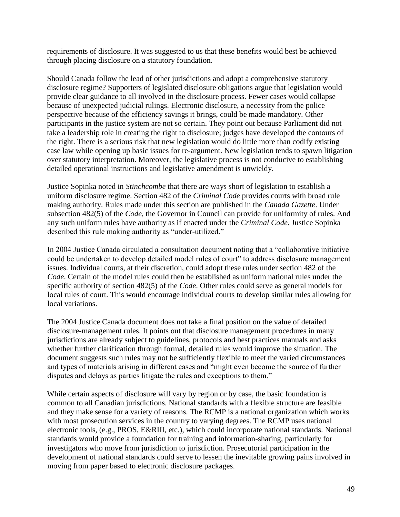requirements of disclosure. It was suggested to us that these benefits would best be achieved through placing disclosure on a statutory foundation.

Should Canada follow the lead of other jurisdictions and adopt a comprehensive statutory disclosure regime? Supporters of legislated disclosure obligations argue that legislation would provide clear guidance to all involved in the disclosure process. Fewer cases would collapse because of unexpected judicial rulings. Electronic disclosure, a necessity from the police perspective because of the efficiency savings it brings, could be made mandatory. Other participants in the justice system are not so certain. They point out because Parliament did not take a leadership role in creating the right to disclosure; judges have developed the contours of the right. There is a serious risk that new legislation would do little more than codify existing case law while opening up basic issues for re-argument. New legislation tends to spawn litigation over statutory interpretation. Moreover, the legislative process is not conducive to establishing detailed operational instructions and legislative amendment is unwieldy.

Justice Sopinka noted in *Stinchcombe* that there are ways short of legislation to establish a uniform disclosure regime. Section 482 of the *Criminal Code* provides courts with broad rule making authority. Rules made under this section are published in the *Canada Gazette*. Under subsection 482(5) of the *Code*, the Governor in Council can provide for uniformity of rules. And any such uniform rules have authority as if enacted under the *Criminal Code*. Justice Sopinka described this rule making authority as "under-utilized."

In 2004 Justice Canada circulated a consultation document noting that a "collaborative initiative could be undertaken to develop detailed model rules of court" to address disclosure management issues. Individual courts, at their discretion, could adopt these rules under section 482 of the *Code*. Certain of the model rules could then be established as uniform national rules under the specific authority of section 482(5) of the *Code*. Other rules could serve as general models for local rules of court. This would encourage individual courts to develop similar rules allowing for local variations.

The 2004 Justice Canada document does not take a final position on the value of detailed disclosure-management rules. It points out that disclosure management procedures in many jurisdictions are already subject to guidelines, protocols and best practices manuals and asks whether further clarification through formal, detailed rules would improve the situation. The document suggests such rules may not be sufficiently flexible to meet the varied circumstances and types of materials arising in different cases and "might even become the source of further disputes and delays as parties litigate the rules and exceptions to them."

While certain aspects of disclosure will vary by region or by case, the basic foundation is common to all Canadian jurisdictions. National standards with a flexible structure are feasible and they make sense for a variety of reasons. The RCMP is a national organization which works with most prosecution services in the country to varying degrees. The RCMP uses national electronic tools, (e.g., PROS, E&RIII, etc.), which could incorporate national standards. National standards would provide a foundation for training and information-sharing, particularly for investigators who move from jurisdiction to jurisdiction. Prosecutorial participation in the development of national standards could serve to lessen the inevitable growing pains involved in moving from paper based to electronic disclosure packages.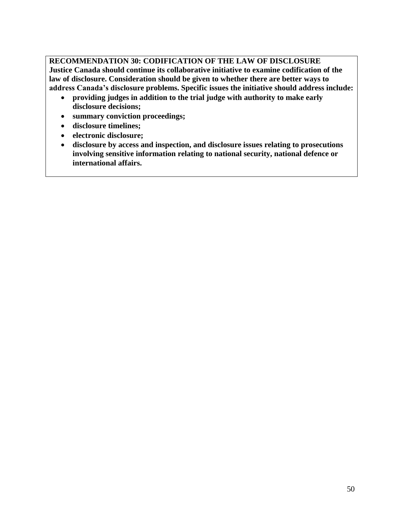**RECOMMENDATION 30: CODIFICATION OF THE LAW OF DISCLOSURE Justice Canada should continue its collaborative initiative to examine codification of the law of disclosure. Consideration should be given to whether there are better ways to address Canada's disclosure problems. Specific issues the initiative should address include:** 

- **providing judges in addition to the trial judge with authority to make early disclosure decisions;**
- **summary conviction proceedings;**
- **disclosure timelines;**
- **electronic disclosure;**
- **disclosure by access and inspection, and disclosure issues relating to prosecutions involving sensitive information relating to national security, national defence or international affairs.**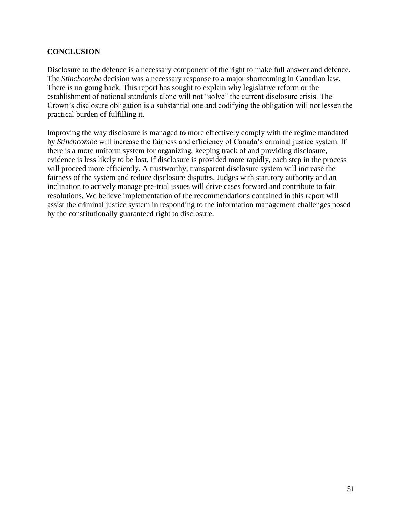## **CONCLUSION**

Disclosure to the defence is a necessary component of the right to make full answer and defence. The *Stinchcombe* decision was a necessary response to a major shortcoming in Canadian law. There is no going back. This report has sought to explain why legislative reform or the establishment of national standards alone will not "solve" the current disclosure crisis. The Crown's disclosure obligation is a substantial one and codifying the obligation will not lessen the practical burden of fulfilling it.

Improving the way disclosure is managed to more effectively comply with the regime mandated by *Stinchcombe* will increase the fairness and efficiency of Canada's criminal justice system. If there is a more uniform system for organizing, keeping track of and providing disclosure, evidence is less likely to be lost. If disclosure is provided more rapidly, each step in the process will proceed more efficiently. A trustworthy, transparent disclosure system will increase the fairness of the system and reduce disclosure disputes. Judges with statutory authority and an inclination to actively manage pre-trial issues will drive cases forward and contribute to fair resolutions. We believe implementation of the recommendations contained in this report will assist the criminal justice system in responding to the information management challenges posed by the constitutionally guaranteed right to disclosure.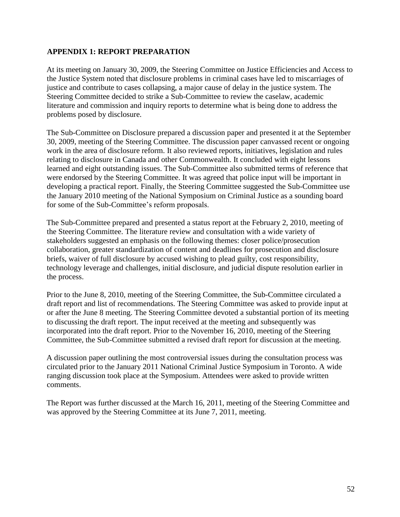## **APPENDIX 1: REPORT PREPARATION**

At its meeting on January 30, 2009, the Steering Committee on Justice Efficiencies and Access to the Justice System noted that disclosure problems in criminal cases have led to miscarriages of justice and contribute to cases collapsing, a major cause of delay in the justice system. The Steering Committee decided to strike a Sub-Committee to review the caselaw, academic literature and commission and inquiry reports to determine what is being done to address the problems posed by disclosure.

The Sub-Committee on Disclosure prepared a discussion paper and presented it at the September 30, 2009, meeting of the Steering Committee. The discussion paper canvassed recent or ongoing work in the area of disclosure reform. It also reviewed reports, initiatives, legislation and rules relating to disclosure in Canada and other Commonwealth. It concluded with eight lessons learned and eight outstanding issues. The Sub-Committee also submitted terms of reference that were endorsed by the Steering Committee. It was agreed that police input will be important in developing a practical report. Finally, the Steering Committee suggested the Sub-Committee use the January 2010 meeting of the National Symposium on Criminal Justice as a sounding board for some of the Sub-Committee's reform proposals.

The Sub-Committee prepared and presented a status report at the February 2, 2010, meeting of the Steering Committee. The literature review and consultation with a wide variety of stakeholders suggested an emphasis on the following themes: closer police/prosecution collaboration, greater standardization of content and deadlines for prosecution and disclosure briefs, waiver of full disclosure by accused wishing to plead guilty, cost responsibility, technology leverage and challenges, initial disclosure, and judicial dispute resolution earlier in the process.

Prior to the June 8, 2010, meeting of the Steering Committee, the Sub-Committee circulated a draft report and list of recommendations. The Steering Committee was asked to provide input at or after the June 8 meeting. The Steering Committee devoted a substantial portion of its meeting to discussing the draft report. The input received at the meeting and subsequently was incorporated into the draft report. Prior to the November 16, 2010, meeting of the Steering Committee, the Sub-Committee submitted a revised draft report for discussion at the meeting.

A discussion paper outlining the most controversial issues during the consultation process was circulated prior to the January 2011 National Criminal Justice Symposium in Toronto. A wide ranging discussion took place at the Symposium. Attendees were asked to provide written comments.

The Report was further discussed at the March 16, 2011, meeting of the Steering Committee and was approved by the Steering Committee at its June 7, 2011, meeting.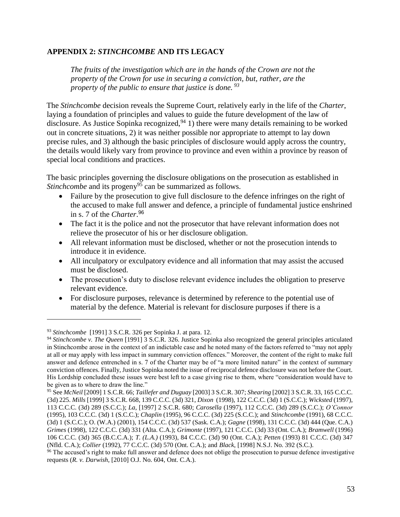## **APPENDIX 2:** *STINCHCOMBE* **AND ITS LEGACY**

*The fruits of the investigation which are in the hands of the Crown are not the property of the Crown for use in securing a conviction, but, rather, are the property of the public to ensure that justice is done. <sup>93</sup>*

The *Stinchcombe* decision reveals the Supreme Court, relatively early in the life of the *Charter*, laying a foundation of principles and values to guide the future development of the law of disclosure. As Justice Sopinka recognized,  $94$  1) there were many details remaining to be worked out in concrete situations, 2) it was neither possible nor appropriate to attempt to lay down precise rules, and 3) although the basic principles of disclosure would apply across the country, the details would likely vary from province to province and even within a province by reason of special local conditions and practices.

The basic principles governing the disclosure obligations on the prosecution as established in *Stinchcombe* and its progeny<sup>95</sup> can be summarized as follows.

- Failure by the prosecution to give full disclosure to the defence infringes on the right of the accused to make full answer and defence, a principle of fundamental justice enshrined in s. 7 of the *Charter*. 96
- The fact it is the police and not the prosecutor that have relevant information does not relieve the prosecutor of his or her disclosure obligation.
- All relevant information must be disclosed, whether or not the prosecution intends to introduce it in evidence.
- All inculpatory or exculpatory evidence and all information that may assist the accused must be disclosed.
- The prosecution's duty to disclose relevant evidence includes the obligation to preserve relevant evidence.
- For disclosure purposes, relevance is determined by reference to the potential use of material by the defence. Material is relevant for disclosure purposes if there is a

<sup>93</sup> *Stinchcombe* [1991] 3 S.C.R. 326 per Sopinka J. at para. 12.

<sup>94</sup> *Stinchcombe v. The Queen* [1991] 3 S.C.R. 326. Justice Sopinka also recognized the general principles articulated in Stinchcombe arose in the context of an indictable case and he noted many of the factors referred to "may not apply at all or may apply with less impact in summary conviction offences." Moreover, the content of the right to make full answer and defence entrenched in s. 7 of the Charter may be of "a more limited nature" in the context of summary conviction offences. Finally, Justice Sopinka noted the issue of reciprocal defence disclosure was not before the Court. His Lordship concluded these issues were best left to a case giving rise to them, where "consideration would have to be given as to where to draw the line."

<sup>95</sup> See *McNeil* [2009] 1 S.C.R. 66; *Taillefer and Duguay* [2003] 3 S.C.R. 307; *Shearing* [2002] 3 S.C.R. 33, 165 C.C.C. (3d) 225. *Mills* [1999] 3 S.C.R. 668, 139 C.C.C. (3d) 321, *Dixon* (1998), 122 C.C.C. (3d) 1 (S.C.C.); *Wicksted* (1997), 113 C.C.C. (3d) 289 (S.C.C.); *La*, [1997] 2 S.C.R. 680; *Carosella* (1997), 112 C.C.C. (3d) 289 (S.C.C.); *O'Connor* (1995), 103 C.C.C. (3d) 1 (S.C.C.); *Chaplin* (1995), 96 C.C.C. (3d) 225 (S.C.C.); and *Stinchcombe* (1991), 68 C.C.C. (3d) 1 (S.C.C.); O. (W.A.) (2001), 154 C.C.C. (3d) 537 (Sask. C.A.); *Gagne* (1998), 131 C.C.C. (3d) 444 (Que. C.A.) *Grimes* (1998), 122 C.C.C. (3d) 331 (Alta. C.A.); *Grimonte* (1997), 121 C.C.C. (3d) 33 (Ont. C.A.); *Bramwell* (1996) 106 C.C.C. (3d) 365 (B.C.C.A.); *T. (L.A.)* (1993), 84 C.C.C. (3d) 90 (Ont. C.A.); *Petten* (1993) 81 C.C.C. (3d) 347 (Nfld. C.A.); *Collier* (1992), 77 C.C.C. (3d) 570 (Ont. C.A.); and *Black*, [1998] N.S.J. No. 392 (S.C.).

<sup>&</sup>lt;sup>96</sup> The accused's right to make full answer and defence does not oblige the prosecution to pursue defence investigative requests (*R. v. Darwish*, [2010] O.J. No. 604, Ont. C.A.).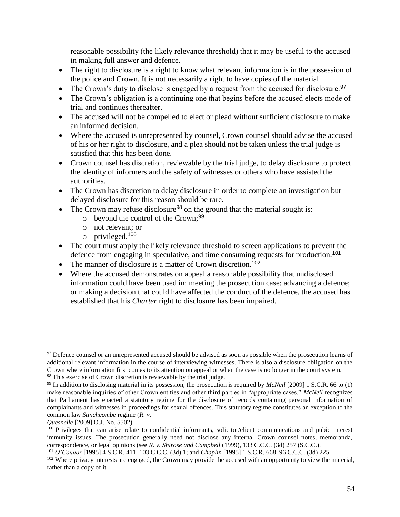reasonable possibility (the likely relevance threshold) that it may be useful to the accused in making full answer and defence.

- The right to disclosure is a right to know what relevant information is in the possession of the police and Crown. It is not necessarily a right to have copies of the material.
- $\bullet$  The Crown's duty to disclose is engaged by a request from the accused for disclosure.<sup>97</sup>
- The Crown's obligation is a continuing one that begins before the accused elects mode of trial and continues thereafter.
- The accused will not be compelled to elect or plead without sufficient disclosure to make an informed decision.
- Where the accused is unrepresented by counsel, Crown counsel should advise the accused of his or her right to disclosure, and a plea should not be taken unless the trial judge is satisfied that this has been done.
- Crown counsel has discretion, reviewable by the trial judge, to delay disclosure to protect the identity of informers and the safety of witnesses or others who have assisted the authorities.
- The Crown has discretion to delay disclosure in order to complete an investigation but delayed disclosure for this reason should be rare.
- The Crown may refuse disclosure<sup>98</sup> on the ground that the material sought is:
	- $\circ$  beyond the control of the Crown;<sup>99</sup>
	- o not relevant; or
	- o privileged.<sup>100</sup>
- The court must apply the likely relevance threshold to screen applications to prevent the defence from engaging in speculative, and time consuming requests for production.<sup>101</sup>
- The manner of disclosure is a matter of Crown discretion.<sup>102</sup>
- Where the accused demonstrates on appeal a reasonable possibility that undisclosed information could have been used in: meeting the prosecution case; advancing a defence; or making a decision that could have affected the conduct of the defence, the accused has established that his *Charter* right to disclosure has been impaired.

<sup>&</sup>lt;sup>97</sup> Defence counsel or an unrepresented accused should be advised as soon as possible when the prosecution learns of additional relevant information in the course of interviewing witnesses. There is also a disclosure obligation on the Crown where information first comes to its attention on appeal or when the case is no longer in the court system. <sup>98</sup> This exercise of Crown discretion is reviewable by the trial judge.

<sup>99</sup> In addition to disclosing material in its possession, the prosecution is required by *McNeil* [2009] 1 S.C.R. 66 to (1) make reasonable inquiries of other Crown entities and other third parties in "appropriate cases." *McNeil* recognizes that Parliament has enacted a statutory regime for the disclosure of records containing personal information of complainants and witnesses in proceedings for sexual offences. This statutory regime constitutes an exception to the common law *Stinchcombe* regime (*R. v.* 

*Quesnelle* [2009] O.J. No. 5502).

<sup>&</sup>lt;sup>100</sup> Privileges that can arise relate to confidential informants, solicitor/client communications and pubic interest immunity issues. The prosecution generally need not disclose any internal Crown counsel notes, memoranda, correspondence, or legal opinions (see *R. v. Shirose and Campbell* (1999), 133 C.C.C. (3d) 257 (S.C.C.).

<sup>101</sup> *O'Connor* [1995] 4 S.C.R. 411, 103 C.C.C. (3d) 1; and *Chaplin* [1995] 1 S.C.R. 668, 96 C.C.C. (3d) 225.

<sup>&</sup>lt;sup>102</sup> Where privacy interests are engaged, the Crown may provide the accused with an opportunity to view the material, rather than a copy of it.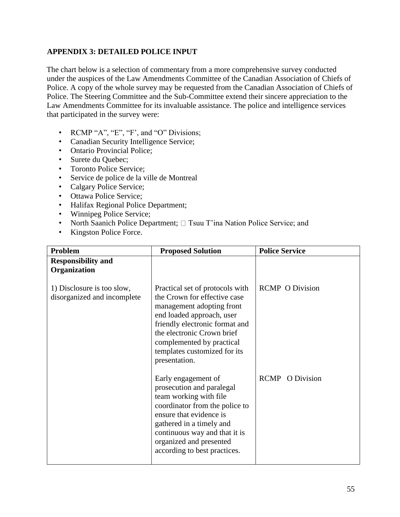# **APPENDIX 3: DETAILED POLICE INPUT**

The chart below is a selection of commentary from a more comprehensive survey conducted under the auspices of the Law Amendments Committee of the Canadian Association of Chiefs of Police. A copy of the whole survey may be requested from the Canadian Association of Chiefs of Police. The Steering Committee and the Sub-Committee extend their sincere appreciation to the Law Amendments Committee for its invaluable assistance. The police and intelligence services that participated in the survey were:

- RCMP "A", "E", "F', and "O" Divisions;
- Canadian Security Intelligence Service;
- Ontario Provincial Police;
- Surete du Quebec;
- Toronto Police Service;
- Service de police de la ville de Montreal
- Calgary Police Service;
- Ottawa Police Service;
- Halifax Regional Police Department;
- Winnipeg Police Service;
- North Saanich Police Department;  $\Box$  Tsuu T'ina Nation Police Service; and
- Kingston Police Force.

| Problem                                                   | <b>Proposed Solution</b>                                                                                                                                                                                                                                                | <b>Police Service</b>  |
|-----------------------------------------------------------|-------------------------------------------------------------------------------------------------------------------------------------------------------------------------------------------------------------------------------------------------------------------------|------------------------|
| <b>Responsibility and</b><br>Organization                 |                                                                                                                                                                                                                                                                         |                        |
| 1) Disclosure is too slow,<br>disorganized and incomplete | Practical set of protocols with<br>the Crown for effective case<br>management adopting front<br>end loaded approach, user<br>friendly electronic format and<br>the electronic Crown brief<br>complemented by practical<br>templates customized for its<br>presentation. | <b>RCMP O Division</b> |
|                                                           | Early engagement of<br>prosecution and paralegal<br>team working with file<br>coordinator from the police to<br>ensure that evidence is<br>gathered in a timely and<br>continuous way and that it is<br>organized and presented<br>according to best practices.         | <b>RCMP</b> O Division |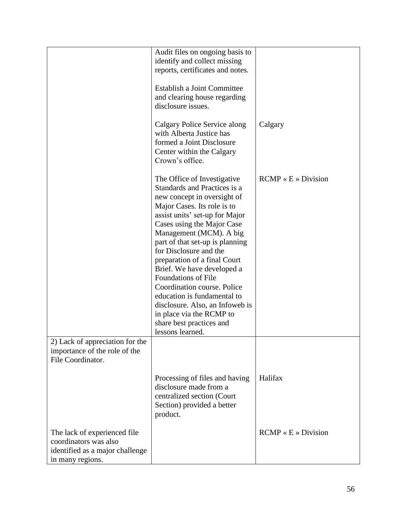|                                                                                                              | Audit files on ongoing basis to<br>identify and collect missing<br>reports, certificates and notes.<br>Establish a Joint Committee<br>and clearing house regarding<br>disclosure issues.<br>Calgary Police Service along<br>with Alberta Justice has<br>formed a Joint Disclosure<br>Center within the Calgary<br>Crown's office.                                                                                                                                                                                                                          | Calgary                      |
|--------------------------------------------------------------------------------------------------------------|------------------------------------------------------------------------------------------------------------------------------------------------------------------------------------------------------------------------------------------------------------------------------------------------------------------------------------------------------------------------------------------------------------------------------------------------------------------------------------------------------------------------------------------------------------|------------------------------|
|                                                                                                              | The Office of Investigative<br>Standards and Practices is a<br>new concept in oversight of<br>Major Cases. Its role is to<br>assist units' set-up for Major<br>Cases using the Major Case<br>Management (MCM). A big<br>part of that set-up is planning<br>for Disclosure and the<br>preparation of a final Court<br>Brief. We have developed a<br><b>Foundations of File</b><br>Coordination course. Police<br>education is fundamental to<br>disclosure. Also, an Infoweb is<br>in place via the RCMP to<br>share best practices and<br>lessons learned. | $RCMP \times E \gg Division$ |
| 2) Lack of appreciation for the<br>importance of the role of the<br>File Coordinator.                        | Processing of files and having<br>disclosure made from a<br>centralized section (Court<br>Section) provided a better<br>product.                                                                                                                                                                                                                                                                                                                                                                                                                           | Halifax                      |
| The lack of experienced file<br>coordinators was also<br>identified as a major challenge<br>in many regions. |                                                                                                                                                                                                                                                                                                                                                                                                                                                                                                                                                            | $RCMP \times E \gg Division$ |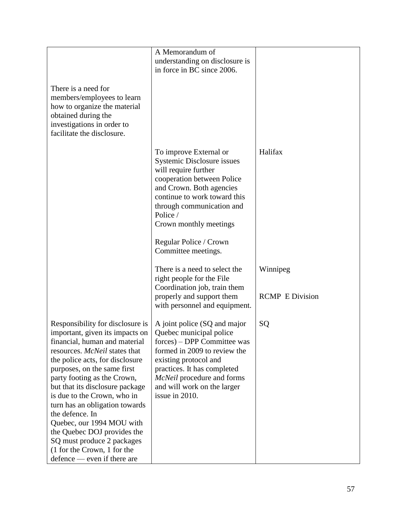|                                                                                                                                                                                                                                                                                                                                                                                                                                                                                                                       | A Memorandum of                                                                                                                                                                                                                                                                            |                                    |
|-----------------------------------------------------------------------------------------------------------------------------------------------------------------------------------------------------------------------------------------------------------------------------------------------------------------------------------------------------------------------------------------------------------------------------------------------------------------------------------------------------------------------|--------------------------------------------------------------------------------------------------------------------------------------------------------------------------------------------------------------------------------------------------------------------------------------------|------------------------------------|
|                                                                                                                                                                                                                                                                                                                                                                                                                                                                                                                       | understanding on disclosure is                                                                                                                                                                                                                                                             |                                    |
|                                                                                                                                                                                                                                                                                                                                                                                                                                                                                                                       | in force in BC since 2006.                                                                                                                                                                                                                                                                 |                                    |
| There is a need for<br>members/employees to learn<br>how to organize the material<br>obtained during the<br>investigations in order to<br>facilitate the disclosure.                                                                                                                                                                                                                                                                                                                                                  |                                                                                                                                                                                                                                                                                            |                                    |
|                                                                                                                                                                                                                                                                                                                                                                                                                                                                                                                       | To improve External or<br>Systemic Disclosure issues<br>will require further<br>cooperation between Police<br>and Crown. Both agencies<br>continue to work toward this<br>through communication and<br>Police /<br>Crown monthly meetings<br>Regular Police / Crown<br>Committee meetings. | Halifax                            |
|                                                                                                                                                                                                                                                                                                                                                                                                                                                                                                                       | There is a need to select the<br>right people for the File<br>Coordination job, train them<br>properly and support them<br>with personnel and equipment.                                                                                                                                   | Winnipeg<br><b>RCMP</b> E Division |
| Responsibility for disclosure is<br>important, given its impacts on<br>financial, human and material<br>resources. McNeil states that<br>the police acts, for disclosure<br>purposes, on the same first<br>party footing as the Crown,<br>but that its disclosure package<br>is due to the Crown, who in<br>turn has an obligation towards<br>the defence. In<br>Quebec, our 1994 MOU with<br>the Quebec DOJ provides the<br>SQ must produce 2 packages<br>(1 for the Crown, 1 for the<br>defence — even if there are | A joint police (SQ and major<br>Quebec municipal police<br>forces) – DPP Committee was<br>formed in 2009 to review the<br>existing protocol and<br>practices. It has completed<br>McNeil procedure and forms<br>and will work on the larger<br>issue in 2010.                              | SQ                                 |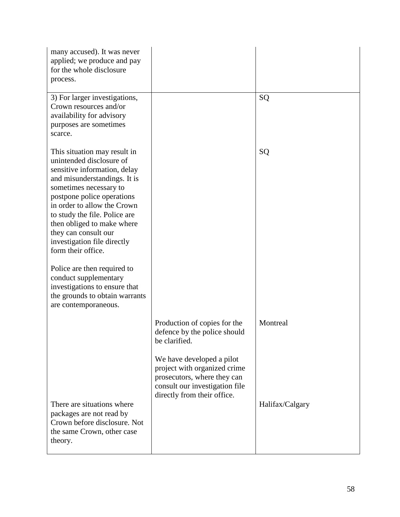| many accused). It was never<br>applied; we produce and pay<br>for the whole disclosure<br>process.                                                                                                                                                                                                                                                                                                                                                                                                             |                                                                                                                              |                 |
|----------------------------------------------------------------------------------------------------------------------------------------------------------------------------------------------------------------------------------------------------------------------------------------------------------------------------------------------------------------------------------------------------------------------------------------------------------------------------------------------------------------|------------------------------------------------------------------------------------------------------------------------------|-----------------|
| 3) For larger investigations,<br>Crown resources and/or<br>availability for advisory<br>purposes are sometimes<br>scarce.                                                                                                                                                                                                                                                                                                                                                                                      |                                                                                                                              | SQ              |
| This situation may result in<br>unintended disclosure of<br>sensitive information, delay<br>and misunderstandings. It is<br>sometimes necessary to<br>postpone police operations<br>in order to allow the Crown<br>to study the file. Police are<br>then obliged to make where<br>they can consult our<br>investigation file directly<br>form their office.<br>Police are then required to<br>conduct supplementary<br>investigations to ensure that<br>the grounds to obtain warrants<br>are contemporaneous. |                                                                                                                              | SQ              |
|                                                                                                                                                                                                                                                                                                                                                                                                                                                                                                                | Production of copies for the<br>defence by the police should<br>be clarified.<br>We have developed a pilot                   | Montreal        |
| There are situations where<br>packages are not read by<br>Crown before disclosure. Not                                                                                                                                                                                                                                                                                                                                                                                                                         | project with organized crime<br>prosecutors, where they can<br>consult our investigation file<br>directly from their office. | Halifax/Calgary |
| the same Crown, other case<br>theory.                                                                                                                                                                                                                                                                                                                                                                                                                                                                          |                                                                                                                              |                 |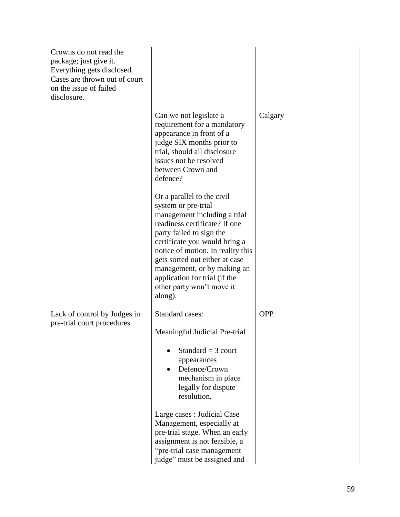| Crowns do not read the<br>package; just give it.<br>Everything gets disclosed.<br>Cases are thrown out of court<br>on the issue of failed<br>disclosure. |                                                                                                                                                                                                                                                                                                                                                                |            |
|----------------------------------------------------------------------------------------------------------------------------------------------------------|----------------------------------------------------------------------------------------------------------------------------------------------------------------------------------------------------------------------------------------------------------------------------------------------------------------------------------------------------------------|------------|
|                                                                                                                                                          | Can we not legislate a<br>requirement for a mandatory<br>appearance in front of a<br>judge SIX months prior to<br>trial, should all disclosure<br>issues not be resolved<br>between Crown and<br>defence?                                                                                                                                                      | Calgary    |
|                                                                                                                                                          | Or a parallel to the civil<br>system or pre-trial<br>management including a trial<br>readiness certificate? If one<br>party failed to sign the<br>certificate you would bring a<br>notice of motion. In reality this<br>gets sorted out either at case<br>management, or by making an<br>application for trial (if the<br>other party won't move it<br>along). |            |
| Lack of control by Judges in<br>pre-trial court procedures                                                                                               | <b>Standard cases:</b><br>Meaningful Judicial Pre-trial                                                                                                                                                                                                                                                                                                        | <b>OPP</b> |
|                                                                                                                                                          | Standard = $3$ court<br>appearances<br>Defence/Crown<br>mechanism in place<br>legally for dispute<br>resolution.                                                                                                                                                                                                                                               |            |
|                                                                                                                                                          | Large cases : Judicial Case<br>Management, especially at<br>pre-trial stage. When an early<br>assignment is not feasible, a<br>"pre-trial case management<br>judge" must be assigned and                                                                                                                                                                       |            |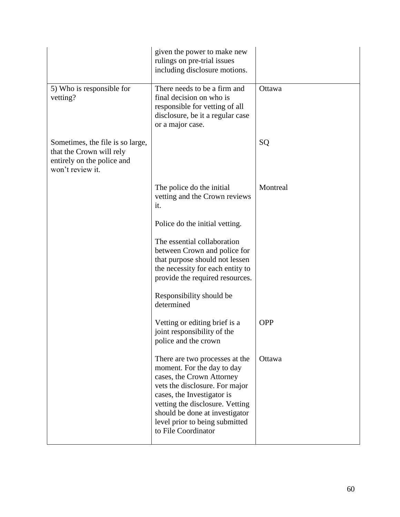|                                                                                                                | given the power to make new<br>rulings on pre-trial issues<br>including disclosure motions.                                                                                                                                                                                             |            |
|----------------------------------------------------------------------------------------------------------------|-----------------------------------------------------------------------------------------------------------------------------------------------------------------------------------------------------------------------------------------------------------------------------------------|------------|
| 5) Who is responsible for<br>vetting?                                                                          | There needs to be a firm and<br>final decision on who is<br>responsible for vetting of all<br>disclosure, be it a regular case<br>or a major case.                                                                                                                                      | Ottawa     |
| Sometimes, the file is so large,<br>that the Crown will rely<br>entirely on the police and<br>won't review it. |                                                                                                                                                                                                                                                                                         | SQ         |
|                                                                                                                | The police do the initial<br>vetting and the Crown reviews<br>it.                                                                                                                                                                                                                       | Montreal   |
|                                                                                                                | Police do the initial vetting.                                                                                                                                                                                                                                                          |            |
|                                                                                                                | The essential collaboration<br>between Crown and police for<br>that purpose should not lessen<br>the necessity for each entity to<br>provide the required resources.                                                                                                                    |            |
|                                                                                                                | Responsibility should be<br>determined                                                                                                                                                                                                                                                  |            |
|                                                                                                                | Vetting or editing brief is a<br>joint responsibility of the<br>police and the crown                                                                                                                                                                                                    | <b>OPP</b> |
|                                                                                                                | There are two processes at the<br>moment. For the day to day<br>cases, the Crown Attorney<br>vets the disclosure. For major<br>cases, the Investigator is<br>vetting the disclosure. Vetting<br>should be done at investigator<br>level prior to being submitted<br>to File Coordinator | Ottawa     |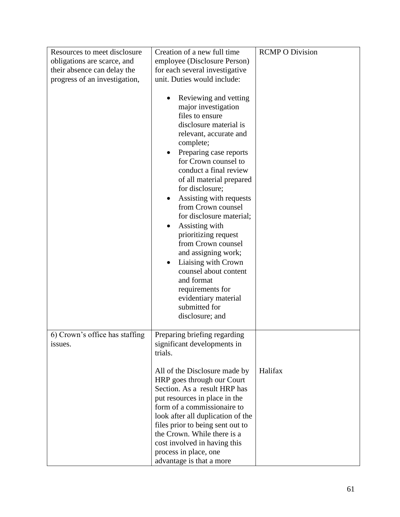| Resources to meet disclosure              | Creation of a new full time                                                                                                                                                                                                                                                                                                                                                                                                                                                                                                                                                        | <b>RCMP O Division</b> |
|-------------------------------------------|------------------------------------------------------------------------------------------------------------------------------------------------------------------------------------------------------------------------------------------------------------------------------------------------------------------------------------------------------------------------------------------------------------------------------------------------------------------------------------------------------------------------------------------------------------------------------------|------------------------|
| obligations are scarce, and               | employee (Disclosure Person)                                                                                                                                                                                                                                                                                                                                                                                                                                                                                                                                                       |                        |
| their absence can delay the               | for each several investigative                                                                                                                                                                                                                                                                                                                                                                                                                                                                                                                                                     |                        |
| progress of an investigation,             | unit. Duties would include:                                                                                                                                                                                                                                                                                                                                                                                                                                                                                                                                                        |                        |
|                                           | Reviewing and vetting<br>major investigation<br>files to ensure<br>disclosure material is<br>relevant, accurate and<br>complete;<br>Preparing case reports<br>for Crown counsel to<br>conduct a final review<br>of all material prepared<br>for disclosure;<br>Assisting with requests<br>from Crown counsel<br>for disclosure material;<br>Assisting with<br>prioritizing request<br>from Crown counsel<br>and assigning work;<br>Liaising with Crown<br>٠<br>counsel about content<br>and format<br>requirements for<br>evidentiary material<br>submitted for<br>disclosure; and |                        |
| 6) Crown's office has staffing<br>issues. | Preparing briefing regarding<br>significant developments in<br>trials.                                                                                                                                                                                                                                                                                                                                                                                                                                                                                                             |                        |
|                                           | All of the Disclosure made by<br>HRP goes through our Court<br>Section. As a result HRP has<br>put resources in place in the<br>form of a commissionaire to<br>look after all duplication of the<br>files prior to being sent out to<br>the Crown. While there is a<br>cost involved in having this<br>process in place, one<br>advantage is that a more                                                                                                                                                                                                                           | Halifax                |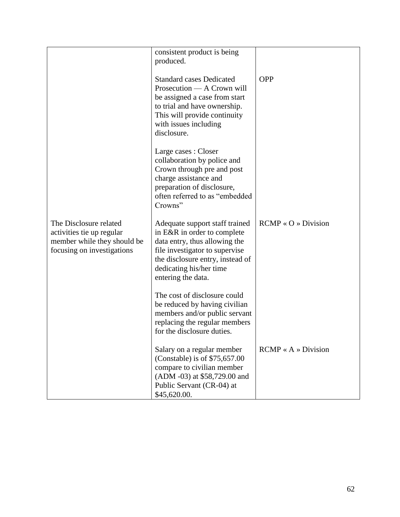|                                                                                                                  | consistent product is being<br>produced.                                                                                                                                                                              |                                        |
|------------------------------------------------------------------------------------------------------------------|-----------------------------------------------------------------------------------------------------------------------------------------------------------------------------------------------------------------------|----------------------------------------|
|                                                                                                                  | <b>Standard cases Dedicated</b><br>Prosecution — A Crown will<br>be assigned a case from start<br>to trial and have ownership.<br>This will provide continuity<br>with issues including<br>disclosure.                | <b>OPP</b>                             |
|                                                                                                                  | Large cases : Closer<br>collaboration by police and<br>Crown through pre and post<br>charge assistance and<br>preparation of disclosure,<br>often referred to as "embedded<br>Crowns"                                 |                                        |
| The Disclosure related<br>activities tie up regular<br>member while they should be<br>focusing on investigations | Adequate support staff trained<br>in E&R in order to complete<br>data entry, thus allowing the<br>file investigator to supervise<br>the disclosure entry, instead of<br>dedicating his/her time<br>entering the data. | $RCMP \triangleleft O \times Division$ |
|                                                                                                                  | The cost of disclosure could<br>be reduced by having civilian<br>members and/or public servant<br>replacing the regular members<br>for the disclosure duties.                                                         |                                        |
|                                                                                                                  | Salary on a regular member<br>(Constable) is of \$75,657.00<br>compare to civilian member<br>(ADM -03) at \$58,729.00 and<br>Public Servant (CR-04) at<br>\$45,620.00.                                                | $RCMP \times A \gg Division$           |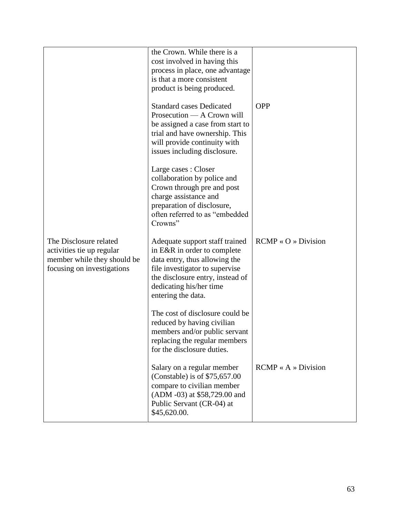|                                                                                                                  | the Crown. While there is a<br>cost involved in having this<br>process in place, one advantage<br>is that a more consistent<br>product is being produced.<br><b>Standard cases Dedicated</b><br>Prosecution — A Crown will<br>be assigned a case from start to<br>trial and have ownership. This<br>will provide continuity with<br>issues including disclosure. | <b>OPP</b>                             |
|------------------------------------------------------------------------------------------------------------------|------------------------------------------------------------------------------------------------------------------------------------------------------------------------------------------------------------------------------------------------------------------------------------------------------------------------------------------------------------------|----------------------------------------|
|                                                                                                                  | Large cases : Closer<br>collaboration by police and<br>Crown through pre and post<br>charge assistance and<br>preparation of disclosure,<br>often referred to as "embedded<br>Crowns"                                                                                                                                                                            |                                        |
| The Disclosure related<br>activities tie up regular<br>member while they should be<br>focusing on investigations | Adequate support staff trained<br>in E&R in order to complete<br>data entry, thus allowing the<br>file investigator to supervise<br>the disclosure entry, instead of<br>dedicating his/her time<br>entering the data.                                                                                                                                            | $RCMP \triangleleft O \times Division$ |
|                                                                                                                  | The cost of disclosure could be<br>reduced by having civilian<br>members and/or public servant<br>replacing the regular members<br>for the disclosure duties.                                                                                                                                                                                                    |                                        |
|                                                                                                                  | Salary on a regular member<br>(Constable) is of $$75,657.00$<br>compare to civilian member<br>(ADM -03) at \$58,729.00 and<br>Public Servant (CR-04) at<br>\$45,620.00.                                                                                                                                                                                          | $RCMP \times A \times Division$        |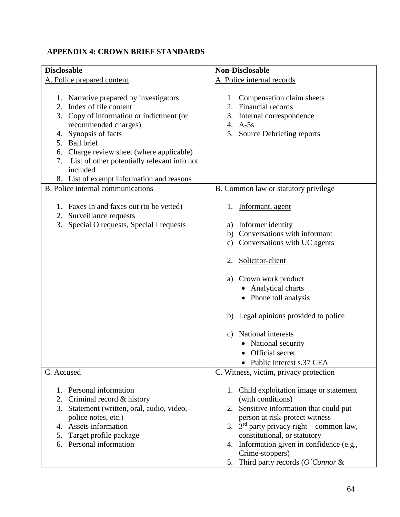# **APPENDIX 4: CROWN BRIEF STANDARDS**

| <b>Disclosable</b>                                                                                                                                                                                                                                                                                                                                  | <b>Non-Disclosable</b>                                                                                                                                                                                                                                                                                                                                                                  |
|-----------------------------------------------------------------------------------------------------------------------------------------------------------------------------------------------------------------------------------------------------------------------------------------------------------------------------------------------------|-----------------------------------------------------------------------------------------------------------------------------------------------------------------------------------------------------------------------------------------------------------------------------------------------------------------------------------------------------------------------------------------|
| A. Police prepared content                                                                                                                                                                                                                                                                                                                          | A. Police internal records                                                                                                                                                                                                                                                                                                                                                              |
| 1. Narrative prepared by investigators<br>Index of file content<br>2.<br>3. Copy of information or indictment (or<br>recommended charges)<br>Synopsis of facts<br>4.<br>5. Bail brief<br>Charge review sheet (where applicable)<br>6.<br>List of other potentially relevant info not<br>7.<br>included<br>8. List of exempt information and reasons | Compensation claim sheets<br>1.<br>Financial records<br>2.<br>3.<br>Internal correspondence<br>4. $A-5s$<br>5.<br>Source Debriefing reports                                                                                                                                                                                                                                             |
| <b>B.</b> Police internal communications                                                                                                                                                                                                                                                                                                            | <b>B.</b> Common law or statutory privilege                                                                                                                                                                                                                                                                                                                                             |
| 1. Faxes In and faxes out (to be vetted)<br>2. Surveillance requests<br>Special O requests, Special I requests<br>3.                                                                                                                                                                                                                                | 1. Informant, agent<br>Informer identity<br>a)<br>b) Conversations with informant<br>Conversations with UC agents<br>c)<br>Solicitor-client<br>2.<br>Crown work product<br>a)<br><b>Analytical charts</b><br>• Phone toll analysis<br>b) Legal opinions provided to police<br>National interests<br>C)<br>National security<br>Official secret<br>• Public interest s.37 CEA            |
| C. Accused<br>1. Personal information<br>2. Criminal record & history<br>3. Statement (written, oral, audio, video,<br>police notes, etc.)<br>4. Assets information<br>Target profile package<br>5.<br>Personal information<br>6.                                                                                                                   | C. Witness, victim, privacy protection<br>1. Child exploitation image or statement<br>(with conditions)<br>2. Sensitive information that could put<br>person at risk-protect witness<br>3. $3rd$ party privacy right – common law,<br>constitutional, or statutory<br>4. Information given in confidence (e.g.,<br>Crime-stoppers)<br>5. Third party records $(O^{\backprime}Connor \&$ |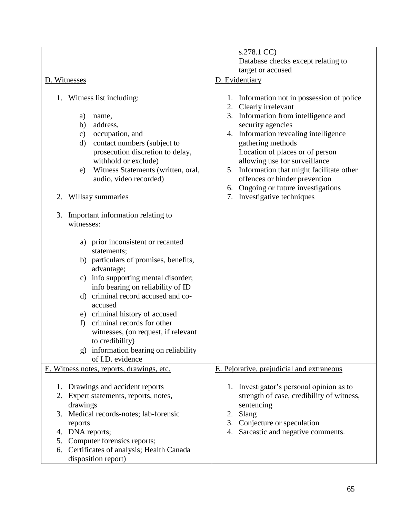|                                                                                                                                                                                                                                                                                                                                                                                                                                                              | s.278.1 CC)                                                                                                                                                                                                                                                                                                                                                                                                                         |
|--------------------------------------------------------------------------------------------------------------------------------------------------------------------------------------------------------------------------------------------------------------------------------------------------------------------------------------------------------------------------------------------------------------------------------------------------------------|-------------------------------------------------------------------------------------------------------------------------------------------------------------------------------------------------------------------------------------------------------------------------------------------------------------------------------------------------------------------------------------------------------------------------------------|
|                                                                                                                                                                                                                                                                                                                                                                                                                                                              | Database checks except relating to                                                                                                                                                                                                                                                                                                                                                                                                  |
|                                                                                                                                                                                                                                                                                                                                                                                                                                                              | target or accused                                                                                                                                                                                                                                                                                                                                                                                                                   |
| D. Witnesses                                                                                                                                                                                                                                                                                                                                                                                                                                                 | D. Evidentiary                                                                                                                                                                                                                                                                                                                                                                                                                      |
| Witness list including:<br>1.<br>a)<br>name,<br>address,<br>b)<br>occupation, and<br>$\mathbf{c})$<br>contact numbers (subject to<br>$\rm d)$<br>prosecution discretion to delay,<br>withhold or exclude)<br>Witness Statements (written, oral,<br>e)<br>audio, video recorded)<br>Willsay summaries<br>2.<br>Important information relating to<br>3.                                                                                                        | 1. Information not in possession of police<br>Clearly irrelevant<br>2.<br>Information from intelligence and<br>3.<br>security agencies<br>4. Information revealing intelligence<br>gathering methods<br>Location of places or of person<br>allowing use for surveillance<br>5. Information that might facilitate other<br>offences or hinder prevention<br>Ongoing or future investigations<br>6.<br>Investigative techniques<br>7. |
| witnesses:<br>a) prior inconsistent or recanted<br>statements;<br>b) particulars of promises, benefits,<br>advantage;<br>c) info supporting mental disorder;<br>info bearing on reliability of ID<br>criminal record accused and co-<br>$\mathbf{d}$<br>accused<br>e) criminal history of accused<br>criminal records for other<br>f)<br>witnesses, (on request, if relevant<br>to credibility)<br>g) information bearing on reliability<br>of I.D. evidence |                                                                                                                                                                                                                                                                                                                                                                                                                                     |
| E. Witness notes, reports, drawings, etc.                                                                                                                                                                                                                                                                                                                                                                                                                    | E. Pejorative, prejudicial and extraneous                                                                                                                                                                                                                                                                                                                                                                                           |
|                                                                                                                                                                                                                                                                                                                                                                                                                                                              |                                                                                                                                                                                                                                                                                                                                                                                                                                     |
| 1. Drawings and accident reports<br>2. Expert statements, reports, notes,<br>drawings<br>3. Medical records-notes; lab-forensic<br>reports<br>4. DNA reports;<br>5. Computer forensics reports;<br>6. Certificates of analysis; Health Canada<br>disposition report)                                                                                                                                                                                         | 1. Investigator's personal opinion as to<br>strength of case, credibility of witness,<br>sentencing<br>Slang<br>2.<br>3. Conjecture or speculation<br>4. Sarcastic and negative comments.                                                                                                                                                                                                                                           |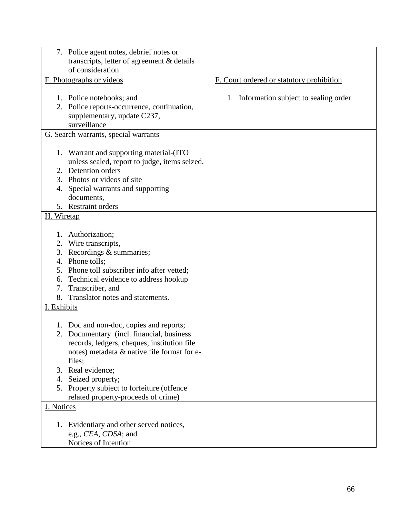| 7. Police agent notes, debrief notes or<br>transcripts, letter of agreement & details                                                                                                                                           |                                           |
|---------------------------------------------------------------------------------------------------------------------------------------------------------------------------------------------------------------------------------|-------------------------------------------|
| of consideration                                                                                                                                                                                                                |                                           |
| F. Photographs or videos                                                                                                                                                                                                        | F. Court ordered or statutory prohibition |
| 1. Police notebooks; and<br>2. Police reports-occurrence, continuation,<br>supplementary, update C237,<br>surveillance                                                                                                          | 1. Information subject to sealing order   |
| G. Search warrants, special warrants                                                                                                                                                                                            |                                           |
| 1. Warrant and supporting material-(ITO<br>unless sealed, report to judge, items seized,<br>2. Detention orders<br>Photos or videos of site<br>3.<br>Special warrants and supporting<br>4.<br>documents,<br>5. Restraint orders |                                           |
| H. Wiretap                                                                                                                                                                                                                      |                                           |
|                                                                                                                                                                                                                                 |                                           |
| Authorization;<br>1.                                                                                                                                                                                                            |                                           |
| 2. Wire transcripts,                                                                                                                                                                                                            |                                           |
| 3. Recordings & summaries;<br>4. Phone tolls;                                                                                                                                                                                   |                                           |
| 5. Phone toll subscriber info after vetted;                                                                                                                                                                                     |                                           |
| Technical evidence to address hookup<br>6.                                                                                                                                                                                      |                                           |
| Transcriber, and<br>7.                                                                                                                                                                                                          |                                           |
| Translator notes and statements.<br>8.                                                                                                                                                                                          |                                           |
| I. Exhibits                                                                                                                                                                                                                     |                                           |
|                                                                                                                                                                                                                                 |                                           |
| 1. Doc and non-doc, copies and reports;                                                                                                                                                                                         |                                           |
| 2. Documentary (incl. financial, business<br>records, ledgers, cheques, institution file<br>notes) metadata & native file format for e-<br>files;                                                                               |                                           |
| 3. Real evidence;                                                                                                                                                                                                               |                                           |
| Seized property;<br>4.                                                                                                                                                                                                          |                                           |
| 5. Property subject to forfeiture (offence                                                                                                                                                                                      |                                           |
| related property-proceeds of crime)                                                                                                                                                                                             |                                           |
| J. Notices                                                                                                                                                                                                                      |                                           |
|                                                                                                                                                                                                                                 |                                           |
| 1. Evidentiary and other served notices,                                                                                                                                                                                        |                                           |
| e.g., CEA, CDSA; and                                                                                                                                                                                                            |                                           |
| Notices of Intention                                                                                                                                                                                                            |                                           |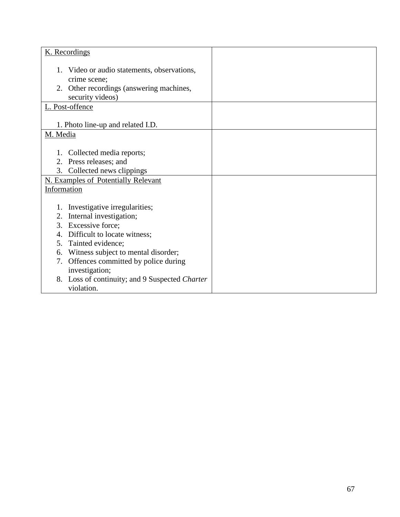| K. Recordings                                                   |  |
|-----------------------------------------------------------------|--|
| 1. Video or audio statements, observations,<br>crime scene;     |  |
| 2. Other recordings (answering machines,<br>security videos)    |  |
| L. Post-offence                                                 |  |
| 1. Photo line-up and related I.D.                               |  |
| M. Media                                                        |  |
| 1. Collected media reports;                                     |  |
| 2. Press releases; and                                          |  |
| 3. Collected news clippings                                     |  |
| <b>N. Examples of Potentially Relevant</b>                      |  |
| Information                                                     |  |
|                                                                 |  |
| Investigative irregularities;<br>1.                             |  |
| Internal investigation;<br>2.                                   |  |
| Excessive force;<br>3.                                          |  |
| Difficult to locate witness;<br>4.                              |  |
| Tainted evidence;<br>5.                                         |  |
| Witness subject to mental disorder;<br>6.                       |  |
| Offences committed by police during<br>7.<br>investigation;     |  |
| Loss of continuity; and 9 Suspected Charter<br>8.<br>violation. |  |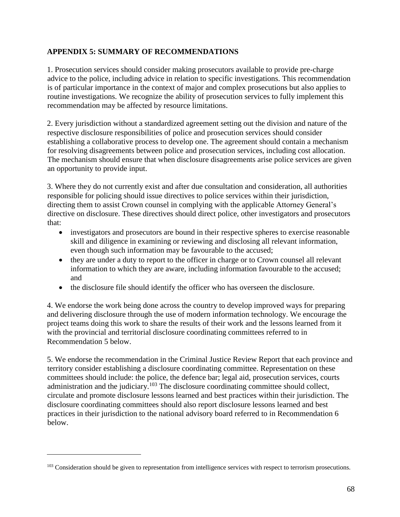# **APPENDIX 5: SUMMARY OF RECOMMENDATIONS**

1. Prosecution services should consider making prosecutors available to provide pre-charge advice to the police, including advice in relation to specific investigations. This recommendation is of particular importance in the context of major and complex prosecutions but also applies to routine investigations. We recognize the ability of prosecution services to fully implement this recommendation may be affected by resource limitations.

2. Every jurisdiction without a standardized agreement setting out the division and nature of the respective disclosure responsibilities of police and prosecution services should consider establishing a collaborative process to develop one. The agreement should contain a mechanism for resolving disagreements between police and prosecution services, including cost allocation. The mechanism should ensure that when disclosure disagreements arise police services are given an opportunity to provide input.

3. Where they do not currently exist and after due consultation and consideration, all authorities responsible for policing should issue directives to police services within their jurisdiction, directing them to assist Crown counsel in complying with the applicable Attorney General's directive on disclosure. These directives should direct police, other investigators and prosecutors that:

- investigators and prosecutors are bound in their respective spheres to exercise reasonable skill and diligence in examining or reviewing and disclosing all relevant information, even though such information may be favourable to the accused;
- they are under a duty to report to the officer in charge or to Crown counsel all relevant information to which they are aware, including information favourable to the accused; and
- the disclosure file should identify the officer who has overseen the disclosure.

4. We endorse the work being done across the country to develop improved ways for preparing and delivering disclosure through the use of modern information technology. We encourage the project teams doing this work to share the results of their work and the lessons learned from it with the provincial and territorial disclosure coordinating committees referred to in Recommendation 5 below.

5. We endorse the recommendation in the Criminal Justice Review Report that each province and territory consider establishing a disclosure coordinating committee. Representation on these committees should include: the police, the defence bar; legal aid, prosecution services, courts administration and the judiciary.<sup>103</sup> The disclosure coordinating committee should collect, circulate and promote disclosure lessons learned and best practices within their jurisdiction. The disclosure coordinating committees should also report disclosure lessons learned and best practices in their jurisdiction to the national advisory board referred to in Recommendation 6 below.

<sup>&</sup>lt;sup>103</sup> Consideration should be given to representation from intelligence services with respect to terrorism prosecutions.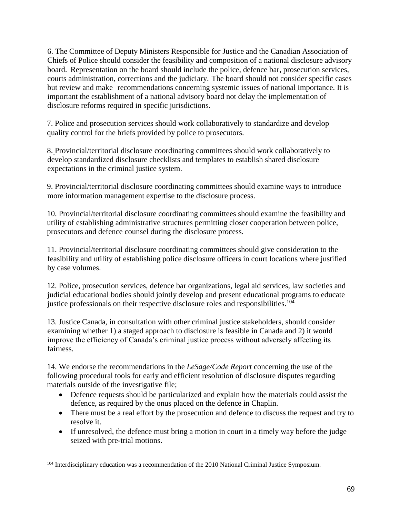6. The Committee of Deputy Ministers Responsible for Justice and the Canadian Association of Chiefs of Police should consider the feasibility and composition of a national disclosure advisory board. Representation on the board should include the police, defence bar, prosecution services, courts administration, corrections and the judiciary. The board should not consider specific cases but review and make recommendations concerning systemic issues of national importance. It is important the establishment of a national advisory board not delay the implementation of disclosure reforms required in specific jurisdictions.

7. Police and prosecution services should work collaboratively to standardize and develop quality control for the briefs provided by police to prosecutors.

8. Provincial/territorial disclosure coordinating committees should work collaboratively to develop standardized disclosure checklists and templates to establish shared disclosure expectations in the criminal justice system.

9. Provincial/territorial disclosure coordinating committees should examine ways to introduce more information management expertise to the disclosure process.

10. Provincial/territorial disclosure coordinating committees should examine the feasibility and utility of establishing administrative structures permitting closer cooperation between police, prosecutors and defence counsel during the disclosure process.

11. Provincial/territorial disclosure coordinating committees should give consideration to the feasibility and utility of establishing police disclosure officers in court locations where justified by case volumes.

12. Police, prosecution services, defence bar organizations, legal aid services, law societies and judicial educational bodies should jointly develop and present educational programs to educate justice professionals on their respective disclosure roles and responsibilities.<sup>104</sup>

13. Justice Canada, in consultation with other criminal justice stakeholders, should consider examining whether 1) a staged approach to disclosure is feasible in Canada and 2) it would improve the efficiency of Canada's criminal justice process without adversely affecting its fairness.

14. We endorse the recommendations in the *LeSage/Code Report* concerning the use of the following procedural tools for early and efficient resolution of disclosure disputes regarding materials outside of the investigative file;

- Defence requests should be particularized and explain how the materials could assist the defence, as required by the onus placed on the defence in Chaplin.
- There must be a real effort by the prosecution and defence to discuss the request and try to resolve it.
- If unresolved, the defence must bring a motion in court in a timely way before the judge seized with pre-trial motions.

<sup>&</sup>lt;sup>104</sup> Interdisciplinary education was a recommendation of the 2010 National Criminal Justice Symposium.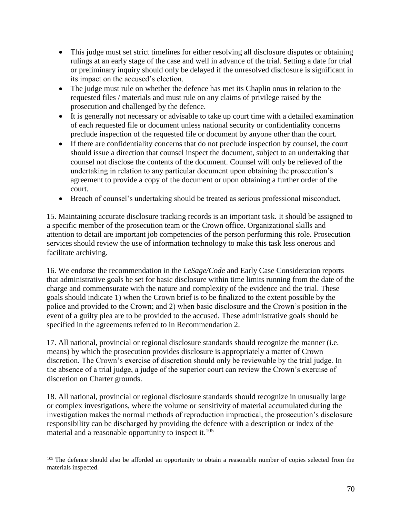- This judge must set strict timelines for either resolving all disclosure disputes or obtaining rulings at an early stage of the case and well in advance of the trial. Setting a date for trial or preliminary inquiry should only be delayed if the unresolved disclosure is significant in its impact on the accused's election.
- The judge must rule on whether the defence has met its Chaplin onus in relation to the requested files / materials and must rule on any claims of privilege raised by the prosecution and challenged by the defence.
- It is generally not necessary or advisable to take up court time with a detailed examination of each requested file or document unless national security or confidentiality concerns preclude inspection of the requested file or document by anyone other than the court.
- If there are confidentiality concerns that do not preclude inspection by counsel, the court should issue a direction that counsel inspect the document, subject to an undertaking that counsel not disclose the contents of the document. Counsel will only be relieved of the undertaking in relation to any particular document upon obtaining the prosecution's agreement to provide a copy of the document or upon obtaining a further order of the court.
- Breach of counsel's undertaking should be treated as serious professional misconduct.

15. Maintaining accurate disclosure tracking records is an important task. It should be assigned to a specific member of the prosecution team or the Crown office. Organizational skills and attention to detail are important job competencies of the person performing this role. Prosecution services should review the use of information technology to make this task less onerous and facilitate archiving.

16. We endorse the recommendation in the *LeSage/Code* and Early Case Consideration reports that administrative goals be set for basic disclosure within time limits running from the date of the charge and commensurate with the nature and complexity of the evidence and the trial. These goals should indicate 1) when the Crown brief is to be finalized to the extent possible by the police and provided to the Crown; and 2) when basic disclosure and the Crown's position in the event of a guilty plea are to be provided to the accused. These administrative goals should be specified in the agreements referred to in Recommendation 2.

17. All national, provincial or regional disclosure standards should recognize the manner (i.e. means) by which the prosecution provides disclosure is appropriately a matter of Crown discretion. The Crown's exercise of discretion should only be reviewable by the trial judge. In the absence of a trial judge, a judge of the superior court can review the Crown's exercise of discretion on Charter grounds.

18. All national, provincial or regional disclosure standards should recognize in unusually large or complex investigations, where the volume or sensitivity of material accumulated during the investigation makes the normal methods of reproduction impractical, the prosecution's disclosure responsibility can be discharged by providing the defence with a description or index of the material and a reasonable opportunity to inspect it. $105$ 

<sup>&</sup>lt;sup>105</sup> The defence should also be afforded an opportunity to obtain a reasonable number of copies selected from the materials inspected.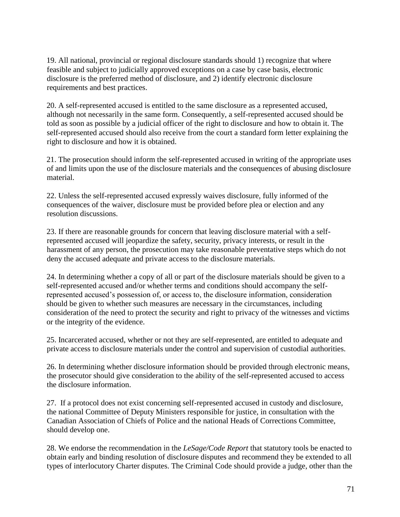19. All national, provincial or regional disclosure standards should 1) recognize that where feasible and subject to judicially approved exceptions on a case by case basis, electronic disclosure is the preferred method of disclosure, and 2) identify electronic disclosure requirements and best practices.

20. A self-represented accused is entitled to the same disclosure as a represented accused, although not necessarily in the same form. Consequently, a self-represented accused should be told as soon as possible by a judicial officer of the right to disclosure and how to obtain it. The self-represented accused should also receive from the court a standard form letter explaining the right to disclosure and how it is obtained.

21. The prosecution should inform the self-represented accused in writing of the appropriate uses of and limits upon the use of the disclosure materials and the consequences of abusing disclosure material.

22. Unless the self-represented accused expressly waives disclosure, fully informed of the consequences of the waiver, disclosure must be provided before plea or election and any resolution discussions.

23. If there are reasonable grounds for concern that leaving disclosure material with a selfrepresented accused will jeopardize the safety, security, privacy interests, or result in the harassment of any person, the prosecution may take reasonable preventative steps which do not deny the accused adequate and private access to the disclosure materials.

24. In determining whether a copy of all or part of the disclosure materials should be given to a self-represented accused and/or whether terms and conditions should accompany the selfrepresented accused's possession of, or access to, the disclosure information, consideration should be given to whether such measures are necessary in the circumstances, including consideration of the need to protect the security and right to privacy of the witnesses and victims or the integrity of the evidence.

25. Incarcerated accused, whether or not they are self-represented, are entitled to adequate and private access to disclosure materials under the control and supervision of custodial authorities.

26. In determining whether disclosure information should be provided through electronic means, the prosecutor should give consideration to the ability of the self-represented accused to access the disclosure information.

27. If a protocol does not exist concerning self-represented accused in custody and disclosure, the national Committee of Deputy Ministers responsible for justice, in consultation with the Canadian Association of Chiefs of Police and the national Heads of Corrections Committee, should develop one.

28. We endorse the recommendation in the *LeSage/Code Report* that statutory tools be enacted to obtain early and binding resolution of disclosure disputes and recommend they be extended to all types of interlocutory Charter disputes. The Criminal Code should provide a judge, other than the